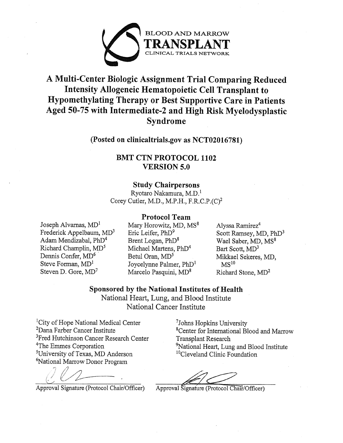

# A Multi-Center Biologic Assignment Trial Comparing Reduced **Intensity Allogeneic Hematopoietic Cell Transplant to** Hypomethylating Therapy or Best Supportive Care in Patients Aged 50-75 with Intermediate-2 and High Risk Myelodysplastic Syndrome

## (Posted on clinicaltrials.gov as NCT02016781)

## **BMT CTN PROTOCOL 1102 VERSION 5.0**

## **Study Chairpersons**

Ryotaro Nakamura, M.D.<sup>1</sup> Corey Cutler, M.D., M.P.H., F.R.C.P.(C)<sup>2</sup>

## **Protocol Team**

Joseph Alvarnas,  $MD<sup>1</sup>$ Frederick Appelbaum, MD<sup>3</sup> Adam Mendizabal, PhD<sup>4</sup> Richard Champlin, MD<sup>5</sup> Dennis Confer, MD<sup>6</sup> Steve Forman, MD<sup>1</sup> Steven D. Gore, MD<sup>7</sup>

Mary Horowitz, MD, MS<sup>8</sup> Eric Leifer, PhD<sup>9</sup> Brent Logan, PhD<sup>8</sup> Michael Martens, PhD<sup>4</sup> Betul Oran, MD<sup>5</sup> Joycelynne Palmer, PhD<sup>1</sup> Marcelo Pasquini, MD<sup>8</sup>

Alyssa Ramirez<sup>4</sup> Scott Ramsey, MD, PhD<sup>3</sup> Wael Saber, MD, MS<sup>8</sup> Bart Scott, MD<sup>3</sup> Mikkael Sekeres, MD,  $MS<sup>10</sup>$ Richard Stone, MD<sup>2</sup>

Sponsored by the National Institutes of Health National Heart, Lung, and Blood Institute

National Cancer Institute

<sup>1</sup>City of Hope National Medical Center <sup>2</sup>Dana Farber Cancer Institute <sup>3</sup>Fred Hutchinson Cancer Research Center <sup>4</sup>The Emmes Corporation <sup>5</sup>University of Texas, MD Anderson <sup>6</sup>National Marrow Donor Program

Approval Signature (Protocol Chair/Officer)

<sup>7</sup>Johns Hopkins University <sup>8</sup>Center for International Blood and Marrow **Transplant Research** <sup>9</sup>National Heart, Lung and Blood Institute <sup>10</sup>Cleveland Clinic Foundation

Approval Signature (Protocol Chair/Officer)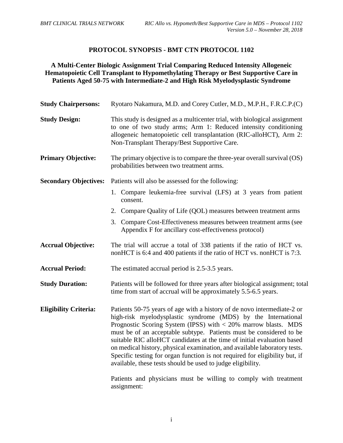## **PROTOCOL SYNOPSIS - BMT CTN PROTOCOL 1102**

## **A Multi-Center Biologic Assignment Trial Comparing Reduced Intensity Allogeneic Hematopoietic Cell Transplant to Hypomethylating Therapy or Best Supportive Care in Patients Aged 50-75 with Intermediate-2 and High Risk Myelodysplastic Syndrome**

| <b>Study Chairpersons:</b>   | Ryotaro Nakamura, M.D. and Corey Cutler, M.D., M.P.H., F.R.C.P.(C)                                                                                                                                                                                                                                                                                                                                                                                                                                                                                                                                                                                                           |  |  |  |  |
|------------------------------|------------------------------------------------------------------------------------------------------------------------------------------------------------------------------------------------------------------------------------------------------------------------------------------------------------------------------------------------------------------------------------------------------------------------------------------------------------------------------------------------------------------------------------------------------------------------------------------------------------------------------------------------------------------------------|--|--|--|--|
| <b>Study Design:</b>         | This study is designed as a multicenter trial, with biological assignment<br>to one of two study arms; Arm 1: Reduced intensity conditioning<br>allogeneic hematopoietic cell transplantation (RIC-alloHCT), Arm 2:<br>Non-Transplant Therapy/Best Supportive Care.                                                                                                                                                                                                                                                                                                                                                                                                          |  |  |  |  |
| <b>Primary Objective:</b>    | The primary objective is to compare the three-year overall survival (OS)<br>probabilities between two treatment arms.                                                                                                                                                                                                                                                                                                                                                                                                                                                                                                                                                        |  |  |  |  |
| <b>Secondary Objectives:</b> | Patients will also be assessed for the following:<br>1. Compare leukemia-free survival (LFS) at 3 years from patient                                                                                                                                                                                                                                                                                                                                                                                                                                                                                                                                                         |  |  |  |  |
|                              | consent.<br>2. Compare Quality of Life (QOL) measures between treatment arms                                                                                                                                                                                                                                                                                                                                                                                                                                                                                                                                                                                                 |  |  |  |  |
|                              | 3. Compare Cost-Effectiveness measures between treatment arms (see<br>Appendix F for ancillary cost-effectiveness protocol)                                                                                                                                                                                                                                                                                                                                                                                                                                                                                                                                                  |  |  |  |  |
| <b>Accrual Objective:</b>    | The trial will accrue a total of 338 patients if the ratio of HCT vs.<br>nonHCT is 6:4 and 400 patients if the ratio of HCT vs. nonHCT is 7:3.                                                                                                                                                                                                                                                                                                                                                                                                                                                                                                                               |  |  |  |  |
| <b>Accrual Period:</b>       | The estimated accrual period is 2.5-3.5 years.                                                                                                                                                                                                                                                                                                                                                                                                                                                                                                                                                                                                                               |  |  |  |  |
| <b>Study Duration:</b>       | Patients will be followed for three years after biological assignment; total<br>time from start of accrual will be approximately 5.5-6.5 years.                                                                                                                                                                                                                                                                                                                                                                                                                                                                                                                              |  |  |  |  |
| <b>Eligibility Criteria:</b> | Patients 50-75 years of age with a history of de novo intermediate-2 or<br>high-risk myelodysplastic syndrome (MDS) by the International<br>Prognostic Scoring System (IPSS) with $<$ 20% marrow blasts. MDS<br>must be of an acceptable subtype. Patients must be considered to be<br>suitable RIC alloHCT candidates at the time of initial evaluation based<br>on medical history, physical examination, and available laboratory tests.<br>Specific testing for organ function is not required for eligibility but, if<br>available, these tests should be used to judge eligibility.<br>Patients and physicians must be willing to comply with treatment<br>assignment: |  |  |  |  |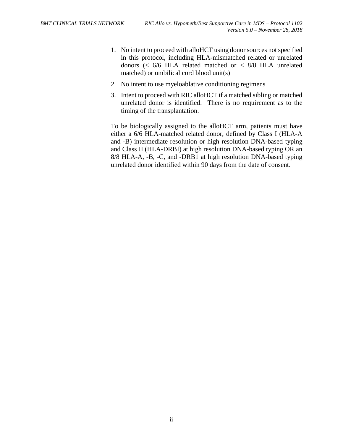- 1. No intent to proceed with alloHCT using donor sources not specified in this protocol, including HLA-mismatched related or unrelated donors (< 6/6 HLA related matched or < 8/8 HLA unrelated matched) or umbilical cord blood unit(s)
- 2. No intent to use myeloablative conditioning regimens
- 3. Intent to proceed with RIC alloHCT if a matched sibling or matched unrelated donor is identified. There is no requirement as to the timing of the transplantation.

To be biologically assigned to the alloHCT arm, patients must have either a 6/6 HLA-matched related donor, defined by Class I (HLA-A and -B) intermediate resolution or high resolution DNA-based typing and Class II (HLA-DRBI) at high resolution DNA-based typing OR an 8/8 HLA-A, -B, -C, and -DRB1 at high resolution DNA-based typing unrelated donor identified within 90 days from the date of consent.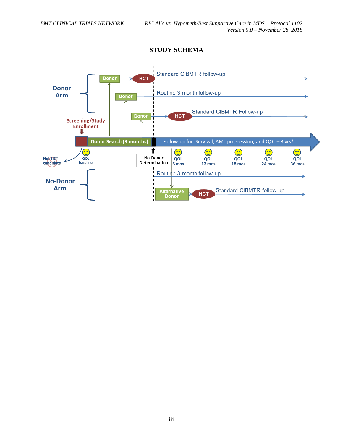

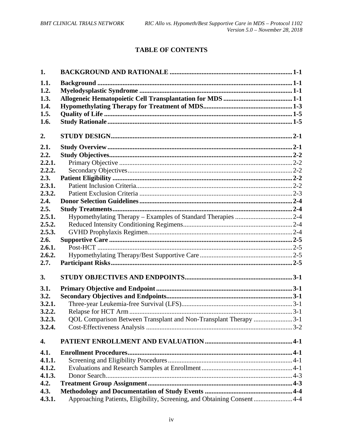## **TABLE OF CONTENTS**

| 1.     |                                                                          |
|--------|--------------------------------------------------------------------------|
| 1.1.   |                                                                          |
| 1.2.   |                                                                          |
| 1.3.   |                                                                          |
| 1.4.   |                                                                          |
| 1.5.   |                                                                          |
| 1.6.   |                                                                          |
| 2.     |                                                                          |
| 2.1.   |                                                                          |
| 2.2.   |                                                                          |
| 2.2.1. |                                                                          |
| 2.2.2. |                                                                          |
| 2.3.   |                                                                          |
| 2.3.1. |                                                                          |
| 2.3.2. |                                                                          |
| 2.4.   |                                                                          |
| 2.5.   |                                                                          |
| 2.5.1. |                                                                          |
| 2.5.2. |                                                                          |
| 2.5.3. |                                                                          |
| 2.6.   |                                                                          |
| 2.6.1. |                                                                          |
| 2.6.2. |                                                                          |
| 2.7.   |                                                                          |
| 3.     |                                                                          |
| 3.1.   |                                                                          |
| 3.2.   |                                                                          |
| 3.2.1. |                                                                          |
| 3.2.2. |                                                                          |
| 3.2.3. | QOL Comparison Between Transplant and Non-Transplant Therapy 3-1         |
| 3.2.4. |                                                                          |
| 4.     |                                                                          |
| 4.1.   |                                                                          |
| 4.1.1. |                                                                          |
| 4.1.2. |                                                                          |
| 4.1.3. |                                                                          |
| 4.2.   |                                                                          |
| 4.3.   |                                                                          |
| 4.3.1. | Approaching Patients, Eligibility, Screening, and Obtaining Consent  4-4 |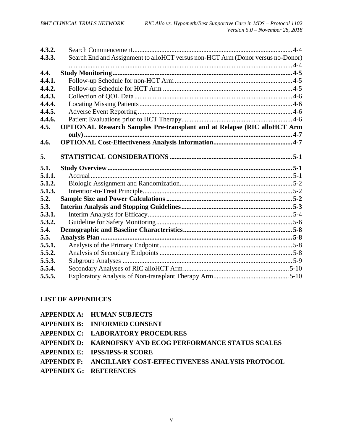| 4.3.2. |                                                                                 |  |
|--------|---------------------------------------------------------------------------------|--|
| 4.3.3. | Search End and Assignment to alloHCT versus non-HCT Arm (Donor versus no-Donor) |  |
| 4.4.   |                                                                                 |  |
| 4.4.1. |                                                                                 |  |
| 4.4.2. |                                                                                 |  |
| 4.4.3. |                                                                                 |  |
| 4.4.4. |                                                                                 |  |
| 4.4.5. |                                                                                 |  |
| 4.4.6. |                                                                                 |  |
| 4.5.   | <b>OPTIONAL Research Samples Pre-transplant and at Relapse (RIC alloHCT Arm</b> |  |
|        |                                                                                 |  |
| 4.6.   |                                                                                 |  |
|        |                                                                                 |  |
| 5.     |                                                                                 |  |
|        |                                                                                 |  |
| 5.1.   |                                                                                 |  |
| 5.1.1. |                                                                                 |  |
| 5.1.2. |                                                                                 |  |
| 5.1.3. |                                                                                 |  |
| 5.2.   |                                                                                 |  |
| 5.3.   |                                                                                 |  |
| 5.3.1. |                                                                                 |  |
| 5.3.2. |                                                                                 |  |
| 5.4.   |                                                                                 |  |
| 5.5.   |                                                                                 |  |
| 5.5.1. |                                                                                 |  |
| 5.5.2. |                                                                                 |  |
| 5.5.3. |                                                                                 |  |
| 5.5.4. |                                                                                 |  |

## **LIST OF APPENDICES**

| <b>APPENDIX A: HUMAN SUBJECTS</b>                          |
|------------------------------------------------------------|
| APPENDIX B: INFORMED CONSENT                               |
| APPENDIX C: LABORATORY PROCEDURES                          |
| APPENDIX D: KARNOFSKY AND ECOG PERFORMANCE STATUS SCALES   |
| <b>APPENDIX E: IPSS/IPSS-R SCORE</b>                       |
| APPENDIX F: ANCILLARY COST-EFFECTIVENESS ANALYSIS PROTOCOL |
| <b>APPENDIX G: REFERENCES</b>                              |
|                                                            |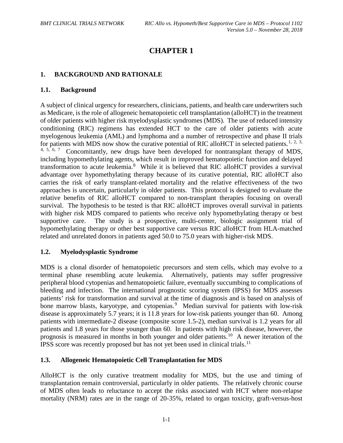## <span id="page-6-5"></span><span id="page-6-4"></span>**CHAPTER 1**

## <span id="page-6-0"></span>**1. BACKGROUND AND RATIONALE**

#### <span id="page-6-1"></span>**1.1. Background**

<span id="page-6-10"></span><span id="page-6-9"></span><span id="page-6-8"></span><span id="page-6-7"></span><span id="page-6-6"></span>A subject of clinical urgency for researchers, clinicians, patients, and health care underwriters such as Medicare, is the role of allogeneic hematopoietic cell transplantation (alloHCT) in the treatment of older patients with higher risk myelodysplastic syndromes (MDS). The use of reduced intensity conditioning (RIC) regimens has extended HCT to the care of older patients with acute myelogenous leukemia (AML) and lymphoma and a number of retrospective and phase II trials for patients with MDS now show the curative potential of RIC alloHCT in selected patients.<sup>[1](#page-103-0), [2,](#page-103-1) [3](#page-103-2),</sup> [4](#page-103-3), [5,](#page-103-4) [6](#page-103-5), [7](#page-103-6) Concomitantly, new drugs have been developed for nontransplant therapy of MDS, including hypomethylating agents, which result in improved hematopoietic function and delayed transformation to acute leukemia.<sup>[8](#page-103-7)</sup> While it is believed that RIC alloHCT provides a survival advantage over hypomethylating therapy because of its curative potential, RIC alloHCT also carries the risk of early transplant-related mortality and the relative effectiveness of the two approaches is uncertain, particularly in older patients. This protocol is designed to evaluate the relative benefits of RIC alloHCT compared to non-transplant therapies focusing on overall survival. The hypothesis to be tested is that RIC alloHCT improves overall survival in patients with higher risk MDS compared to patients who receive only hypomethylating therapy or best supportive care. The study is a prospective, multi-center, biologic assignment trial of hypomethylating therapy or other best supportive care versus RIC alloHCT from HLA-matched related and unrelated donors in patients aged 50.0 to 75.0 years with higher-risk MDS.

## <span id="page-6-2"></span>**1.2. Myelodysplastic Syndrome**

<span id="page-6-11"></span>MDS is a clonal disorder of hematopoietic precursors and stem cells, which may evolve to a terminal phase resembling acute leukemia. Alternatively, patients may suffer progressive peripheral blood cytopenias and hematopoietic failure, eventually succumbing to complications of bleeding and infection. The international prognostic scoring system (IPSS) for MDS assesses patients' risk for transformation and survival at the time of diagnosis and is based on analysis of bone marrow blasts, karyotype, and cytopenias.<sup>[9](#page-103-8)</sup> Median survival for patients with low-risk disease is approximately 5.7 years; it is 11.8 years for low-risk patients younger than 60. Among patients with intermediate-2 disease (composite score 1.5-2), median survival is 1.2 years for all patients and 1.8 years for those younger than 60. In patients with high risk disease, however, the prognosis is measured in months in both younger and older patients.<sup>[10](#page-104-0)</sup> A newer iteration of the IPSS score was recently proposed but has not yet been used in clinical trials.<sup>11</sup>

## <span id="page-6-3"></span>**1.3. Allogeneic Hematopoietic Cell Transplantation for MDS**

AlloHCT is the only curative treatment modality for MDS, but the use and timing of transplantation remain controversial, particularly in older patients. The relatively chronic course of MDS often leads to reluctance to accept the risks associated with HCT where non-relapse mortality (NRM) rates are in the range of 20-35%, related to organ toxicity, graft-versus-host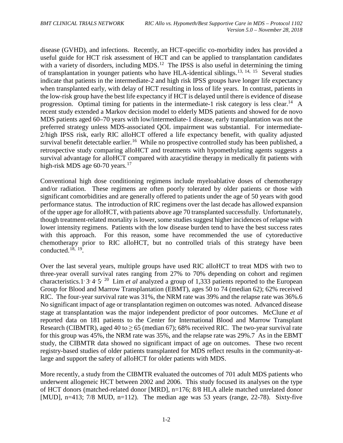<span id="page-7-0"></span>disease (GVHD), and infections. Recently, an HCT-specific co-morbidity index has provided a useful guide for HCT risk assessment of HCT and can be applied to transplantation candidates with a variety of disorders, including MDS.<sup>12</sup> The IPSS is also useful in determining the timing of transplantation in younger patients who have HLA-identical siblings.<sup>[13](#page-104-3), [14](#page-104-4), [15](#page-104-5)</sup> Several studies indicate that patients in the intermediate-2 and high risk IPSS groups have longer life expectancy when transplanted early, with delay of HCT resulting in loss of life years. In contrast, patients in the low-risk group have the best life expectancy if HCT is delayed until there is evidence of disease progression. Optimal timing for patients in the intermediate-1 risk category is less clear.<sup>14</sup> A recent study extended a Markov decision model to elderly MDS patients and showed for de novo MDS patients aged 60–70 years with low/intermediate-1 disease, early transplantation was not the preferred strategy unless MDS-associated QOL impairment was substantial. For intermediate-2/high IPSS risk, early RIC alloHCT offered a life expectancy benefit, with quality adjusted survival benefit detectable earlier.<sup>[16](#page-104-6)</sup> While no prospective controlled study has been published, a retrospective study comparing alloHCT and treatments with hypomethylating agents suggests a survival advantage for alloHCT compared with azacytidine therapy in medically fit patients with high-risk MDS age 60-70 years.<sup>[17](#page-104-7)</sup>

Conventional high dose conditioning regimens include myeloablative doses of chemotherapy and/or radiation. These regimens are often poorly tolerated by older patients or those with significant comorbidities and are generally offered to patients under the age of 50 years with good performance status. The introduction of RIC regimens over the last decade has allowed expansion of the upper age for alloHCT, with patients above age 70 transplanted successfully. Unfortunately, though treatment-related mortality is lower, some studies suggest higher incidences of relapse with lower intensity regimens. Patients with the low disease burden tend to have the best success rates with this approach. For this reason, some have recommended the use of cytoreductive chemotherapy prior to RIC alloHCT, but no controlled trials of this strategy have been conducted. [18,](#page-104-8) [19.](#page-104-9)

Over the last several years, multiple groups have used RIC alloHCT to treat MDS with two to three-year overall survival rates ranging from 27% to 70% depending on cohort and regimen characteristics[.1,](#page-6-4) [3,](#page-6-5) [4,](#page-6-6) [5,](#page-6-7) [20](#page-104-10) Lim *et al* analyzed a group of 1,333 patients reported to the European Group for Blood and Marrow Transplantation (EBMT), ages 50 to 74 (median 62); 62% received RIC. The four-year survival rate was 31%, the NRM rate was 39% and the relapse rate was 36%[.6](#page-6-8) No significant impact of age or transplantation regimen on outcomes was noted. Advanced disease stage at transplantation was the major independent predictor of poor outcomes. McClune *et al* reported data on 181 patients to the Center for International Blood and Marrow Transplant Research (CIBMTR), aged 40 to  $\geq$  65 (median 67); 68% received RIC. The two-year survival rate for this group was 45%, the NRM rate was 35%, and the relapse rate was 29%[.7](#page-6-9) As in the EBMT study, the CIBMTR data showed no significant impact of age on outcomes. These two recent registry-based studies of older patients transplanted for MDS reflect results in the community-atlarge and support the safety of alloHCT for older patients with MDS.

More recently, a study from the CIBMTR evaluated the outcomes of 701 adult MDS patients who underwent allogeneic HCT between 2002 and 2006. This study focused its analyses on the type of HCT donors (matched-related donor [MRD], n=176; 8/8 HLA allele matched unrelated donor [MUD], n=413;  $7/8$  MUD, n=112). The median age was 53 years (range, 22-78). Sixty-five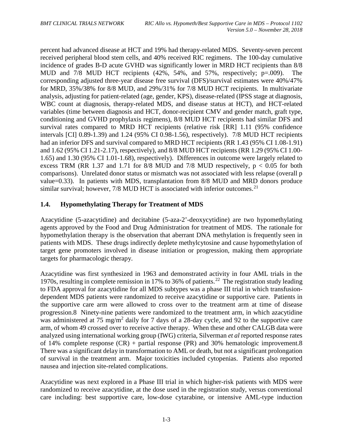percent had advanced disease at HCT and 19% had therapy-related MDS. Seventy-seven percent received peripheral blood stem cells, and 40% received RIC regimens. The 100-day cumulative incidence of grades B-D acute GVHD was significantly lower in MRD HCT recipients than 8/8 MUD and 7/8 MUD HCT recipients (42%, 54%, and 57%, respectively; p=.009). The corresponding adjusted three-year disease free survival (DFS)/survival estimates were 40%/47% for MRD, 35%/38% for 8/8 MUD, and 29%/31% for 7/8 MUD HCT recipients. In multivariate analysis, adjusting for patient-related (age, gender, KPS), disease-related (IPSS stage at diagnosis, WBC count at diagnosis, therapy-related MDS, and disease status at HCT), and HCT-related variables (time between diagnosis and HCT, donor-recipient CMV and gender match, graft type, conditioning and GVHD prophylaxis regimens), 8/8 MUD HCT recipients had similar DFS and survival rates compared to MRD HCT recipients (relative risk [RR] 1.11 (95% confidence intervals [CI] 0.89-1.39) and 1.24 (95% CI 0.98-1.56), respectively). 7/8 MUD HCT recipients had an inferior DFS and survival compared to MRD HCT recipients (RR 1.43 (95% CI 1.08-1.91) and 1.62 (95% CI 1.21-2.17), respectively), and 8/8 MUD HCT recipients (RR 1.29 (95% CI 1.00- 1.65) and 1.30 (95% CI 1.01-1.68), respectively). Differences in outcome were largely related to excess TRM (RR 1.37 and 1.71 for  $8/8$  MUD and 7/8 MUD respectively,  $p < 0.05$  for both comparisons). Unrelated donor status or mismatch was not associated with less relapse (overall p value=0.33). In patients with MDS, transplantation from 8/8 MUD and MRD donors produce similar survival; however, 7/8 MUD HCT is associated with inferior outcomes.<sup>[21](#page-104-11)</sup>

## <span id="page-8-0"></span>**1.4. Hypomethylating Therapy for Treatment of MDS**

Azacytidine (5-azacytidine) and decitabine (5-aza-2'-deoxycytidine) are two hypomethylating agents approved by the Food and Drug Administration for treatment of MDS. The rationale for hypomethylation therapy is the observation that aberrant DNA methylation is frequently seen in patients with MDS. These drugs indirectly deplete methylcytosine and cause hypomethylation of target gene promoters involved in disease initiation or progression, making them appropriate targets for pharmacologic therapy.

Azacytidine was first synthesized in 1963 and demonstrated activity in four AML trials in the 1970s, resulting in complete remission in 17% to 36% of patients. [22](#page-104-12) The registration study leading to FDA approval for azacytidine for all MDS subtypes was a phase III trial in which transfusiondependent MDS patients were randomized to receive azacytidine or supportive care. Patients in the supportive care arm were allowed to cross over to the treatment arm at time of disease progression[.8](#page-6-10) Ninety-nine patients were randomized to the treatment arm, in which azacytidine was administered at 75 mg/m<sup>2</sup> daily for 7 days of a 28-day cycle, and 92 to the supportive care arm, of whom 49 crossed over to receive active therapy. When these and other CALGB data were analyzed using international working group (IWG) criteria, Silverman *et al* reported response rates of 14% complete response (CR) + partial response (PR) and 30% hematologic improvement[.8](#page-6-10)  There was a significant delay in transformation to AML or death, but not a significant prolongation of survival in the treatment arm. Major toxicities included cytopenias. Patients also reported nausea and injection site-related complications.

Azacytidine was next explored in a Phase III trial in which higher-risk patients with MDS were randomized to receive azacytidine, at the dose used in the registration study, versus conventional care including: best supportive care, low-dose cytarabine, or intensive AML-type induction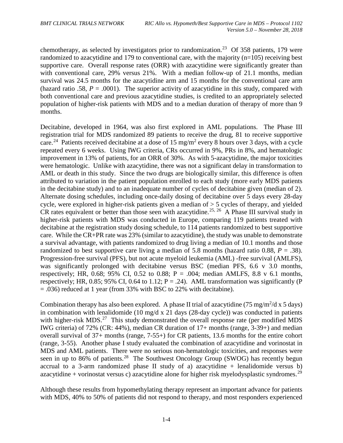<span id="page-9-0"></span>chemotherapy, as selected by investigators prior to randomization.<sup>[23](#page-105-0)</sup> Of 358 patients, 179 were randomized to azacytidine and 179 to conventional care, with the majority (n=105) receiving best supportive care. Overall response rates (ORR) with azacytidine were significantly greater than with conventional care, 29% versus 21%. With a median follow-up of 21.1 months, median survival was 24.5 months for the azacytidine arm and 15 months for the conventional care arm (hazard ratio .58,  $P = .0001$ ). The superior activity of azacytidine in this study, compared with both conventional care and previous azacytidine studies, is credited to an appropriately selected population of higher-risk patients with MDS and to a median duration of therapy of more than 9 months.

Decitabine, developed in 1964, was also first explored in AML populations. The Phase III registration trial for MDS randomized 89 patients to receive the drug, 81 to receive supportive care.<sup>24</sup> Patients received decitabine at a dose of 15 mg/m<sup>2</sup> every 8 hours over 3 days, with a cycle repeated every 6 weeks. Using IWG criteria, CRs occurred in 9%, PRs in 8%, and hematologic improvement in 13% of patients, for an ORR of 30%. As with 5-azacytidine, the major toxicities were hematologic. Unlike with azacytidine, there was not a significant delay in transformation to AML or death in this study. Since the two drugs are biologically similar, this difference is often attributed to variation in the patient population enrolled to each study (more early MDS patients in the decitabine study) and to an inadequate number of cycles of decitabine given (median of 2). Alternate dosing schedules, including once-daily dosing of decitabine over 5 days every 28-day cycle, were explored in higher-risk patients given a median of > 5 cycles of therapy, and yielded CR rates equivalent or better than those seen with azacytidine.<sup>[25](#page-105-2), [26](#page-105-3)</sup> A Phase III survival study in higher-risk patients with MDS was conducted in Europe, comparing 119 patients treated with decitabine at the registration study dosing schedule, to 114 patients randomized to best supportive care. While the CR+PR rate was 23% (similar to azacytidine), the study was unable to demonstrate a survival advantage, with patients randomized to drug living a median of 10.1 months and those randomized to best supportive care living a median of 5.8 months (hazard ratio 0.88, *P* = .38). Progression-free survival (PFS), but not acute myeloid leukemia (AML) -free survival (AMLFS), was significantly prolonged with decitabine versus BSC (median PFS, 6.6 v 3.0 months, respectively; HR, 0.68; 95% CI, 0.52 to 0.88;  $P = .004$ ; median AMLFS, 8.8 v 6.1 months, respectively; HR, 0.85; 95% CI, 0.64 to 1.12;  $P = .24$ ). AML transformation was significantly (P = .036) reduced at 1 year (from 33% with BSC to 22% with decitabine).

Combination therapy has also been explored. A phase II trial of azacytidine  $(75 \text{ mg/m}^2/\text{d} \times 5 \text{ days})$ in combination with lenalidomide (10 mg/d x 21 days (28-day cycle)) was conducted in patients with higher-risk  $MDS<sup>27</sup>$  $MDS<sup>27</sup>$  $MDS<sup>27</sup>$ . This study demonstrated the overall response rate (per modified MDS) IWG criteria) of 72% (CR: 44%), median CR duration of 17+ months (range, 3-39+) and median overall survival of 37+ months (range, 7-55+) for CR patients, 13.6 months for the entire cohort (range, 3-55). Another phase I study evaluated the combination of azacytidine and vorinostat in MDS and AML patients. There were no serious non-hematologic toxicities, and responses were seen in up to 86% of patients.<sup>[28](#page-105-5)</sup> The Southwest Oncology Group (SWOG) has recently begun accrual to a 3-arm randomized phase II study of a) azacytidine  $+$  lenalidomide versus b) azacytidine + vorinostat versus c) azacytidine alone for higher risk myelodysplastic syndromes.<sup>[29](#page-105-6)</sup>

Although these results from hypomethylating therapy represent an important advance for patients with MDS, 40% to 50% of patients did not respond to therapy, and most responders experienced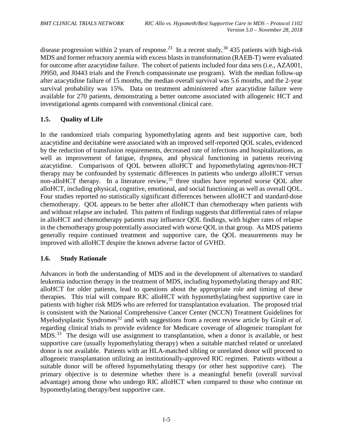disease progression within 2 years of response.<sup>23</sup> In a recent study,<sup>[30](#page-105-7)</sup> 435 patients with high-risk MDS and former refractory anemia with excess blasts in transformation (RAEB-T) were evaluated for outcome after azacytidine failure. The cohort of patients included four data sets (i.e., AZA001, J9950, and J0443 trials and the French compassionate use program). With the median follow-up after azacytidine failure of 15 months, the median overall survival was 5.6 months, and the 2-year survival probability was 15%. Data on treatment administered after azacytidine failure were available for 270 patients, demonstrating a better outcome associated with allogeneic HCT and investigational agents compared with conventional clinical care.

## <span id="page-10-0"></span>**1.5. Quality of Life**

In the randomized trials comparing hypomethylating agents and best supportive care, both azacytidine and decitabine were associated with an improved self-reported QOL scales, evidenced by the reduction of transfusion requirements, decreased rate of infections and hospitalizations, as well as improvement of fatigue, dyspnea, and physical functioning in patients receiving azacytidine. Comparisons of QOL between alloHCT and hypomethylating agents/non-HCT therapy may be confounded by systematic differences in patients who undergo alloHCT versus non-alloHCT therapy. In a literature review,<sup>[31](#page-105-8)</sup> three studies have reported worse QOL after alloHCT, including physical, cognitive, emotional, and social functioning as well as overall QOL. Four studies reported no statistically significant differences between alloHCT and standard-dose chemotherapy. QOL appears to be better after alloHCT than chemotherapy when patients with and without relapse are included. This pattern of findings suggests that differential rates of relapse in alloHCT and chemotherapy patients may influence QOL findings, with higher rates of relapse in the chemotherapy group potentially associated with worse QOL in that group. As MDS patients generally require continued treatment and supportive care, the QOL measurements may be improved with alloHCT despite the known adverse factor of GVHD.

## <span id="page-10-1"></span>**1.6. Study Rationale**

Advances in both the understanding of MDS and in the development of alternatives to standard leukemia induction therapy in the treatment of MDS, including hypomethylating therapy and RIC alloHCT for older patients, lead to questions about the appropriate role and timing of these therapies. This trial will compare RIC alloHCT with hypomethylating/best supportive care in patients with higher risk MDS who are referred for transplantation evaluation. The proposed trial is consistent with the National Comprehensive Cancer Center (NCCN) Treatment Guidelines for Myelodysplastic Syndromes<sup>[32](#page-105-9)</sup> and with suggestions from a recent review article by Giralt *et al.* regarding clinical trials to provide evidence for Medicare coverage of allogeneic transplant for MDS.<sup>[33](#page-105-10)</sup> The design will use assignment to transplantation, when a donor is available, or best supportive care (usually hypomethylating therapy) when a suitable matched related or unrelated donor is not available. Patients with an HLA-matched sibling or unrelated donor will proceed to allogeneic transplantation utilizing an institutionally-approved RIC regimen. Patients without a suitable donor will be offered hypomethylating therapy (or other best supportive care). The primary objective is to determine whether there is a meaningful benefit (overall survival advantage) among those who undergo RIC alloHCT when compared to those who continue on hypomethylating therapy/best supportive care.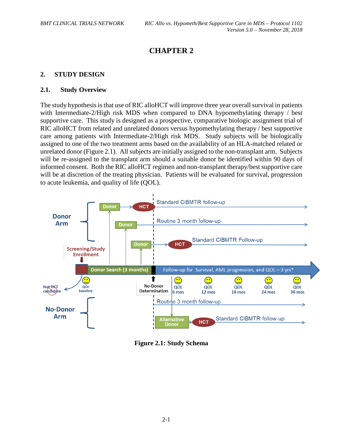## **CHAPTER 2**

## <span id="page-11-0"></span>**2. STUDY DESIGN**

#### <span id="page-11-1"></span>**2.1. Study Overview**

The study hypothesis is that use of RIC alloHCT will improve three year overall survival in patients with Intermediate-2/High risk MDS when compared to DNA hypomethylating therapy / best supportive care. This study is designed as a prospective, comparative biologic assignment trial of RIC alloHCT from related and unrelated donors versus hypomethylating therapy / best supportive care among patients with Intermediate-2/High risk MDS. Study subjects will be biologically assigned to one of the two treatment arms based on the availability of an HLA-matched related or unrelated donor (Figure 2.1). All subjects are initially assigned to the non-transplant arm. Subjects will be re-assigned to the transplant arm should a suitable donor be identified within 90 days of informed consent. Both the RIC alloHCT regimen and non-transplant therapy/best supportive care will be at discretion of the treating physician. Patients will be evaluated for survival, progression to acute leukemia, and quality of life (QOL).



**Figure 2.1: Study Schema**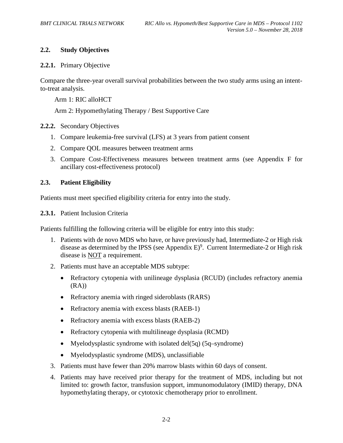## <span id="page-12-0"></span>**2.2. Study Objectives**

#### <span id="page-12-1"></span>**2.2.1.** Primary Objective

Compare the three-year overall survival probabilities between the two study arms using an intentto-treat analysis.

Arm 1: RIC alloHCT

Arm 2: Hypomethylating Therapy / Best Supportive Care

#### <span id="page-12-2"></span>**2.2.2.** Secondary Objectives

- 1. Compare leukemia-free survival (LFS) at 3 years from patient consent
- 2. Compare QOL measures between treatment arms
- 3. Compare Cost-Effectiveness measures between treatment arms (see Appendix F for ancillary cost-effectiveness protocol)

## <span id="page-12-3"></span>**2.3. Patient Eligibility**

Patients must meet specified eligibility criteria for entry into the study.

<span id="page-12-4"></span>**2.3.1.** Patient Inclusion Criteria

Patients fulfilling the following criteria will be eligible for entry into this study:

- 1. Patients with de novo MDS who have, or have previously had, Intermediate-2 or High risk disease as determined by the IPSS (see Appendix  $E$ )<sup>9</sup>. Current Intermediate-2 or High risk disease is NOT a requirement.
- 2. Patients must have an acceptable MDS subtype:
	- Refractory cytopenia with unilineage dysplasia (RCUD) (includes refractory anemia  $(RA)$
	- Refractory anemia with ringed sideroblasts (RARS)
	- Refractory anemia with excess blasts (RAEB-1)
	- Refractory anemia with excess blasts (RAEB-2)
	- Refractory cytopenia with multilineage dysplasia (RCMD)
	- Myelodysplastic syndrome with isolated del(5q) (5q–syndrome)
	- Myelodysplastic syndrome (MDS), unclassifiable
- 3. Patients must have fewer than 20% marrow blasts within 60 days of consent.
- 4. Patients may have received prior therapy for the treatment of MDS, including but not limited to: growth factor, transfusion support, immunomodulatory (IMID) therapy, DNA hypomethylating therapy, or cytotoxic chemotherapy prior to enrollment.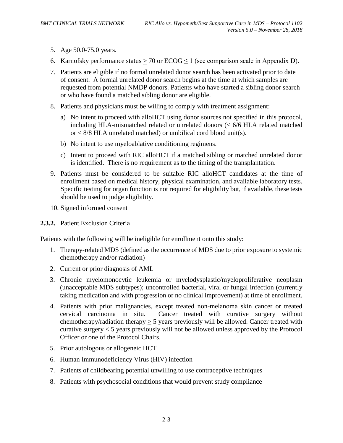- 5. Age 50.0-75.0 years.
- 6. Karnofsky performance status  $\geq 70$  or ECOG  $\leq 1$  (see comparison scale in Appendix D).
- 7. Patients are eligible if no formal unrelated donor search has been activated prior to date of consent. A formal unrelated donor search begins at the time at which samples are requested from potential NMDP donors. Patients who have started a sibling donor search or who have found a matched sibling donor are eligible.
- 8. Patients and physicians must be willing to comply with treatment assignment:
	- a) No intent to proceed with alloHCT using donor sources not specified in this protocol, including HLA-mismatched related or unrelated donors (< 6/6 HLA related matched or < 8/8 HLA unrelated matched) or umbilical cord blood unit(s).
	- b) No intent to use myeloablative conditioning regimens.
	- c) Intent to proceed with RIC alloHCT if a matched sibling or matched unrelated donor is identified. There is no requirement as to the timing of the transplantation.
- 9. Patients must be considered to be suitable RIC alloHCT candidates at the time of enrollment based on medical history, physical examination, and available laboratory tests. Specific testing for organ function is not required for eligibility but, if available, these tests should be used to judge eligibility.
- 10. Signed informed consent
- <span id="page-13-0"></span>**2.3.2.** Patient Exclusion Criteria

Patients with the following will be ineligible for enrollment onto this study:

- 1. Therapy-related MDS (defined as the occurrence of MDS due to prior exposure to systemic chemotherapy and/or radiation)
- 2. Current or prior diagnosis of AML
- 3. Chronic myelomonocytic leukemia or myelodysplastic/myeloproliferative neoplasm (unacceptable MDS subtypes); uncontrolled bacterial, viral or fungal infection (currently taking medication and with progression or no clinical improvement) at time of enrollment.
- 4. Patients with prior malignancies, except treated non-melanoma skin cancer or treated cervical carcinoma in situ. Cancer treated with curative surgery without chemotherapy/radiation therapy > 5 years previously will be allowed. Cancer treated with curative surgery < 5 years previously will not be allowed unless approved by the Protocol Officer or one of the Protocol Chairs.
- 5. Prior autologous or allogeneic HCT
- 6. Human Immunodeficiency Virus (HIV) infection
- 7. Patients of childbearing potential unwilling to use contraceptive techniques
- 8. Patients with psychosocial conditions that would prevent study compliance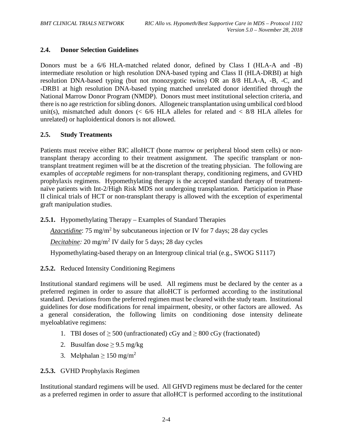## <span id="page-14-0"></span>**2.4. Donor Selection Guidelines**

Donors must be a 6/6 HLA-matched related donor, defined by Class I (HLA-A and -B) intermediate resolution or high resolution DNA-based typing and Class II (HLA-DRBI) at high resolution DNA-based typing (but not monozygotic twins) OR an 8/8 HLA-A, -B, -C, and -DRB1 at high resolution DNA-based typing matched unrelated donor identified through the National Marrow Donor Program (NMDP). Donors must meet institutional selection criteria, and there is no age restriction for sibling donors. Allogeneic transplantation using umbilical cord blood unit(s), mismatched adult donors  $\langle \langle 6/6 \rangle$  HLA alleles for related and  $\langle 8/8 \rangle$  HLA alleles for unrelated) or haploidentical donors is not allowed.

## <span id="page-14-1"></span>**2.5. Study Treatments**

Patients must receive either RIC alloHCT (bone marrow or peripheral blood stem cells) or nontransplant therapy according to their treatment assignment. The specific transplant or nontransplant treatment regimen will be at the discretion of the treating physician. The following are examples of *acceptable* regimens for non-transplant therapy, conditioning regimens, and GVHD prophylaxis regimens. Hypomethylating therapy is the accepted standard therapy of treatmentnaïve patients with Int-2/High Risk MDS not undergoing transplantation. Participation in Phase II clinical trials of HCT or non-transplant therapy is allowed with the exception of experimental graft manipulation studies.

<span id="page-14-2"></span>**2.5.1.** Hypomethylating Therapy – Examples of Standard Therapies

*Azacytidine*: 75 mg/m<sup>2</sup> by subcutaneous injection or IV for 7 days; 28 day cycles

*Decitabine:* 20 mg/m<sup>2</sup> IV daily for 5 days; 28 day cycles

Hypomethylating-based therapy on an Intergroup clinical trial (e.g., SWOG S1117)

<span id="page-14-3"></span>**2.5.2.** Reduced Intensity Conditioning Regimens

Institutional standard regimens will be used. All regimens must be declared by the center as a preferred regimen in order to assure that alloHCT is performed according to the institutional standard. Deviations from the preferred regimen must be cleared with the study team. Institutional guidelines for dose modifications for renal impairment, obesity, or other factors are allowed. As a general consideration, the following limits on conditioning dose intensity delineate myeloablative regimens:

- 1. TBI doses of  $\geq 500$  (unfractionated) cGy and  $\geq 800$  cGy (fractionated)
- 2. Busulfan dose  $\geq$  9.5 mg/kg
- 3. Melphalan  $\geq 150$  mg/m<sup>2</sup>

<span id="page-14-4"></span>**2.5.3.** GVHD Prophylaxis Regimen

Institutional standard regimens will be used. All GHVD regimens must be declared for the center as a preferred regimen in order to assure that alloHCT is performed according to the institutional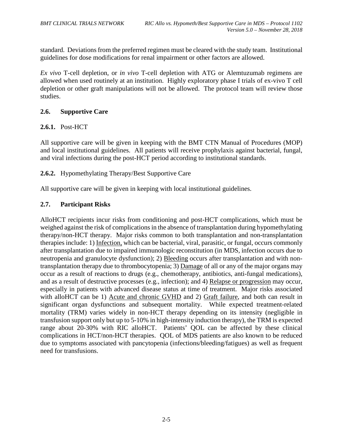standard. Deviations from the preferred regimen must be cleared with the study team. Institutional guidelines for dose modifications for renal impairment or other factors are allowed.

*Ex vivo* T-cell depletion, or *in vivo* T-cell depletion with ATG or Alemtuzumab regimens are allowed when used routinely at an institution. Highly exploratory phase I trials of ex-vivo T cell depletion or other graft manipulations will not be allowed. The protocol team will review those studies.

## <span id="page-15-0"></span>**2.6. Supportive Care**

## <span id="page-15-1"></span>**2.6.1.** Post-HCT

All supportive care will be given in keeping with the BMT CTN Manual of Procedures (MOP) and local institutional guidelines. All patients will receive prophylaxis against bacterial, fungal, and viral infections during the post-HCT period according to institutional standards.

<span id="page-15-2"></span>**2.6.2.** Hypomethylating Therapy/Best Supportive Care

All supportive care will be given in keeping with local institutional guidelines.

## <span id="page-15-3"></span>**2.7. Participant Risks**

AlloHCT recipients incur risks from conditioning and post-HCT complications, which must be weighed against the risk of complications in the absence of transplantation during hypomethylating therapy/non-HCT therapy. Major risks common to both transplantation and non-transplantation therapies include: 1) Infection, which can be bacterial, viral, parasitic, or fungal, occurs commonly after transplantation due to impaired immunologic reconstitution (in MDS, infection occurs due to neutropenia and granulocyte dysfunction); 2) Bleeding occurs after transplantation and with nontransplantation therapy due to thrombocytopenia; 3) Damage of all or any of the major organs may occur as a result of reactions to drugs (e.g., chemotherapy, antibiotics, anti-fungal medications), and as a result of destructive processes (e.g., infection); and 4) Relapse or progression may occur, especially in patients with advanced disease status at time of treatment. Major risks associated with alloHCT can be 1) Acute and chronic GVHD and 2) Graft failure, and both can result in significant organ dysfunctions and subsequent mortality. While expected treatment-related mortality (TRM) varies widely in non-HCT therapy depending on its intensity (negligible in transfusion support only but up to 5-10% in high-intensity induction therapy), the TRM is expected range about 20-30% with RIC alloHCT. Patients' QOL can be affected by these clinical complications in HCT/non-HCT therapies. QOL of MDS patients are also known to be reduced due to symptoms associated with pancytopenia (infections/bleeding/fatigues) as well as frequent need for transfusions.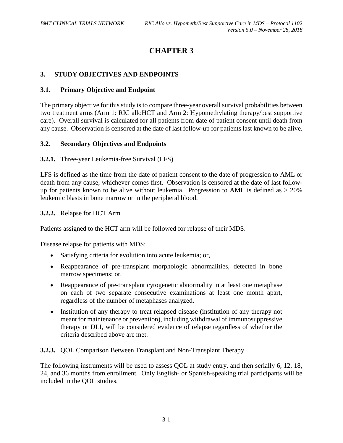## **CHAPTER 3**

## <span id="page-16-0"></span>**3. STUDY OBJECTIVES AND ENDPOINTS**

#### <span id="page-16-1"></span>**3.1. Primary Objective and Endpoint**

The primary objective for this study is to compare three-year overall survival probabilities between two treatment arms (Arm 1: RIC alloHCT and Arm 2: Hypomethylating therapy/best supportive care). Overall survival is calculated for all patients from date of patient consent until death from any cause. Observation is censored at the date of last follow-up for patients last known to be alive.

#### <span id="page-16-2"></span>**3.2. Secondary Objectives and Endpoints**

<span id="page-16-3"></span>**3.2.1.** Three-year Leukemia-free Survival (LFS)

LFS is defined as the time from the date of patient consent to the date of progression to AML or death from any cause, whichever comes first. Observation is censored at the date of last followup for patients known to be alive without leukemia. Progression to AML is defined as  $> 20\%$ leukemic blasts in bone marrow or in the peripheral blood.

<span id="page-16-4"></span>**3.2.2.** Relapse for HCT Arm

Patients assigned to the HCT arm will be followed for relapse of their MDS.

Disease relapse for patients with MDS:

- Satisfying criteria for evolution into acute leukemia; or,
- Reappearance of pre-transplant morphologic abnormalities, detected in bone marrow specimens; or,
- Reappearance of pre-transplant cytogenetic abnormality in at least one metaphase on each of two separate consecutive examinations at least one month apart, regardless of the number of metaphases analyzed.
- Institution of any therapy to treat relapsed disease (institution of any therapy not meant for maintenance or prevention), including withdrawal of immunosuppressive therapy or DLI, will be considered evidence of relapse regardless of whether the criteria described above are met.

<span id="page-16-5"></span>**3.2.3.** QOL Comparison Between Transplant and Non-Transplant Therapy

The following instruments will be used to assess QOL at study entry, and then serially 6, 12, 18, 24, and 36 months from enrollment. Only English- or Spanish-speaking trial participants will be included in the QOL studies.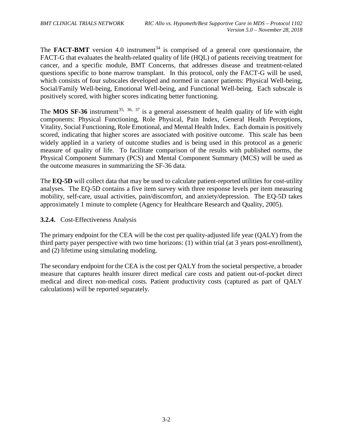The **FACT-BMT** version 4.0 instrument<sup>[34](#page-105-11)</sup> is comprised of a general core questionnaire, the FACT-G that evaluates the health-related quality of life (HQL) of patients receiving treatment for cancer, and a specific module, BMT Concerns, that addresses disease and treatment-related questions specific to bone marrow transplant. In this protocol, only the FACT-G will be used, which consists of four subscales developed and normed in cancer patients: Physical Well-being, Social/Family Well-being, Emotional Well-being, and Functional Well-being. Each subscale is positively scored, with higher scores indicating better functioning.

<span id="page-17-1"></span>The **MOS SF-36** instrument<sup>[35](#page-105-12), [36,](#page-105-13) [37](#page-105-14)</sup> is a general assessment of health quality of life with eight components: Physical Functioning, Role Physical, Pain Index, General Health Perceptions, Vitality, Social Functioning, Role Emotional, and Mental Health Index. Each domain is positively scored, indicating that higher scores are associated with positive outcome. This scale has been widely applied in a variety of outcome studies and is being used in this protocol as a generic measure of quality of life. To facilitate comparison of the results with published norms, the Physical Component Summary (PCS) and Mental Component Summary (MCS) will be used as the outcome measures in summarizing the SF-36 data.

The **EQ-5D** will collect data that may be used to calculate patient-reported utilities for cost-utility analyses. The EQ-5D contains a five item survey with three response levels per item measuring mobility, self-care, usual activities, pain/discomfort, and anxiety/depression. The EQ-5D takes approximately 1 minute to complete (Agency for Healthcare Research and Quality, 2005).

<span id="page-17-0"></span>**3.2.4.** Cost-Effectiveness Analysis

The primary endpoint for the CEA will be the cost per quality-adjusted life year (QALY) from the third party payer perspective with two time horizons: (1) within trial (at 3 years post-enrollment), and (2) lifetime using simulating modeling.

The secondary endpoint for the CEA is the cost per QALY from the societal perspective, a broader measure that captures health insurer direct medical care costs and patient out-of-pocket direct medical and direct non-medical costs. Patient productivity costs (captured as part of QALY calculations) will be reported separately.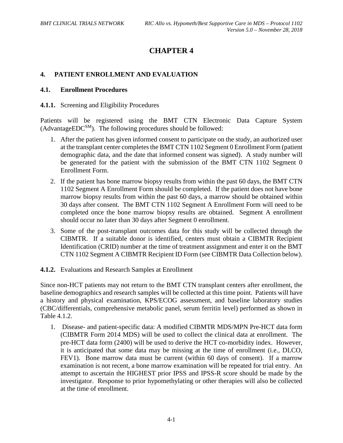## **CHAPTER 4**

## <span id="page-18-0"></span>**4. PATIENT ENROLLMENT AND EVALUATION**

#### <span id="page-18-1"></span>**4.1. Enrollment Procedures**

#### <span id="page-18-2"></span>**4.1.1.** Screening and Eligibility Procedures

Patients will be registered using the BMT CTN Electronic Data Capture System  $(AdvancedEDC<sup>SM</sup>)$ . The following procedures should be followed:

- 1. After the patient has given informed consent to participate on the study, an authorized user at the transplant center completes the BMT CTN 1102 Segment 0 Enrollment Form (patient demographic data, and the date that informed consent was signed). A study number will be generated for the patient with the submission of the BMT CTN 1102 Segment 0 Enrollment Form.
- 2. If the patient has bone marrow biopsy results from within the past 60 days, the BMT CTN 1102 Segment A Enrollment Form should be completed. If the patient does not have bone marrow biopsy results from within the past 60 days, a marrow should be obtained within 30 days after consent. The BMT CTN 1102 Segment A Enrollment Form will need to be completed once the bone marrow biopsy results are obtained. Segment A enrollment should occur no later than 30 days after Segment 0 enrollment.
- 3. Some of the post-transplant outcomes data for this study will be collected through the CIBMTR. If a suitable donor is identified, centers must obtain a CIBMTR Recipient Identification (CRID) number at the time of treatment assignment and enter it on the BMT CTN 1102 Segment A CIBMTR Recipient ID Form (see CIBMTR Data Collection below).
- <span id="page-18-3"></span>**4.1.2.** Evaluations and Research Samples at Enrollment

Since non-HCT patients may not return to the BMT CTN transplant centers after enrollment, the baseline demographics and research samples will be collected at this time point. Patients will have a history and physical examination, KPS/ECOG assessment, and baseline laboratory studies (CBC/differentials, comprehensive metabolic panel, serum ferritin level) performed as shown in Table 4.1.2.

1. Disease- and patient-specific data: A modified CIBMTR MDS/MPN Pre-HCT data form (CIBMTR Form 2014 MDS) will be used to collect the clinical data at enrollment. The pre-HCT data form (2400) will be used to derive the HCT co-morbidity index. However, it is anticipated that some data may be missing at the time of enrollment (i.e., DLCO, FEV1). Bone marrow data must be current (within 60 days of consent). If a marrow examination is not recent, a bone marrow examination will be repeated for trial entry. An attempt to ascertain the HIGHEST prior IPSS and IPSS-R score should be made by the investigator. Response to prior hypomethylating or other therapies will also be collected at the time of enrollment.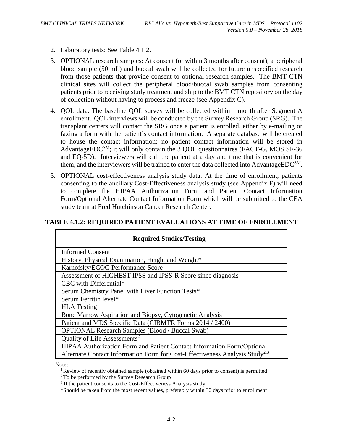- 2. Laboratory tests: See Table 4.1.2.
- 3. OPTIONAL research samples: At consent (or within 3 months after consent), a peripheral blood sample (50 mL) and buccal swab will be collected for future unspecified research from those patients that provide consent to optional research samples. The BMT CTN clinical sites will collect the peripheral blood/buccal swab samples from consenting patients prior to receiving study treatment and ship to the BMT CTN repository on the day of collection without having to process and freeze (see Appendix C).
- 4. QOL data: The baseline QOL survey will be collected within 1 month after Segment A enrollment. QOL interviews will be conducted by the Survey Research Group (SRG). The transplant centers will contact the SRG once a patient is enrolled, either by e-mailing or faxing a form with the patient's contact information. A separate database will be created to house the contact information; no patient contact information will be stored in AdvantageEDC<sup>SM</sup>; it will only contain the 3 QOL questionnaires (FACT-G, MOS SF-36) and EQ-5D). Interviewers will call the patient at a day and time that is convenient for them, and the interviewers will be trained to enter the data collected into AdvantageEDC<sup>SM</sup>.
- 5. OPTIONAL cost-effectiveness analysis study data: At the time of enrollment, patients consenting to the ancillary Cost-Effectiveness analysis study (see Appendix F) will need to complete the HIPAA Authorization Form and Patient Contact Information Form/Optional Alternate Contact Information Form which will be submitted to the CEA study team at Fred Hutchinson Cancer Research Center.

## **TABLE 4.1.2: REQUIRED PATIENT EVALUATIONS AT TIME OF ENROLLMENT**

| <b>Required Studies/Testing</b>                                                         |
|-----------------------------------------------------------------------------------------|
| <b>Informed Consent</b>                                                                 |
| History, Physical Examination, Height and Weight*                                       |
| Karnofsky/ECOG Performance Score                                                        |
| Assessment of HIGHEST IPSS and IPSS-R Score since diagnosis                             |
| CBC with Differential*                                                                  |
| Serum Chemistry Panel with Liver Function Tests*                                        |
| Serum Ferritin level*                                                                   |
| <b>HLA</b> Testing                                                                      |
| Bone Marrow Aspiration and Biopsy, Cytogenetic Analysis <sup>1</sup>                    |
| Patient and MDS Specific Data (CIBMTR Forms 2014 / 2400)                                |
| <b>OPTIONAL Research Samples (Blood / Buccal Swab)</b>                                  |
| Quality of Life Assessments <sup>2</sup>                                                |
| HIPAA Authorization Form and Patient Contact Information Form/Optional                  |
| Alternate Contact Information Form for Cost-Effectiveness Analysis Study <sup>2,3</sup> |

Notes:<br><sup>1</sup> Review of recently obtained sample (obtained within 60 days prior to consent) is permitted

- <sup>3</sup> If the patient consents to the Cost-Effectiveness Analysis study
- \*Should be taken from the most recent values, preferably within 30 days prior to enrollment

<sup>&</sup>lt;sup>2</sup> To be performed by the Survey Research Group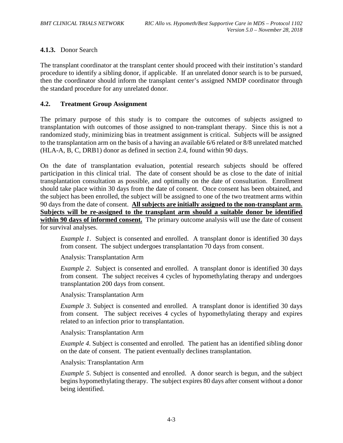## <span id="page-20-0"></span>**4.1.3.** Donor Search

The transplant coordinator at the transplant center should proceed with their institution's standard procedure to identify a sibling donor, if applicable. If an unrelated donor search is to be pursued, then the coordinator should inform the transplant center's assigned NMDP coordinator through the standard procedure for any unrelated donor.

#### <span id="page-20-1"></span>**4.2. Treatment Group Assignment**

The primary purpose of this study is to compare the outcomes of subjects assigned to transplantation with outcomes of those assigned to non-transplant therapy. Since this is not a randomized study, minimizing bias in treatment assignment is critical. Subjects will be assigned to the transplantation arm on the basis of a having an available 6/6 related or 8/8 unrelated matched (HLA-A, B, C, DRB1) donor as defined in section 2.4, found within 90 days.

On the date of transplantation evaluation, potential research subjects should be offered participation in this clinical trial. The date of consent should be as close to the date of initial transplantation consultation as possible, and optimally on the date of consultation. Enrollment should take place within 30 days from the date of consent. Once consent has been obtained, and the subject has been enrolled, the subject will be assigned to one of the two treatment arms within 90 days from the date of consent. **All subjects are initially assigned to the non-transplant arm. Subjects will be re-assigned to the transplant arm should a suitable donor be identified**  within 90 days of informed consent. The primary outcome analysis will use the date of consent for survival analyses.

*Example 1.* Subject is consented and enrolled. A transplant donor is identified 30 days from consent. The subject undergoes transplantation 70 days from consent.

Analysis: Transplantation Arm

*Example 2*. Subject is consented and enrolled. A transplant donor is identified 30 days from consent. The subject receives 4 cycles of hypomethylating therapy and undergoes transplantation 200 days from consent.

Analysis: Transplantation Arm

*Example 3*. Subject is consented and enrolled. A transplant donor is identified 30 days from consent. The subject receives 4 cycles of hypomethylating therapy and expires related to an infection prior to transplantation.

Analysis: Transplantation Arm

*Example 4*. Subject is consented and enrolled. The patient has an identified sibling donor on the date of consent. The patient eventually declines transplantation.

Analysis: Transplantation Arm

*Example 5*. Subject is consented and enrolled. A donor search is begun, and the subject begins hypomethylating therapy. The subject expires 80 days after consent without a donor being identified.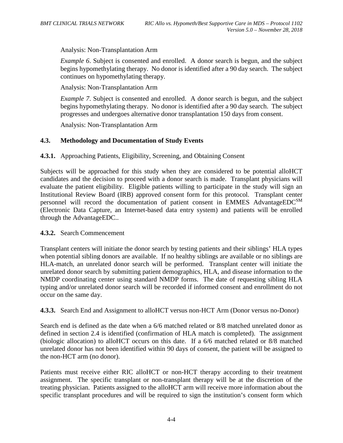Analysis: Non-Transplantation Arm

*Example 6.* Subject is consented and enrolled. A donor search is begun, and the subject begins hypomethylating therapy. No donor is identified after a 90 day search. The subject continues on hypomethylating therapy.

Analysis: Non-Transplantation Arm

*Example 7*. Subject is consented and enrolled. A donor search is begun, and the subject begins hypomethylating therapy. No donor is identified after a 90 day search. The subject progresses and undergoes alternative donor transplantation 150 days from consent.

Analysis: Non-Transplantation Arm

## <span id="page-21-0"></span>**4.3. Methodology and Documentation of Study Events**

<span id="page-21-1"></span>**4.3.1.** Approaching Patients, Eligibility, Screening, and Obtaining Consent

Subjects will be approached for this study when they are considered to be potential alloHCT candidates and the decision to proceed with a donor search is made. Transplant physicians will evaluate the patient eligibility. Eligible patients willing to participate in the study will sign an Institutional Review Board (IRB) approved consent form for this protocol. Transplant center personnel will record the documentation of patient consent in EMMES AdvantageEDCSM (Electronic Data Capture, an Internet-based data entry system) and patients will be enrolled through the AdvantageEDC..

## <span id="page-21-2"></span>**4.3.2.** Search Commencement

Transplant centers will initiate the donor search by testing patients and their siblings' HLA types when potential sibling donors are available. If no healthy siblings are available or no siblings are HLA-match, an unrelated donor search will be performed. Transplant center will initiate the unrelated donor search by submitting patient demographics, HLA, and disease information to the NMDP coordinating center using standard NMDP forms. The date of requesting sibling HLA typing and/or unrelated donor search will be recorded if informed consent and enrollment do not occur on the same day.

<span id="page-21-3"></span>**4.3.3.** Search End and Assignment to alloHCT versus non-HCT Arm (Donor versus no-Donor)

Search end is defined as the date when a 6/6 matched related or 8/8 matched unrelated donor as defined in section 2.4 is identified (confirmation of HLA match is completed). The assignment (biologic allocation) to alloHCT occurs on this date. If a 6/6 matched related or 8/8 matched unrelated donor has not been identified within 90 days of consent, the patient will be assigned to the non-HCT arm (no donor).

Patients must receive either RIC alloHCT or non-HCT therapy according to their treatment assignment. The specific transplant or non-transplant therapy will be at the discretion of the treating physician. Patients assigned to the alloHCT arm will receive more information about the specific transplant procedures and will be required to sign the institution's consent form which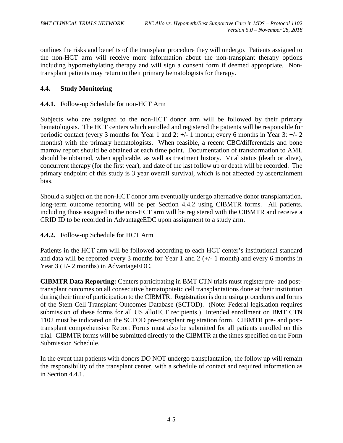outlines the risks and benefits of the transplant procedure they will undergo. Patients assigned to the non-HCT arm will receive more information about the non-transplant therapy options including hypomethylating therapy and will sign a consent form if deemed appropriate. Nontransplant patients may return to their primary hematologists for therapy.

## <span id="page-22-0"></span>**4.4. Study Monitoring**

## <span id="page-22-1"></span>**4.4.1.** Follow-up Schedule for non-HCT Arm

Subjects who are assigned to the non-HCT donor arm will be followed by their primary hematologists. The HCT centers which enrolled and registered the patients will be responsible for periodic contact (every 3 months for Year 1 and 2: +/- 1 month; every 6 months in Year 3: +/- 2 months) with the primary hematologists. When feasible, a recent CBC/differentials and bone marrow report should be obtained at each time point. Documentation of transformation to AML should be obtained, when applicable, as well as treatment history. Vital status (death or alive), concurrent therapy (for the first year), and date of the last follow up or death will be recorded. The primary endpoint of this study is 3 year overall survival, which is not affected by ascertainment bias.

Should a subject on the non-HCT donor arm eventually undergo alternative donor transplantation, long-term outcome reporting will be per Section 4.4.2 using CIBMTR forms. All patients, including those assigned to the non-HCT arm will be registered with the CIBMTR and receive a CRID ID to be recorded in AdvantageEDC upon assignment to a study arm.

<span id="page-22-2"></span>**4.4.2.** Follow-up Schedule for HCT Arm

Patients in the HCT arm will be followed according to each HCT center's institutional standard and data will be reported every 3 months for Year 1 and  $2 (+/- 1$  month) and every 6 months in Year 3 (+/- 2 months) in AdvantageEDC.

**CIBMTR Data Reporting:** Centers participating in BMT CTN trials must register pre- and posttransplant outcomes on all consecutive hematopoietic cell transplantations done at their institution during their time of participation to the CIBMTR. Registration is done using procedures and forms of the Stem Cell Transplant Outcomes Database (SCTOD). (Note: Federal legislation requires submission of these forms for all US alloHCT recipients.) Intended enrollment on BMT CTN 1102 must be indicated on the SCTOD pre-transplant registration form. CIBMTR pre- and posttransplant comprehensive Report Forms must also be submitted for all patients enrolled on this trial. CIBMTR forms will be submitted directly to the CIBMTR at the times specified on the Form Submission Schedule.

In the event that patients with donors DO NOT undergo transplantation, the follow up will remain the responsibility of the transplant center, with a schedule of contact and required information as in Section 4.4.1.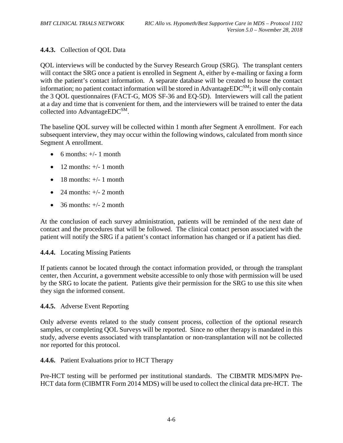## <span id="page-23-0"></span>**4.4.3.** Collection of QOL Data

QOL interviews will be conducted by the Survey Research Group (SRG). The transplant centers will contact the SRG once a patient is enrolled in Segment A, either by e-mailing or faxing a form with the patient's contact information. A separate database will be created to house the contact information; no patient contact information will be stored in AdvantageEDC<sup>SM</sup>; it will only contain the 3 QOL questionnaires (FACT-G, MOS SF-36 and EQ-5D). Interviewers will call the patient at a day and time that is convenient for them, and the interviewers will be trained to enter the data collected into AdvantageEDCSM.

The baseline QOL survey will be collected within 1 month after Segment A enrollment. For each subsequent interview, they may occur within the following windows, calculated from month since Segment A enrollment.

- 6 months:  $+/- 1$  month
- $\bullet$  12 months:  $\pm/-1$  month
- $\bullet$  18 months:  $\pm$ /-1 month
- 24 months:  $+/- 2$  month
- 36 months:  $+/- 2$  month

At the conclusion of each survey administration, patients will be reminded of the next date of contact and the procedures that will be followed. The clinical contact person associated with the patient will notify the SRG if a patient's contact information has changed or if a patient has died.

## <span id="page-23-1"></span>**4.4.4.** Locating Missing Patients

If patients cannot be located through the contact information provided, or through the transplant center, then Accurint, a government website accessible to only those with permission will be used by the SRG to locate the patient. Patients give their permission for the SRG to use this site when they sign the informed consent.

## <span id="page-23-2"></span>**4.4.5.** Adverse Event Reporting

Only adverse events related to the study consent process, collection of the optional research samples, or completing QOL Surveys will be reported. Since no other therapy is mandated in this study, adverse events associated with transplantation or non-transplantation will not be collected nor reported for this protocol.

## <span id="page-23-3"></span>**4.4.6.** Patient Evaluations prior to HCT Therapy

Pre-HCT testing will be performed per institutional standards. The CIBMTR MDS/MPN Pre-HCT data form (CIBMTR Form 2014 MDS) will be used to collect the clinical data pre-HCT. The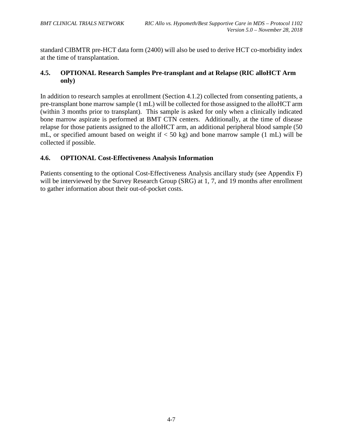standard CIBMTR pre-HCT data form (2400) will also be used to derive HCT co-morbidity index at the time of transplantation.

## <span id="page-24-0"></span>**4.5. OPTIONAL Research Samples Pre-transplant and at Relapse (RIC alloHCT Arm only)**

In addition to research samples at enrollment (Section 4.1.2) collected from consenting patients, a pre-transplant bone marrow sample (1 mL) will be collected for those assigned to the alloHCT arm (within 3 months prior to transplant). This sample is asked for only when a clinically indicated bone marrow aspirate is performed at BMT CTN centers. Additionally, at the time of disease relapse for those patients assigned to the alloHCT arm, an additional peripheral blood sample (50 mL, or specified amount based on weight if  $<$  50 kg) and bone marrow sample (1 mL) will be collected if possible.

## <span id="page-24-1"></span>**4.6. OPTIONAL Cost-Effectiveness Analysis Information**

Patients consenting to the optional Cost-Effectiveness Analysis ancillary study (see Appendix F) will be interviewed by the Survey Research Group (SRG) at 1, 7, and 19 months after enrollment to gather information about their out-of-pocket costs.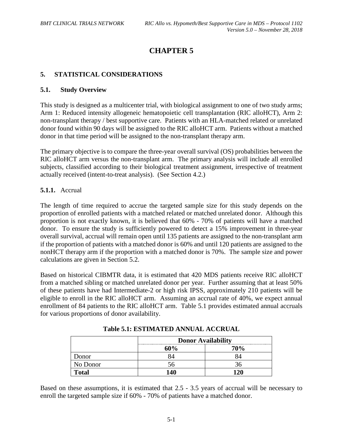## **CHAPTER 5**

## <span id="page-25-0"></span>**5. STATISTICAL CONSIDERATIONS**

#### <span id="page-25-1"></span>**5.1. Study Overview**

This study is designed as a multicenter trial, with biological assignment to one of two study arms; Arm 1: Reduced intensity allogeneic hematopoietic cell transplantation (RIC alloHCT), Arm 2: non-transplant therapy / best supportive care. Patients with an HLA-matched related or unrelated donor found within 90 days will be assigned to the RIC alloHCT arm. Patients without a matched donor in that time period will be assigned to the non-transplant therapy arm.

The primary objective is to compare the three-year overall survival (OS) probabilities between the RIC alloHCT arm versus the non-transplant arm. The primary analysis will include all enrolled subjects, classified according to their biological treatment assignment, irrespective of treatment actually received (intent-to-treat analysis). (See Section 4.2.)

## <span id="page-25-2"></span>**5.1.1.** Accrual

The length of time required to accrue the targeted sample size for this study depends on the proportion of enrolled patients with a matched related or matched unrelated donor. Although this proportion is not exactly known, it is believed that 60% - 70% of patients will have a matched donor. To ensure the study is sufficiently powered to detect a 15% improvement in three-year overall survival, accrual will remain open until 135 patients are assigned to the non-transplant arm if the proportion of patients with a matched donor is 60% and until 120 patients are assigned to the nonHCT therapy arm if the proportion with a matched donor is 70%. The sample size and power calculations are given in Section 5.2.

Based on historical CIBMTR data, it is estimated that 420 MDS patients receive RIC alloHCT from a matched sibling or matched unrelated donor per year. Further assuming that at least 50% of these patients have had Intermediate-2 or high risk IPSS, approximately 210 patients will be eligible to enroll in the RIC alloHCT arm. Assuming an accrual rate of 40%, we expect annual enrollment of 84 patients to the RIC alloHCT arm. Table 5.1 provides estimated annual accruals for various proportions of donor availability.

|              | <b>Donor Availability</b> |     |  |
|--------------|---------------------------|-----|--|
|              | 60%                       | 70% |  |
| Donor        |                           |     |  |
| No Donor     |                           |     |  |
| <b>Total</b> | 140                       | 120 |  |

**Table 5.1: ESTIMATED ANNUAL ACCRUAL**

Based on these assumptions, it is estimated that 2.5 - 3.5 years of accrual will be necessary to enroll the targeted sample size if 60% - 70% of patients have a matched donor.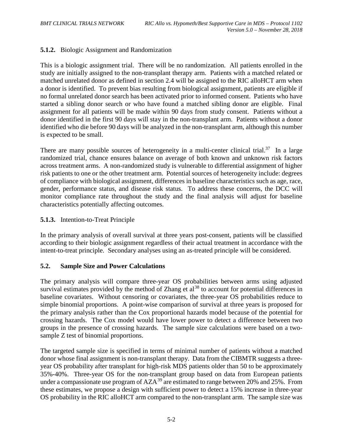## <span id="page-26-0"></span>**5.1.2.** Biologic Assignment and Randomization

This is a biologic assignment trial. There will be no randomization. All patients enrolled in the study are initially assigned to the non-transplant therapy arm. Patients with a matched related or matched unrelated donor as defined in section 2.4 will be assigned to the RIC alloHCT arm when a donor is identified. To prevent bias resulting from biological assignment, patients are eligible if no formal unrelated donor search has been activated prior to informed consent. Patients who have started a sibling donor search or who have found a matched sibling donor are eligible. Final assignment for all patients will be made within 90 days from study consent. Patients without a donor identified in the first 90 days will stay in the non-transplant arm. Patients without a donor identified who die before 90 days will be analyzed in the non-transplant arm, although this number is expected to be small.

There are many possible sources of heterogeneity in a multi-center clinical trial.<sup>37</sup> In a large randomized trial, chance ensures balance on average of both known and unknown risk factors across treatment arms. A non-randomized study is vulnerable to differential assignment of higher risk patients to one or the other treatment arm. Potential sources of heterogeneity include: degrees of compliance with biological assignment, differences in baseline characteristics such as age, race, gender, performance status, and disease risk status. To address these concerns, the DCC will monitor compliance rate throughout the study and the final analysis will adjust for baseline characteristics potentially affecting outcomes.

## <span id="page-26-1"></span>**5.1.3.** Intention-to-Treat Principle

In the primary analysis of overall survival at three years post-consent, patients will be classified according to their biologic assignment regardless of their actual treatment in accordance with the intent-to-treat principle. Secondary analyses using an as-treated principle will be considered.

## <span id="page-26-2"></span>**5.2. Sample Size and Power Calculations**

<span id="page-26-3"></span>The primary analysis will compare three-year OS probabilities between arms using adjusted survival estimates provided by the method of Zhang et  $al^{38}$  $al^{38}$  $al^{38}$  to account for potential differences in baseline covariates. Without censoring or covariates, the three-year OS probabilities reduce to simple binomial proportions. A point-wise comparison of survival at three years is proposed for the primary analysis rather than the Cox proportional hazards model because of the potential for crossing hazards. The Cox model would have lower power to detect a difference between two groups in the presence of crossing hazards. The sample size calculations were based on a twosample Z test of binomial proportions.

The targeted sample size is specified in terms of minimal number of patients without a matched donor whose final assignment is non-transplant therapy. Data from the CIBMTR suggests a threeyear OS probability after transplant for high-risk MDS patients older than 50 to be approximately 35%-40%. Three-year OS for the non-transplant group based on data from European patients under a compassionate use program of  $AZA^{39}$  $AZA^{39}$  $AZA^{39}$  are estimated to range between 20% and 25%. From these estimates, we propose a design with sufficient power to detect a 15% increase in three-year OS probability in the RIC alloHCT arm compared to the non-transplant arm. The sample size was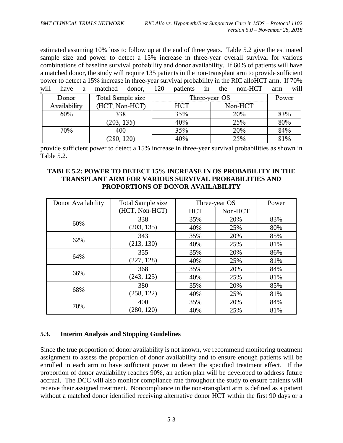estimated assuming 10% loss to follow up at the end of three years. Table 5.2 give the estimated sample size and power to detect a 15% increase in three-year overall survival for various combinations of baseline survival probability and donor availability. If 60% of patients will have a matched donor, the study will require 135 patients in the non-transplant arm to provide sufficient power to detect a 15% increase in three-year survival probability in the RIC alloHCT arm. If 70% will have a matched donor, 120 patients in the non-HCT arm will

| Donor        | Total Sample size |     | Three-year OS |     |  |
|--------------|-------------------|-----|---------------|-----|--|
| Availability | (HCT, Non-HCT)    | нст | Non-HCT       |     |  |
| 60%          | 338               | 35% | 20%           | 83% |  |
|              | 203, 135)         | 40% | 25%           | 80% |  |
| 70%          | 400               | 35% | 20%           | 84% |  |
|              | 280, 120)         | 40% | 250/          | 81% |  |

provide sufficient power to detect a 15% increase in three-year survival probabilities as shown in Table 5.2.

## **TABLE 5.2: POWER TO DETECT 15% INCREASE IN OS PROBABILITY IN THE TRANSPLANT ARM FOR VARIOUS SURVIVAL PROBABILITIES AND PROPORTIONS OF DONOR AVAILABILITY**

| Donor Availability | Total Sample size | Three-year OS |         | Power |
|--------------------|-------------------|---------------|---------|-------|
|                    | (HCT, Non-HCT)    | <b>HCT</b>    | Non-HCT |       |
| 60%                | 338               | 35%           | 20%     | 83%   |
|                    | (203, 135)        | 40%           | 25%     | 80%   |
|                    | 343               | 35%           | 20%     | 85%   |
| 62%                | (213, 130)        | 40%           | 25%     | 81%   |
| 64%                | 355               | 35%           | 20%     | 86%   |
|                    | (227, 128)        | 40%           | 25%     | 81%   |
| 66%                | 368               | 35%           | 20%     | 84%   |
|                    | (243, 125)        | 40%           | 25%     | 81%   |
|                    | 380               | 35%           | 20%     | 85%   |
| 68%                | (258, 122)        | 40%           | 25%     | 81%   |
|                    | 400               | 35%           | 20%     | 84%   |
| 70%                | (280, 120)        | 40%           | 25%     | 81%   |

## <span id="page-27-0"></span>**5.3. Interim Analysis and Stopping Guidelines**

Since the true proportion of donor availability is not known, we recommend monitoring treatment assignment to assess the proportion of donor availability and to ensure enough patients will be enrolled in each arm to have sufficient power to detect the specified treatment effect. If the proportion of donor availability reaches 90%, an action plan will be developed to address future accrual. The DCC will also monitor compliance rate throughout the study to ensure patients will receive their assigned treatment. Noncompliance in the non-transplant arm is defined as a patient without a matched donor identified receiving alternative donor HCT within the first 90 days or a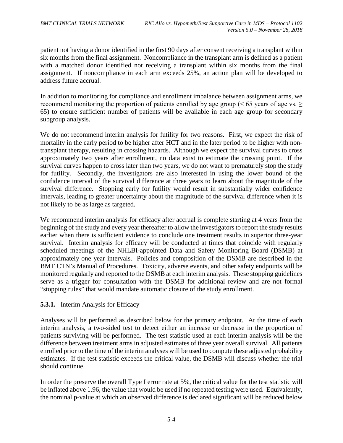patient not having a donor identified in the first 90 days after consent receiving a transplant within six months from the final assignment. Noncompliance in the transplant arm is defined as a patient with a matched donor identified not receiving a transplant within six months from the final assignment. If noncompliance in each arm exceeds 25%, an action plan will be developed to address future accrual.

In addition to monitoring for compliance and enrollment imbalance between assignment arms, we recommend monitoring the proportion of patients enrolled by age group ( $\leq 65$  years of age vs.  $\geq$ 65) to ensure sufficient number of patients will be available in each age group for secondary subgroup analysis.

We do not recommend interim analysis for futility for two reasons. First, we expect the risk of mortality in the early period to be higher after HCT and in the later period to be higher with nontransplant therapy, resulting in crossing hazards. Although we expect the survival curves to cross approximately two years after enrollment, no data exist to estimate the crossing point. If the survival curves happen to cross later than two years, we do not want to prematurely stop the study for futility. Secondly, the investigators are also interested in using the lower bound of the confidence interval of the survival difference at three years to learn about the magnitude of the survival difference. Stopping early for futility would result in substantially wider confidence intervals, leading to greater uncertainty about the magnitude of the survival difference when it is not likely to be as large as targeted.

We recommend interim analysis for efficacy after accrual is complete starting at 4 years from the beginning of the study and every year thereafter to allow the investigators to report the study results earlier when there is sufficient evidence to conclude one treatment results in superior three-year survival. Interim analysis for efficacy will be conducted at times that coincide with regularly scheduled meetings of the NHLBI-appointed Data and Safety Monitoring Board (DSMB) at approximately one year intervals. Policies and composition of the DSMB are described in the BMT CTN's Manual of Procedures. Toxicity, adverse events, and other safety endpoints will be monitored regularly and reported to the DSMB at each interim analysis. These stopping guidelines serve as a trigger for consultation with the DSMB for additional review and are not formal "stopping rules" that would mandate automatic closure of the study enrollment.

## <span id="page-28-0"></span>**5.3.1.** Interim Analysis for Efficacy

Analyses will be performed as described below for the primary endpoint. At the time of each interim analysis, a two-sided test to detect either an increase or decrease in the proportion of patients surviving will be performed. The test statistic used at each interim analysis will be the difference between treatment arms in adjusted estimates of three year overall survival. All patients enrolled prior to the time of the interim analyses will be used to compute these adjusted probability estimates. If the test statistic exceeds the critical value, the DSMB will discuss whether the trial should continue.

In order the preserve the overall Type I error rate at 5%, the critical value for the test statistic will be inflated above 1.96, the value that would be used if no repeated testing were used. Equivalently, the nominal p-value at which an observed difference is declared significant will be reduced below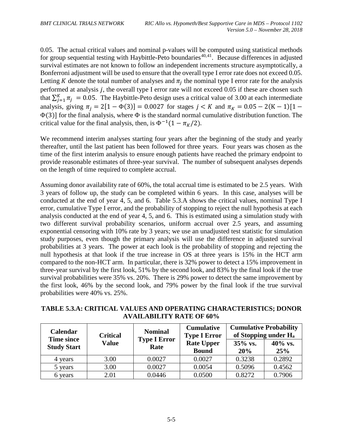0.05. The actual critical values and nominal p-values will be computed using statistical methods for group sequential testing with Haybittle-Peto boundaries<sup> $40,41$  $40,41$  $40,41$ </sup>. Because differences in adjusted survival estimates are not known to follow an independent increments structure asymptotically, a Bonferroni adjustment will be used to ensure that the overall type I error rate does not exceed 0.05. Letting K denote the total number of analyses and  $\pi_i$  the nominal type I error rate for the analysis performed at analysis  $j$ , the overall type I error rate will not exceed 0.05 if these are chosen such that  $\sum_{j=1}^{K} \pi_j = 0.05$ . The Haybittle-Peto design uses a critical value of 3.00 at each intermediate analysis, giving  $\pi_i = 2[1 - \Phi(3)] = 0.0027$  for stages  $j < K$  and  $\pi_K = 0.05 - 2(K - 1)[1 \Phi(3)$ ] for the final analysis, where  $\Phi$  is the standard normal cumulative distribution function. The critical value for the final analysis, then, is  $\Phi^{-1}(1 - \pi_K/2)$ .

We recommend interim analyses starting four years after the beginning of the study and yearly thereafter, until the last patient has been followed for three years. Four years was chosen as the time of the first interim analysis to ensure enough patients have reached the primary endpoint to provide reasonable estimates of three-year survival. The number of subsequent analyses depends on the length of time required to complete accrual.

Assuming donor availability rate of 60%, the total accrual time is estimated to be 2.5 years. With 3 years of follow up, the study can be completed within 6 years. In this case, analyses will be conducted at the end of year 4, 5, and 6. Table 5.3.A shows the critical values, nominal Type I error, cumulative Type I error, and the probability of stopping to reject the null hypothesis at each analysis conducted at the end of year 4, 5, and 6. This is estimated using a simulation study with two different survival probability scenarios, uniform accrual over 2.5 years, and assuming exponential censoring with 10% rate by 3 years; we use an unadjusted test statistic for simulation study purposes, even though the primary analysis will use the difference in adjusted survival probabilities at 3 years. The power at each look is the probability of stopping and rejecting the null hypothesis at that look if the true increase in OS at three years is 15% in the HCT arm compared to the non-HCT arm. In particular, there is 32% power to detect a 15% improvement in three-year survival by the first look, 51% by the second look, and 83% by the final look if the true survival probabilities were 35% vs. 20%. There is 29% power to detect the same improvement by the first look, 46% by the second look, and 79% power by the final look if the true survival probabilities were 40% vs. 25%.

|  |                                 |  | Cumulative   Cumulative Drahability                     |
|--|---------------------------------|--|---------------------------------------------------------|
|  | <b>AVAILABILITY RATE OF 60%</b> |  |                                                         |
|  |                                 |  | THE PROPERTY CHAIRS OF PROPERTY CHARGE CHARGE PROPERTY. |

**TABLE 5.3.A: CRITICAL VALUES AND OPERATING CHARACTERISTICS; DONOR** 

| <b>Calendar</b><br><b>Time since</b> | <b>Critical</b> | <b>Nominal</b>              | <b>Cumulative</b><br><b>Type I Error</b> |                | <b>Cumulative Probability</b><br>of Stopping under H <sub>a</sub> |
|--------------------------------------|-----------------|-----------------------------|------------------------------------------|----------------|-------------------------------------------------------------------|
| <b>Study Start</b>                   | <b>Value</b>    | <b>Type I Error</b><br>Rate | <b>Rate Upper</b><br><b>Bound</b>        | 35% vs.<br>20% | 40% vs.<br>25%                                                    |
| 4 years                              | 3.00            | 0.0027                      | 0.0027                                   | 0.3238         | 0.2892                                                            |
| 5 years                              | 3.00            | 0.0027                      | 0.0054                                   | 0.5096         | 0.4562                                                            |
| 6 years                              | 2.01            | 0.0446                      | 0.0500                                   | 0.8272         | 0.7906                                                            |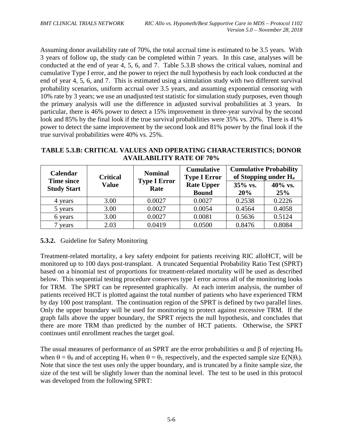Assuming donor availability rate of 70%, the total accrual time is estimated to be 3.5 years. With 3 years of follow up, the study can be completed within 7 years. In this case, analyses will be conducted at the end of year 4, 5, 6, and 7. Table 5.3.B shows the critical values, nominal and cumulative Type I error, and the power to reject the null hypothesis by each look conducted at the end of year 4, 5, 6, and 7. This is estimated using a simulation study with two different survival probability scenarios, uniform accrual over 3.5 years, and assuming exponential censoring with 10% rate by 3 years; we use an unadjusted test statistic for simulation study purposes, even though the primary analysis will use the difference in adjusted survival probabilities at 3 years. In particular, there is 46% power to detect a 15% improvement in three-year survival by the second look and 85% by the final look if the true survival probabilities were 35% vs. 20%. There is 41% power to detect the same improvement by the second look and 81% power by the final look if the true survival probabilities were 40% vs. 25%.

| Calendar<br><b>Time since</b> | <b>Critical</b> | <b>Nominal</b>              | <b>Cumulative</b><br><b>Type I Error</b> | <b>Cumulative Probability</b><br>of Stopping under H <sub>a</sub> |                |
|-------------------------------|-----------------|-----------------------------|------------------------------------------|-------------------------------------------------------------------|----------------|
| <b>Study Start</b>            | <b>Value</b>    | <b>Type I Error</b><br>Rate | <b>Rate Upper</b><br><b>Bound</b>        | 35% vs.<br>20%                                                    | 40% vs.<br>25% |
| 4 years                       | 3.00            | 0.0027                      | 0.0027                                   | 0.2538                                                            | 0.2226         |
| 5 years                       | 3.00            | 0.0027                      | 0.0054                                   | 0.4564                                                            | 0.4058         |
| 6 years                       | 3.00            | 0.0027                      | 0.0081                                   | 0.5636                                                            | 0.5124         |
| years                         | 2.03            | 0.0419                      | 0.0500                                   | 0.8476                                                            | 0.8084         |

## **TABLE 5.3.B: CRITICAL VALUES AND OPERATING CHARACTERISTICS; DONOR AVAILABILITY RATE OF 70%**

## <span id="page-30-0"></span>**5.3.2.** Guideline for Safety Monitoring

Treatment-related mortality, a key safety endpoint for patients receiving RIC alloHCT, will be monitored up to 100 days post-transplant. A truncated Sequential Probability Ratio Test (SPRT) based on a binomial test of proportions for treatment-related mortality will be used as described below. This sequential testing procedure conserves type I error across all of the monitoring looks for TRM. The SPRT can be represented graphically. At each interim analysis, the number of patients received HCT is plotted against the total number of patients who have experienced TRM by day 100 post transplant. The continuation region of the SPRT is defined by two parallel lines. Only the upper boundary will be used for monitoring to protect against excessive TRM. If the graph falls above the upper boundary, the SPRT rejects the null hypothesis, and concludes that there are more TRM than predicted by the number of HCT patients. Otherwise, the SPRT continues until enrollment reaches the target goal.

The usual measures of performance of an SPRT are the error probabilities  $\alpha$  and  $\beta$  of rejecting H<sub>0</sub> when  $\theta = \theta_0$  and of accepting H<sub>1</sub> when  $\theta = \theta_1$  respectively, and the expected sample size E(N| $\theta_i$ ). Note that since the test uses only the upper boundary, and is truncated by a finite sample size, the size of the test will be slightly lower than the nominal level. The test to be used in this protocol was developed from the following SPRT: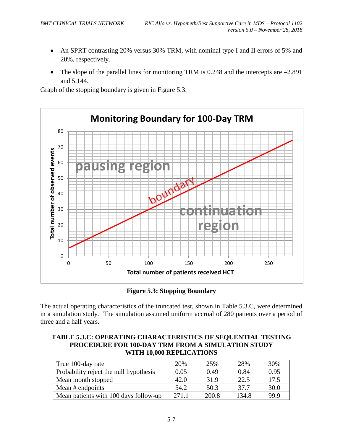- An SPRT contrasting 20% versus 30% TRM, with nominal type I and II errors of 5% and 20%, respectively.
- The slope of the parallel lines for monitoring TRM is  $0.248$  and the intercepts are  $-2.891$ and 5.144.

Graph of the stopping boundary is given in Figure 5.3.



**Figure 5.3: Stopping Boundary**

The actual operating characteristics of the truncated test, shown in Table 5.3.C, were determined in a simulation study. The simulation assumed uniform accrual of 280 patients over a period of three and a half years.

| TABLE 5.3.C: OPERATING CHARACTERISTICS OF SEQUENTIAL TESTING |
|--------------------------------------------------------------|
| <b>PROCEDURE FOR 100-DAY TRM FROM A SIMULATION STUDY</b>     |
| WITH 10,000 REPLICATIONS                                     |

| True 100-day rate                      | 20%   | 25%   | 28%   | 30%  |
|----------------------------------------|-------|-------|-------|------|
| Probability reject the null hypothesis | 0.05  | 0.49  | 0.84  | 0.95 |
| Mean month stopped                     | 42.0  | 31.9  | 22.5  | 17.5 |
| Mean # endpoints                       | 54.2  | 50.3  | 37.7  | 30.0 |
| Mean patients with 100 days follow-up  | 271.1 | 200.8 | 134.8 | 99.9 |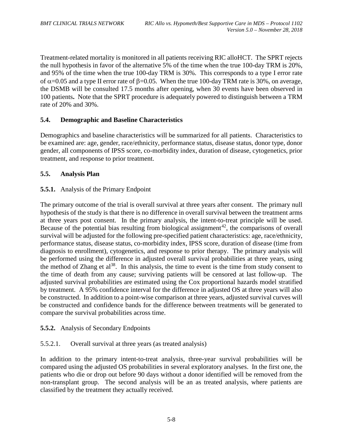Treatment-related mortality is monitored in all patients receiving RIC alloHCT. The SPRT rejects the null hypothesis in favor of the alternative 5% of the time when the true 100-day TRM is 20%, and 95% of the time when the true 100-day TRM is 30%. This corresponds to a type I error rate of  $\alpha$ =0.05 and a type II error rate of  $\beta$ =0.05. When the true 100-day TRM rate is 30%, on average, the DSMB will be consulted 17.5 months after opening, when 30 events have been observed in 100 patients**.** Note that the SPRT procedure is adequately powered to distinguish between a TRM rate of 20% and 30%.

## <span id="page-32-0"></span>**5.4. Demographic and Baseline Characteristics**

Demographics and baseline characteristics will be summarized for all patients. Characteristics to be examined are: age, gender, race/ethnicity, performance status, disease status, donor type, donor gender, all components of IPSS score, co-morbidity index, duration of disease, cytogenetics, prior treatment, and response to prior treatment.

## <span id="page-32-1"></span>**5.5. Analysis Plan**

## <span id="page-32-2"></span>**5.5.1.** Analysis of the Primary Endpoint

The primary outcome of the trial is overall survival at three years after consent. The primary null hypothesis of the study is that there is no difference in overall survival between the treatment arms at three years post consent. In the primary analysis, the intent-to-treat principle will be used. Because of the potential bias resulting from biological assignment<sup>42</sup>, the comparisons of overall survival will be adjusted for the following pre-specified patient characteristics: age, race/ethnicity, performance status, disease status, co-morbidity index, IPSS score, duration of disease (time from diagnosis to enrollment), cytogenetics, and response to prior therapy. The primary analysis will be performed using the difference in adjusted overall survival probabilities at three years, using the method of Zhang et  $a^{38}$ . In this analysis, the time to event is the time from study consent to the time of death from any cause; surviving patients will be censored at last follow-up. The adjusted survival probabilities are estimated using the Cox proportional hazards model stratified by treatment. A 95% confidence interval for the difference in adjusted OS at three years will also be constructed. In addition to a point-wise comparison at three years, adjusted survival curves will be constructed and confidence bands for the difference between treatments will be generated to compare the survival probabilities across time.

## <span id="page-32-3"></span>**5.5.2.** Analysis of Secondary Endpoints

## 5.5.2.1. Overall survival at three years (as treated analysis)

In addition to the primary intent-to-treat analysis, three-year survival probabilities will be compared using the adjusted OS probabilities in several exploratory analyses. In the first one, the patients who die or drop out before 90 days without a donor identified will be removed from the non-transplant group. The second analysis will be an as treated analysis, where patients are classified by the treatment they actually received.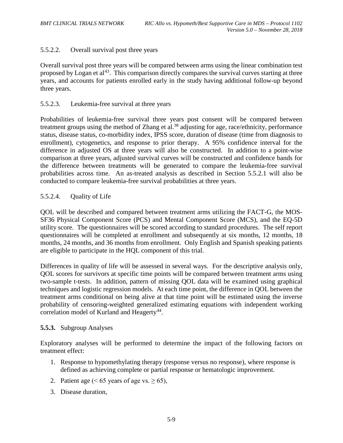## 5.5.2.2. Overall survival post three years

Overall survival post three years will be compared between arms using the linear combination test proposed by Logan et al<sup>[43](#page-105-8)</sup>. This comparison directly compares the survival curves starting at three years, and accounts for patients enrolled early in the study having additional follow-up beyond three years.

#### 5.5.2.3. Leukemia-free survival at three years

Probabilities of leukemia-free survival three years post consent will be compared between treatment groups using the method of Zhang et al.<sup>[38](#page-26-3)</sup> adjusting for age, race/ethnicity, performance status, disease status, co-morbidity index, IPSS score, duration of disease (time from diagnosis to enrollment), cytogenetics, and response to prior therapy. A 95% confidence interval for the difference in adjusted OS at three years will also be constructed. In addition to a point-wise comparison at three years, adjusted survival curves will be constructed and confidence bands for the difference between treatments will be generated to compare the leukemia-free survival probabilities across time. An as-treated analysis as described in Section 5.5.2.1 will also be conducted to compare leukemia-free survival probabilities at three years.

## 5.5.2.4. Quality of Life

QOL will be described and compared between treatment arms utilizing the FACT-G, the MOS-SF36 Physical Component Score (PCS) and Mental Component Score (MCS), and the EQ-5D utility score. The questionnaires will be scored according to standard procedures. The self report questionnaires will be completed at enrollment and subsequently at six months, 12 months, 18 months, 24 months, and 36 months from enrollment. Only English and Spanish speaking patients are eligible to participate in the HQL component of this trial.

Differences in quality of life will be assessed in several ways. For the descriptive analysis only, QOL scores for survivors at specific time points will be compared between treatment arms using two-sample t-tests. In addition, pattern of missing QOL data will be examined using graphical techniques and logistic regression models. At each time point, the difference in QOL between the treatment arms conditional on being alive at that time point will be estimated using the inverse probability of censoring-weighted generalized estimating equations with independent working correlation model of Kurland and Heagerty<sup>[44](#page-105-19)</sup>.

## <span id="page-33-0"></span>**5.5.3.** Subgroup Analyses

Exploratory analyses will be performed to determine the impact of the following factors on treatment effect:

- 1. Response to hypomethylating therapy (response versus no response), where response is defined as achieving complete or partial response or hematologic improvement.
- 2. Patient age (< 65 years of age vs.  $\geq 65$ ),
- 3. Disease duration,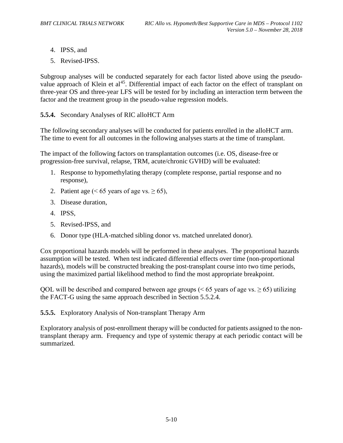- 4. IPSS, and
- 5. Revised-IPSS.

Subgroup analyses will be conducted separately for each factor listed above using the pseudovalue approach of Klein et al<sup>45</sup>. Differential impact of each factor on the effect of transplant on three-year OS and three-year LFS will be tested for by including an interaction term between the factor and the treatment group in the pseudo-value regression models.

<span id="page-34-0"></span>**5.5.4.** Secondary Analyses of RIC alloHCT Arm

The following secondary analyses will be conducted for patients enrolled in the alloHCT arm. The time to event for all outcomes in the following analyses starts at the time of transplant.

The impact of the following factors on transplantation outcomes (i.e. OS, disease-free or progression-free survival, relapse, TRM, acute/chronic GVHD) will be evaluated:

- 1. Response to hypomethylating therapy (complete response, partial response and no response),
- 2. Patient age (< 65 years of age vs.  $\geq 65$ ),
- 3. Disease duration,
- 4. IPSS,
- 5. Revised-IPSS, and
- 6. Donor type (HLA-matched sibling donor vs. matched unrelated donor).

Cox proportional hazards models will be performed in these analyses. The proportional hazards assumption will be tested. When test indicated differential effects over time (non-proportional hazards), models will be constructed breaking the post-transplant course into two time periods, using the maximized partial likelihood method to find the most appropriate breakpoint.

QOL will be described and compared between age groups ( $\leq 65$  years of age vs.  $\geq 65$ ) utilizing the FACT-G using the same approach described in Section 5.5.2.4.

<span id="page-34-1"></span>**5.5.5.** Exploratory Analysis of Non-transplant Therapy Arm

Exploratory analysis of post-enrollment therapy will be conducted for patients assigned to the nontransplant therapy arm. Frequency and type of systemic therapy at each periodic contact will be summarized.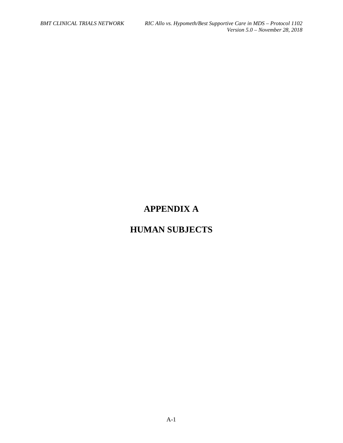# **APPENDIX A**

# **HUMAN SUBJECTS**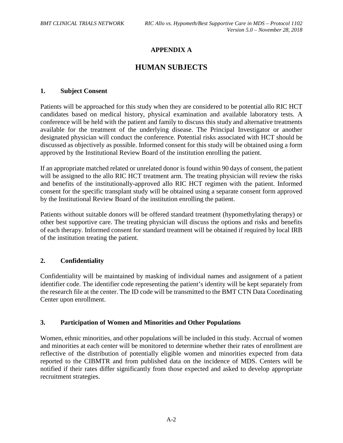## **APPENDIX A**

# **HUMAN SUBJECTS**

#### **1. Subject Consent**

Patients will be approached for this study when they are considered to be potential allo RIC HCT candidates based on medical history, physical examination and available laboratory tests. A conference will be held with the patient and family to discuss this study and alternative treatments available for the treatment of the underlying disease. The Principal Investigator or another designated physician will conduct the conference. Potential risks associated with HCT should be discussed as objectively as possible. Informed consent for this study will be obtained using a form approved by the Institutional Review Board of the institution enrolling the patient.

If an appropriate matched related or unrelated donor is found within 90 days of consent, the patient will be assigned to the allo RIC HCT treatment arm. The treating physician will review the risks and benefits of the institutionally-approved allo RIC HCT regimen with the patient. Informed consent for the specific transplant study will be obtained using a separate consent form approved by the Institutional Review Board of the institution enrolling the patient.

Patients without suitable donors will be offered standard treatment (hypomethylating therapy) or other best supportive care. The treating physician will discuss the options and risks and benefits of each therapy. Informed consent for standard treatment will be obtained if required by local IRB of the institution treating the patient.

#### **2. Confidentiality**

Confidentiality will be maintained by masking of individual names and assignment of a patient identifier code. The identifier code representing the patient's identity will be kept separately from the research file at the center. The ID code will be transmitted to the BMT CTN Data Coordinating Center upon enrollment.

#### **3. Participation of Women and Minorities and Other Populations**

Women, ethnic minorities, and other populations will be included in this study. Accrual of women and minorities at each center will be monitored to determine whether their rates of enrollment are reflective of the distribution of potentially eligible women and minorities expected from data reported to the CIBMTR and from published data on the incidence of MDS. Centers will be notified if their rates differ significantly from those expected and asked to develop appropriate recruitment strategies.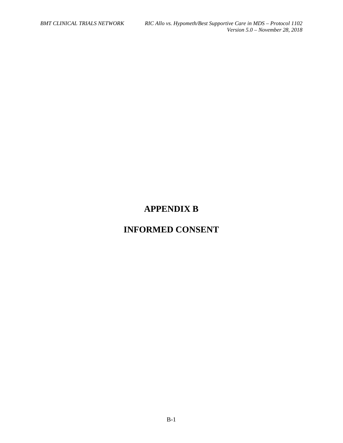# **APPENDIX B**

# **INFORMED CONSENT**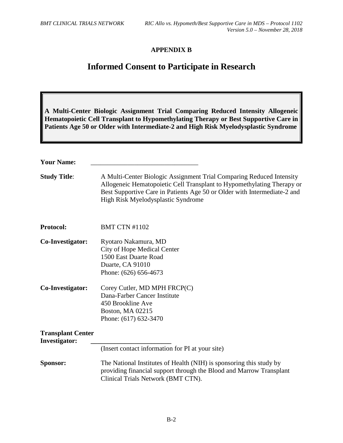## **APPENDIX B**

# **Informed Consent to Participate in Research**

|                                                  | A Multi-Center Biologic Assignment Trial Comparing Reduced Intensity Allogeneic<br>Hematopoietic Cell Transplant to Hypomethylating Therapy or Best Supportive Care in<br>Patients Age 50 or Older with Intermediate-2 and High Risk Myelodysplastic Syndrome    |
|--------------------------------------------------|------------------------------------------------------------------------------------------------------------------------------------------------------------------------------------------------------------------------------------------------------------------|
| <b>Your Name:</b>                                |                                                                                                                                                                                                                                                                  |
| <b>Study Title:</b>                              | A Multi-Center Biologic Assignment Trial Comparing Reduced Intensity<br>Allogeneic Hematopoietic Cell Transplant to Hypomethylating Therapy or<br>Best Supportive Care in Patients Age 50 or Older with Intermediate-2 and<br>High Risk Myelodysplastic Syndrome |
| Protocol:                                        | <b>BMT CTN #1102</b>                                                                                                                                                                                                                                             |
| Co-Investigator:                                 | Ryotaro Nakamura, MD<br>City of Hope Medical Center<br>1500 East Duarte Road<br>Duarte, CA 91010<br>Phone: (626) 656-4673                                                                                                                                        |
| Co-Investigator:                                 | Corey Cutler, MD MPH FRCP(C)<br>Dana-Farber Cancer Institute<br>450 Brookline Ave<br><b>Boston, MA 02215</b><br>Phone: (617) 632-3470                                                                                                                            |
| <b>Transplant Center</b><br><b>Investigator:</b> |                                                                                                                                                                                                                                                                  |
|                                                  | (Insert contact information for PI at your site)                                                                                                                                                                                                                 |
| Sponsor:                                         | The National Institutes of Health (NIH) is sponsoring this study by<br>providing financial support through the Blood and Marrow Transplant<br>Clinical Trials Network (BMT CTN).                                                                                 |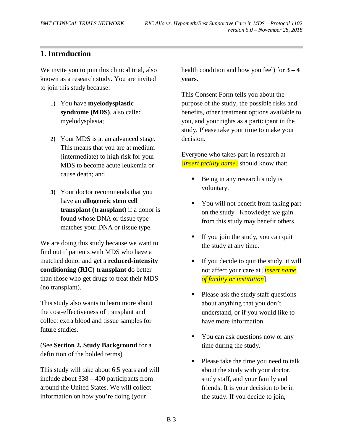# **1. Introduction**

We invite you to join this clinical trial, also known as a research study. You are invited to join this study because:

- 1) You have **myelodysplastic syndrome (MDS)**, also called myelodysplasia;
- 2) Your MDS is at an advanced stage. This means that you are at medium (intermediate) to high risk for your MDS to become acute leukemia or cause death; and
- 3) Your doctor recommends that you have an **allogeneic stem cell transplant (transplant)** if a donor is found whose DNA or tissue type matches your DNA or tissue type.

We are doing this study because we want to find out if patients with MDS who have a matched donor and get a **reduced-intensity conditioning (RIC) transplant** do better than those who get drugs to treat their MDS (no transplant).

This study also wants to learn more about the cost-effectiveness of transplant and collect extra blood and tissue samples for future studies.

(See **Section 2. Study Background** for a definition of the bolded terms)

This study will take about 6.5 years and will include about 338 – 400 participants from around the United States. We will collect information on how you're doing (your

health condition and how you feel) for **3 – 4 years.** 

This Consent Form tells you about the purpose of the study, the possible risks and benefits, other treatment options available to you, and your rights as a participant in the study. Please take your time to make your decision.

Everyone who takes part in research at [*insert facility name*] should know that:

- Being in any research study is voluntary.
- You will not benefit from taking part on the study. Knowledge we gain from this study may benefit others.
- If you join the study, you can quit the study at any time.
- If you decide to quit the study, it will not affect your care at [*insert name of facility or institution*].
- Please ask the study staff questions about anything that you don't understand, or if you would like to have more information.
- You can ask questions now or any time during the study.
- Please take the time you need to talk about the study with your doctor, study staff, and your family and friends. It is your decision to be in the study. If you decide to join,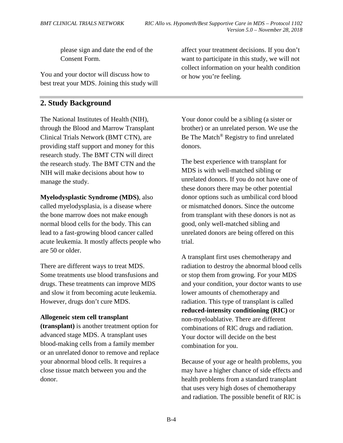please sign and date the end of the Consent Form.

You and your doctor will discuss how to best treat your MDS. Joining this study will

#### **2. Study Background**

The National Institutes of Health (NIH), through the Blood and Marrow Transplant Clinical Trials Network (BMT CTN), are providing staff support and money for this research study. The BMT CTN will direct the research study. The BMT CTN and the NIH will make decisions about how to manage the study.

**Myelodysplastic Syndrome (MDS)**, also called myelodysplasia, is a disease where the bone marrow does not make enough normal blood cells for the body. This can lead to a fast-growing blood cancer called acute leukemia. It mostly affects people who are 50 or older.

There are different ways to treat MDS. Some treatments use blood transfusions and drugs. These treatments can improve MDS and slow it from becoming acute leukemia. However, drugs don't cure MDS.

#### **Allogeneic stem cell transplant**

**(transplant)** is another treatment option for advanced stage MDS. A transplant uses blood-making cells from a family member or an unrelated donor to remove and replace your abnormal blood cells. It requires a close tissue match between you and the donor.

affect your treatment decisions. If you don't want to participate in this study, we will not collect information on your health condition or how you're feeling.

Your donor could be a sibling (a sister or brother) or an unrelated person. We use the Be The Match<sup>®</sup> Registry to find unrelated donors.

The best experience with transplant for MDS is with well-matched sibling or unrelated donors. If you do not have one of these donors there may be other potential donor options such as umbilical cord blood or mismatched donors. Since the outcome from transplant with these donors is not as good, only well-matched sibling and unrelated donors are being offered on this trial.

A transplant first uses chemotherapy and radiation to destroy the abnormal blood cells or stop them from growing. For your MDS and your condition, your doctor wants to use lower amounts of chemotherapy and radiation. This type of transplant is called **reduced-intensity conditioning (RIC)** or non-myeloablative. There are different combinations of RIC drugs and radiation. Your doctor will decide on the best combination for you.

Because of your age or health problems, you may have a higher chance of side effects and health problems from a standard transplant that uses very high doses of chemotherapy and radiation. The possible benefit of RIC is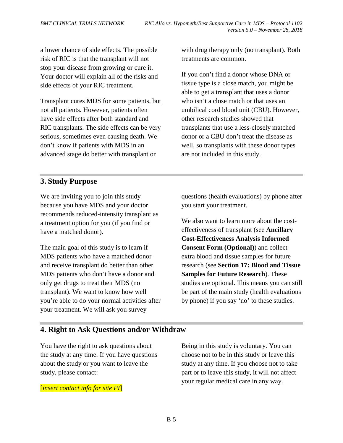a lower chance of side effects. The possible risk of RIC is that the transplant will not stop your disease from growing or cure it. Your doctor will explain all of the risks and side effects of your RIC treatment.

Transplant cures MDS for some patients, but not all patients. However, patients often have side effects after both standard and RIC transplants. The side effects can be very serious, sometimes even causing death. We don't know if patients with MDS in an advanced stage do better with transplant or

with drug therapy only (no transplant). Both treatments are common.

If you don't find a donor whose DNA or tissue type is a close match, you might be able to get a transplant that uses a donor who isn't a close match or that uses an umbilical cord blood unit (CBU). However, other research studies showed that transplants that use a less-closely matched donor or a CBU don't treat the disease as well, so transplants with these donor types are not included in this study.

# **3. Study Purpose**

We are inviting you to join this study because you have MDS and your doctor recommends reduced-intensity transplant as a treatment option for you (if you find or have a matched donor).

The main goal of this study is to learn if MDS patients who have a matched donor and receive transplant do better than other MDS patients who don't have a donor and only get drugs to treat their MDS (no transplant). We want to know how well you're able to do your normal activities after your treatment. We will ask you survey

questions (health evaluations) by phone after you start your treatment.

We also want to learn more about the costeffectiveness of transplant (see **Ancillary Cost-Effectiveness Analysis Informed Consent Form (Optional)**) and collect extra blood and tissue samples for future research (see **Section 17: Blood and Tissue Samples for Future Research**). These studies are optional. This means you can still be part of the main study (health evaluations by phone) if you say 'no' to these studies.

### **4. Right to Ask Questions and/or Withdraw**

You have the right to ask questions about the study at any time. If you have questions about the study or you want to leave the study, please contact:

[*insert contact info for site PI*]

Being in this study is voluntary. You can choose not to be in this study or leave this study at any time. If you choose not to take part or to leave this study, it will not affect your regular medical care in any way.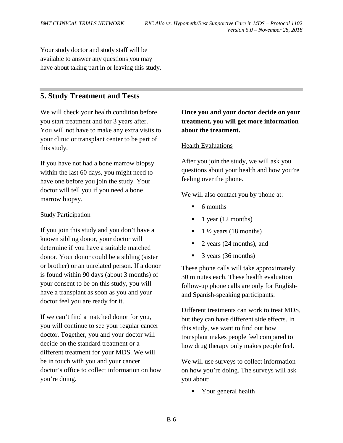Your study doctor and study staff will be available to answer any questions you may have about taking part in or leaving this study.

# **5. Study Treatment and Tests**

We will check your health condition before you start treatment and for 3 years after. You will not have to make any extra visits to your clinic or transplant center to be part of this study.

If you have not had a bone marrow biopsy within the last 60 days, you might need to have one before you join the study. Your doctor will tell you if you need a bone marrow biopsy.

#### **Study Participation**

If you join this study and you don't have a known sibling donor, your doctor will determine if you have a suitable matched donor. Your donor could be a sibling (sister or brother) or an unrelated person. If a donor is found within 90 days (about 3 months) of your consent to be on this study, you will have a transplant as soon as you and your doctor feel you are ready for it.

If we can't find a matched donor for you, you will continue to see your regular cancer doctor. Together, you and your doctor will decide on the standard treatment or a different treatment for your MDS. We will be in touch with you and your cancer doctor's office to collect information on how you're doing.

# **Once you and your doctor decide on your treatment, you will get more information about the treatment.**

#### Health Evaluations

After you join the study, we will ask you questions about your health and how you're feeling over the phone.

We will also contact you by phone at:

- $\blacksquare$  6 months
- 1 year (12 months)
- $1\frac{1}{2}$  years (18 months)
- 2 years (24 months), and
- 3 years (36 months)

These phone calls will take approximately 30 minutes each. These health evaluation follow-up phone calls are only for Englishand Spanish-speaking participants.

Different treatments can work to treat MDS, but they can have different side effects. In this study, we want to find out how transplant makes people feel compared to how drug therapy only makes people feel.

We will use surveys to collect information on how you're doing. The surveys will ask you about:

Your general health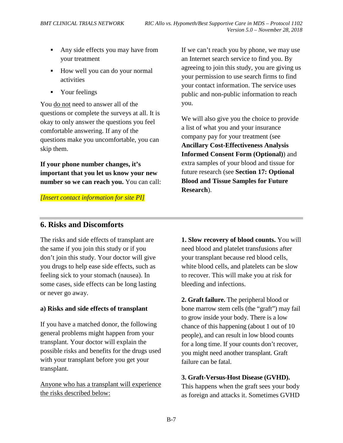- Any side effects you may have from your treatment
- How well you can do your normal activities
- Your feelings

You do not need to answer all of the questions or complete the surveys at all. It is okay to only answer the questions you feel comfortable answering. If any of the questions make you uncomfortable, you can skip them.

**If your phone number changes, it's important that you let us know your new number so we can reach you.** You can call:

*[Insert contact information for site PI]*

If we can't reach you by phone, we may use an Internet search service to find you. By agreeing to join this study, you are giving us your permission to use search firms to find your contact information. The service uses public and non-public information to reach you.

We will also give you the choice to provide a list of what you and your insurance company pay for your treatment (see **Ancillary Cost-Effectiveness Analysis Informed Consent Form (Optional)**) and extra samples of your blood and tissue for future research (see **Section 17: Optional Blood and Tissue Samples for Future Research**).

# **6. Risks and Discomforts**

The risks and side effects of transplant are the same if you join this study or if you don't join this study. Your doctor will give you drugs to help ease side effects, such as feeling sick to your stomach (nausea). In some cases, side effects can be long lasting or never go away.

# **a) Risks and side effects of transplant**

If you have a matched donor, the following general problems might happen from your transplant. Your doctor will explain the possible risks and benefits for the drugs used with your transplant before you get your transplant.

Anyone who has a transplant will experience the risks described below:

**1. Slow recovery of blood counts.** You will need blood and platelet transfusions after your transplant because red blood cells, white blood cells, and platelets can be slow to recover. This will make you at risk for bleeding and infections.

**2. Graft failure.** The peripheral blood or bone marrow stem cells (the "graft") may fail to grow inside your body. There is a low chance of this happening (about 1 out of 10 people), and can result in low blood counts for a long time. If your counts don't recover, you might need another transplant. Graft failure can be fatal.

### **3. Graft-Versus-Host Disease (GVHD).**

This happens when the graft sees your body as foreign and attacks it. Sometimes GVHD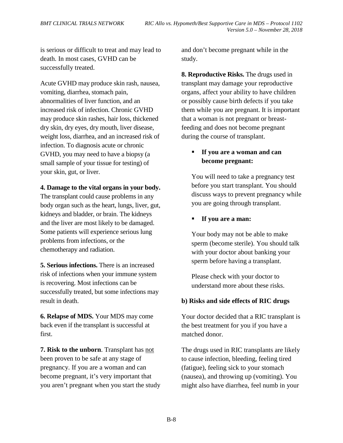is serious or difficult to treat and may lead to death. In most cases, GVHD can be successfully treated.

Acute GVHD may produce skin rash, nausea, vomiting, diarrhea, stomach pain, abnormalities of liver function, and an increased risk of infection. Chronic GVHD may produce skin rashes, hair loss, thickened dry skin, dry eyes, dry mouth, liver disease, weight loss, diarrhea, and an increased risk of infection. To diagnosis acute or chronic GVHD, you may need to have a biopsy (a small sample of your tissue for testing) of your skin, gut, or liver.

#### **4. Damage to the vital organs in your body.**

The transplant could cause problems in any body organ such as the heart, lungs, liver, gut, kidneys and bladder, or brain. The kidneys and the liver are most likely to be damaged. Some patients will experience serious lung problems from infections, or the chemotherapy and radiation.

**5. Serious infections.** There is an increased risk of infections when your immune system is recovering. Most infections can be successfully treated, but some infections may result in death.

**6. Relapse of MDS.** Your MDS may come back even if the transplant is successful at first.

**7. Risk to the unborn**. Transplant has not been proven to be safe at any stage of pregnancy. If you are a woman and can become pregnant, it's very important that you aren't pregnant when you start the study and don't become pregnant while in the study.

**8. Reproductive Risks.** The drugs used in transplant may damage your reproductive organs, affect your ability to have children or possibly cause birth defects if you take them while you are pregnant. It is important that a woman is not pregnant or breastfeeding and does not become pregnant during the course of transplant.

# **If you are a woman and can become pregnant:**

You will need to take a pregnancy test before you start transplant. You should discuss ways to prevent pregnancy while you are going through transplant.

### **If you are a man:**

Your body may not be able to make sperm (become sterile). You should talk with your doctor about banking your sperm before having a transplant.

Please check with your doctor to understand more about these risks.

### **b) Risks and side effects of RIC drugs**

Your doctor decided that a RIC transplant is the best treatment for you if you have a matched donor.

The drugs used in RIC transplants are likely to cause infection, bleeding, feeling tired (fatigue), feeling sick to your stomach (nausea), and throwing up (vomiting). You might also have diarrhea, feel numb in your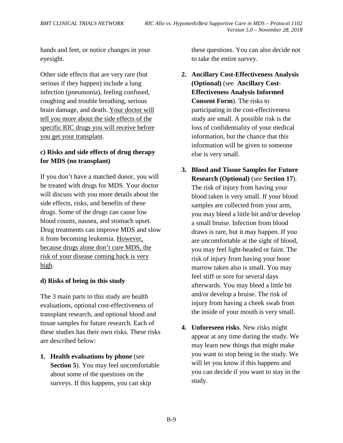hands and feet, or notice changes in your eyesight.

Other side effects that are very rare (but serious if they happen) include a lung infection (pneumonia), feeling confused, coughing and trouble breathing, serious brain damage, and death. Your doctor will tell you more about the side effects of the specific RIC drugs you will receive before you get your transplant.

## **c) Risks and side effects of drug therapy for MDS (no transplant)**

If you don't have a matched donor, you will be treated with drugs for MDS. Your doctor will discuss with you more details about the side effects, risks, and benefits of these drugs. Some of the drugs can cause low blood counts, nausea, and stomach upset. Drug treatments can improve MDS and slow it from becoming leukemia. However, because drugs alone don't cure MDS, the risk of your disease coming back is very high.

### **d) Risks of being in this study**

The 3 main parts to this study are health evaluations, optional cost-effectiveness of transplant research, and optional blood and tissue samples for future research. Each of these studies has their own risks. These risks are described below:

**1. Health evaluations by phone** (see **Section 5**). You may feel uncomfortable about some of the questions on the surveys. If this happens, you can skip

these questions. You can also decide not to take the entire survey.

- **2. Ancillary Cost-Effectiveness Analysis (Optional)** (see **Ancillary Cost-Effectiveness Analysis Informed Consent Form**). The risks to participating in the cost-effectiveness study are small. A possible risk is the loss of confidentiality of your medical information, but the chance that this information will be given to someone else is very small.
- **3. Blood and Tissue Samples for Future Research (Optional)** (see **Section 17**). The risk of injury from having your blood taken is very small. If your blood samples are collected from your arm, you may bleed a little bit and/or develop a small bruise. Infection from blood draws is rare, but it may happen. If you are uncomfortable at the sight of blood, you may feel light-headed or faint. The risk of injury from having your bone marrow taken also is small. You may feel stiff or sore for several days afterwards. You may bleed a little bit and/or develop a bruise. The risk of injury from having a cheek swab from the inside of your mouth is very small.
- **4. Unforeseen risks**. New risks might appear at any time during the study. We may learn new things that might make you want to stop being in the study. We will let you know if this happens and you can decide if you want to stay in the study.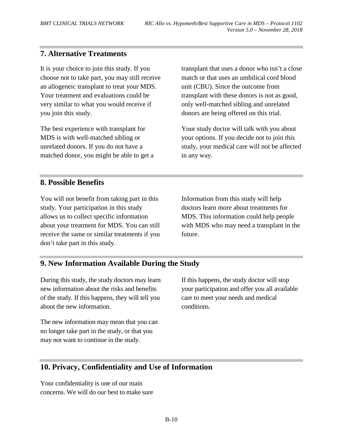# **7. Alternative Treatments**

It is your choice to join this study. If you choose not to take part, you may still receive an allogeneic transplant to treat your MDS. Your treatment and evaluations could be very similar to what you would receive if you join this study.

The best experience with transplant for MDS is with well-matched sibling or unrelated donors. If you do not have a matched donor, you might be able to get a transplant that uses a donor who isn't a close match or that uses an umbilical cord blood unit (CBU). Since the outcome from transplant with these donors is not as good, only well-matched sibling and unrelated donors are being offered on this trial.

Your study doctor will talk with you about your options. If you decide not to join this study, your medical care will not be affected in any way.

# **8. Possible Benefits**

You will not benefit from taking part in this study. Your participation in this study allows us to collect specific information about your treatment for MDS. You can still receive the same or similar treatments if you don't take part in this study.

Information from this study will help doctors learn more about treatments for MDS. This information could help people with MDS who may need a transplant in the future.

# **9. New Information Available During the Study**

During this study, the study doctors may learn new information about the risks and benefits of the study. If this happens, they will tell you about the new information.

The new information may mean that you can no longer take part in the study, or that you may not want to continue in the study.

If this happens, the study doctor will stop your participation and offer you all available care to meet your needs and medical conditions.

# **10. Privacy, Confidentiality and Use of Information**

Your confidentiality is one of our main concerns. We will do our best to make sure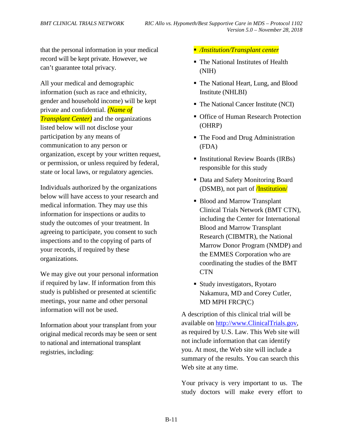that the personal information in your medical record will be kept private. However, we can't guarantee total privacy.

All your medical and demographic information (such as race and ethnicity, gender and household income) will be kept private and confidential. *(Name of Transplant Center)* and the organizations listed below will not disclose your participation by any means of communication to any person or organization, except by your written request, or permission, or unless required by federal, state or local laws, or regulatory agencies.

Individuals authorized by the organizations below will have access to your research and medical information. They may use this information for inspections or audits to study the outcomes of your treatment. In agreeing to participate, you consent to such inspections and to the copying of parts of your records, if required by these organizations.

We may give out your personal information if required by law. If information from this study is published or presented at scientific meetings, your name and other personal information will not be used.

Information about your transplant from your original medical records may be seen or sent to national and international transplant registries, including:

*/Institution/Transplant center*

- The National Institutes of Health (NIH)
- The National Heart, Lung, and Blood Institute (NHLBI)
- The National Cancer Institute (NCI)
- Office of Human Research Protection (OHRP)
- The Food and Drug Administration (FDA)
- **Institutional Review Boards (IRBs)** responsible for this study
- Data and Safety Monitoring Board (DSMB), not part of /Institution/
- Blood and Marrow Transplant Clinical Trials Network (BMT CTN), including the Center for International Blood and Marrow Transplant Research (CIBMTR), the National Marrow Donor Program (NMDP) and the EMMES Corporation who are coordinating the studies of the BMT **CTN**
- Study investigators, Ryotaro Nakamura, MD and Corey Cutler, MD MPH FRCP(C)

A description of this clinical trial will be available on [http://www.ClinicalTrials.gov,](http://www.clinicaltrials.gov/) as required by U.S. Law. This Web site will not include information that can identify you. At most, the Web site will include a summary of the results. You can search this Web site at any time.

Your privacy is very important to us. The study doctors will make every effort to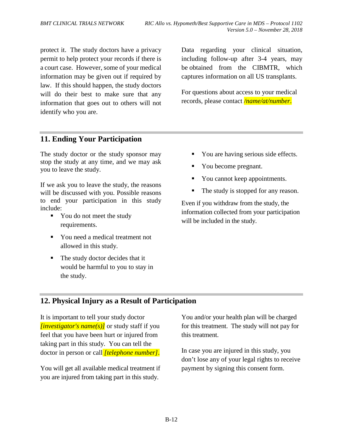protect it. The study doctors have a privacy permit to help protect your records if there is a court case. However, some of your medical information may be given out if required by law. If this should happen, the study doctors will do their best to make sure that any information that goes out to others will not identify who you are.

Data regarding your clinical situation, including follow-up after 3-4 years, may be obtained from the CIBMTR, which captures information on all US transplants.

For questions about access to your medical records, please contact */name/at/number*.

# **11. Ending Your Participation**

The study doctor or the study sponsor may stop the study at any time, and we may ask you to leave the study.

If we ask you to leave the study, the reasons will be discussed with you. Possible reasons to end your participation in this study include:

- You do not meet the study requirements.
- You need a medical treatment not allowed in this study.
- The study doctor decides that it would be harmful to you to stay in the study.
- You are having serious side effects.
- You become pregnant.
- You cannot keep appointments.
- The study is stopped for any reason.

Even if you withdraw from the study, the information collected from your participation will be included in the study.

# **12. Physical Injury as a Result of Participation**

It is important to tell your study doctor *[investigator's name(s)]* or study staff if you feel that you have been hurt or injured from taking part in this study. You can tell the doctor in person or call *[telephone number]*.

You will get all available medical treatment if you are injured from taking part in this study.

You and/or your health plan will be charged for this treatment. The study will not pay for this treatment.

In case you are injured in this study, you don't lose any of your legal rights to receive payment by signing this consent form.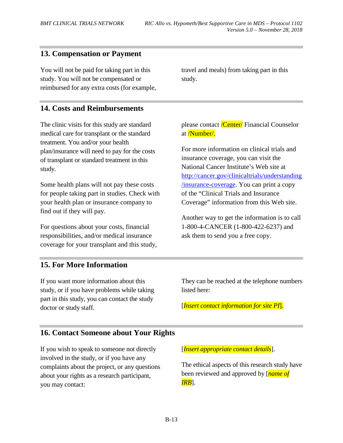# **13. Compensation or Payment**

You will not be paid for taking part in this study. You will not be compensated or reimbursed for any extra costs (for example,

**14. Costs and Reimbursements**

The clinic visits for this study are standard medical care for transplant or the standard treatment. You and/or your health plan/insurance will need to pay for the costs of transplant or standard treatment in this study.

Some health plans will not pay these costs for people taking part in studies. Check with your health plan or insurance company to find out if they will pay.

For questions about your costs, financial responsibilities, and/or medical insurance coverage for your transplant and this study, travel and meals) from taking part in this study.

please contact *Center* Financial Counselor at /Number/.

For more information on clinical trials and insurance coverage, you can visit the National Cancer Institute's Web site at [http://cancer.gov/clinicaltrials/understanding](http://cancer.gov/clinicaltrials/understanding/insurance-coverage) [/insurance-coverage.](http://cancer.gov/clinicaltrials/understanding/insurance-coverage) You can print a copy of the "Clinical Trials and Insurance Coverage" information from this Web site.

Another way to get the information is to call 1-800-4**-**CANCER (1-800-422-6237) and ask them to send you a free copy.

# **15. For More Information**

If you want more information about this study, or if you have problems while taking part in this study, you can contact the study doctor or study staff.

They can be reached at the telephone numbers listed here:

[*Insert contact information for site PI*].

# **16. Contact Someone about Your Rights**

If you wish to speak to someone not directly involved in the study, or if you have any complaints about the project, or any questions about your rights as a research participant, you may contact:

[*Insert appropriate contact details*].

The ethical aspects of this research study have been reviewed and approved by [*name of IRB*].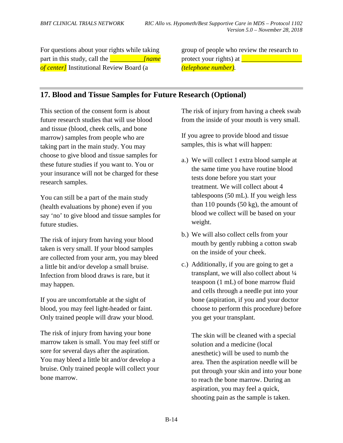For questions about your rights while taking part in this study, call the *name of center]* Institutional Review Board (a

group of people who review the research to protect your rights) at *\_\_\_\_\_\_\_\_\_\_\_\_\_\_\_\_\_\_\_ (telephone number).*

# **17. Blood and Tissue Samples for Future Research (Optional)**

This section of the consent form is about future research studies that will use blood and tissue (blood, cheek cells, and bone marrow) samples from people who are taking part in the main study. You may choose to give blood and tissue samples for these future studies if you want to. You or your insurance will not be charged for these research samples.

You can still be a part of the main study (health evaluations by phone) even if you say 'no' to give blood and tissue samples for future studies.

The risk of injury from having your blood taken is very small. If your blood samples are collected from your arm, you may bleed a little bit and/or develop a small bruise. Infection from blood draws is rare, but it may happen.

If you are uncomfortable at the sight of blood, you may feel light-headed or faint. Only trained people will draw your blood.

The risk of injury from having your bone marrow taken is small. You may feel stiff or sore for several days after the aspiration. You may bleed a little bit and/or develop a bruise. Only trained people will collect your bone marrow.

The risk of injury from having a cheek swab from the inside of your mouth is very small.

If you agree to provide blood and tissue samples, this is what will happen:

- a.) We will collect 1 extra blood sample at the same time you have routine blood tests done before you start your treatment. We will collect about 4 tablespoons (50 mL). If you weigh less than 110 pounds (50 kg), the amount of blood we collect will be based on your weight.
- b.) We will also collect cells from your mouth by gently rubbing a cotton swab on the inside of your cheek.
- c.) Additionally, if you are going to get a transplant, we will also collect about ¼ teaspoon (1 mL) of bone marrow fluid and cells through a needle put into your bone (aspiration, if you and your doctor choose to perform this procedure) before you get your transplant.

The skin will be cleaned with a special solution and a medicine (local anesthetic) will be used to numb the area. Then the aspiration needle will be put through your skin and into your bone to reach the bone marrow. During an aspiration, you may feel a quick, shooting pain as the sample is taken.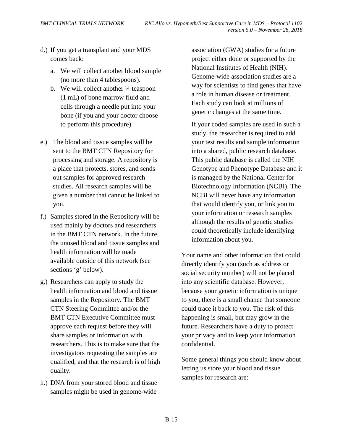- d.) If you get a transplant and your MDS comes back:
	- a. We will collect another blood sample (no more than 4 tablespoons).
	- b. We will collect another 1/4 teaspoon (1 mL) of bone marrow fluid and cells through a needle put into your bone (if you and your doctor choose to perform this procedure).
- e.) The blood and tissue samples will be sent to the BMT CTN Repository for processing and storage. A repository is a place that protects, stores, and sends out samples for approved research studies. All research samples will be given a number that cannot be linked to you.
- f.) Samples stored in the Repository will be used mainly by doctors and researchers in the BMT CTN network. In the future, the unused blood and tissue samples and health information will be made available outside of this network (see sections 'g' below).
- g.) Researchers can apply to study the health information and blood and tissue samples in the Repository. The BMT CTN Steering Committee and/or the BMT CTN Executive Committee must approve each request before they will share samples or information with researchers. This is to make sure that the investigators requesting the samples are qualified, and that the research is of high quality.
- h.) DNA from your stored blood and tissue samples might be used in genome-wide

association (GWA) studies for a future project either done or supported by the National Institutes of Health (NIH). Genome-wide association studies are a way for scientists to find genes that have a role in human disease or treatment. Each study can look at millions of genetic changes at the same time.

If your coded samples are used in such a study, the researcher is required to add your test results and sample information into a shared, public research database. This public database is called the NIH Genotype and Phenotype Database and it is managed by the National Center for Biotechnology Information (NCBI). The NCBI will never have any information that would identify you, or link you to your information or research samples although the results of genetic studies could theoretically include identifying information about you.

Your name and other information that could directly identify you (such as address or social security number) will not be placed into any scientific database. However, because your genetic information is unique to you, there is a small chance that someone could trace it back to you. The risk of this happening is small, but may grow in the future. Researchers have a duty to protect your privacy and to keep your information confidential.

Some general things you should know about letting us store your blood and tissue samples for research are: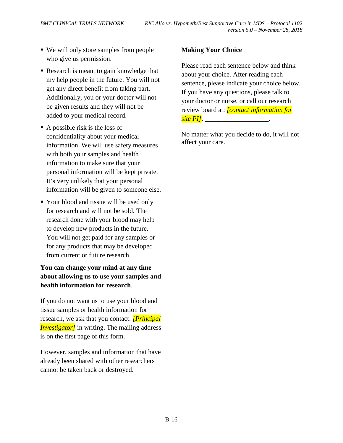- We will only store samples from people who give us permission.
- Research is meant to gain knowledge that my help people in the future. You will not get any direct benefit from taking part. Additionally, you or your doctor will not be given results and they will not be added to your medical record.
- $\blacksquare$  A possible risk is the loss of confidentiality about your medical information. We will use safety measures with both your samples and health information to make sure that your personal information will be kept private. It's very unlikely that your personal information will be given to someone else.
- Your blood and tissue will be used only for research and will not be sold. The research done with your blood may help to develop new products in the future. You will not get paid for any samples or for any products that may be developed from current or future research.

# **You can change your mind at any time about allowing us to use your samples and health information for research**.

If you do not want us to use your blood and tissue samples or health information for research, we ask that you contact: *[Principal Investigator]* in writing. The mailing address is on the first page of this form.

However, samples and information that have already been shared with other researchers cannot be taken back or destroyed.

## **Making Your Choice**

Please read each sentence below and think about your choice. After reading each sentence, please indicate your choice below. If you have any questions, please talk to your doctor or nurse, or call our research review board at: *[contact information for site PI]*.

No matter what you decide to do, it will not affect your care.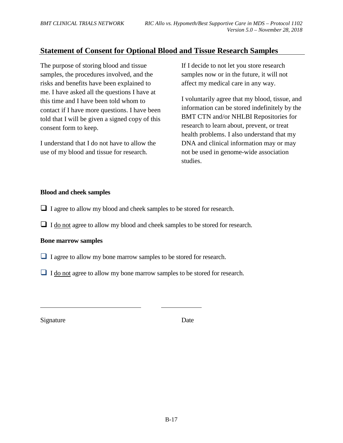# **Statement of Consent for Optional Blood and Tissue Research Samples**

The purpose of storing blood and tissue samples, the procedures involved, and the risks and benefits have been explained to me. I have asked all the questions I have at this time and I have been told whom to contact if I have more questions. I have been told that I will be given a signed copy of this consent form to keep.

I understand that I do not have to allow the use of my blood and tissue for research.

If I decide to not let you store research samples now or in the future, it will not affect my medical care in any way.

I voluntarily agree that my blood, tissue, and information can be stored indefinitely by the BMT CTN and/or NHLBI Repositories for research to learn about, prevent, or treat health problems. I also understand that my DNA and clinical information may or may not be used in genome-wide association studies.

#### **Blood and cheek samples**

- I agree to allow my blood and cheek samples to be stored for research.
- $\Box$  I do not agree to allow my blood and cheek samples to be stored for research.

#### **Bone marrow samples**

- I agree to allow my bone marrow samples to be stored for research.
- I do not agree to allow my bone marrow samples to be stored for research.

Signature Date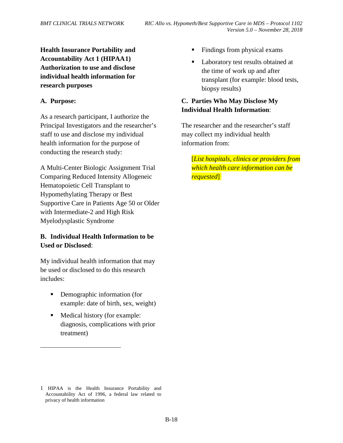**Health Insurance Portability and Accountability Act 1 (HIPAA[1\)](#page-54-0) Authorization to use and disclose individual health information for research purposes**

#### **A. Purpose:**

 $\overline{a}$ 

As a research participant, I authorize the Principal Investigators and the researcher's staff to use and disclose my individual health information for the purpose of conducting the research study:

A Multi-Center Biologic Assignment Trial Comparing Reduced Intensity Allogeneic Hematopoietic Cell Transplant to Hypomethylating Therapy or Best Supportive Care in Patients Age 50 or Older with Intermediate-2 and High Risk Myelodysplastic Syndrome

### **B. Individual Health Information to be Used or Disclosed**:

My individual health information that may be used or disclosed to do this research includes:

- **•** Demographic information (for example: date of birth, sex, weight).
- Medical history (for example: diagnosis, complications with prior treatment).
- Findings from physical exams.
- Laboratory test results obtained at the time of work up and after transplant (for example: blood tests, biopsy results).

### **C. Parties Who May Disclose My Individual Health Information**:

The researcher and the researcher's staff may collect my individual health information from:

[*List hospitals, clinics or providers from which health care information can be requested*].

<span id="page-54-0"></span><sup>1</sup> HIPAA is the Health Insurance Portability and Accountability Act of 1996, a federal law related to privacy of health information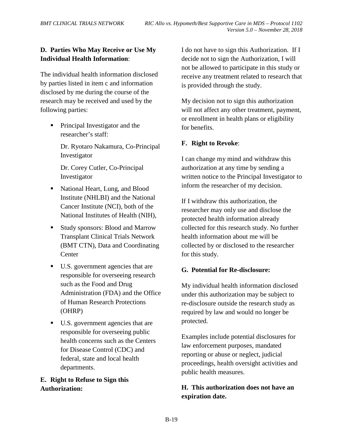# **D. Parties Who May Receive or Use My Individual Health Information**:

The individual health information disclosed by parties listed in item c and information disclosed by me during the course of the research may be received and used by the following parties:

• Principal Investigator and the researcher's staff:

> Dr. Ryotaro Nakamura, Co-Principal Investigator

Dr. Corey Cutler, Co-Principal Investigator

- National Heart, Lung, and Blood Institute (NHLBI) and the National Cancer Institute (NCI), both of the National Institutes of Health (NIH),
- **Study sponsors: Blood and Marrow** Transplant Clinical Trials Network (BMT CTN), Data and Coordinating **Center**
- U.S. government agencies that are responsible for overseeing research such as the Food and Drug Administration (FDA) and the Office of Human Research Protections (OHRP)
- U.S. government agencies that are responsible for overseeing public health concerns such as the Centers for Disease Control (CDC) and federal, state and local health departments.

## **E. Right to Refuse to Sign this Authorization:**

I do not have to sign this Authorization. If I decide not to sign the Authorization, I will not be allowed to participate in this study or receive any treatment related to research that is provided through the study.

My decision not to sign this authorization will not affect any other treatment, payment, or enrollment in health plans or eligibility for benefits.

### **F. Right to Revoke**:

I can change my mind and withdraw this authorization at any time by sending a written notice to the Principal Investigator to inform the researcher of my decision.

If I withdraw this authorization, the researcher may only use and disclose the protected health information already collected for this research study. No further health information about me will be collected by or disclosed to the researcher for this study.

### **G. Potential for Re-disclosure:**

My individual health information disclosed under this authorization may be subject to re-disclosure outside the research study as required by law and would no longer be protected.

Examples include potential disclosures for law enforcement purposes, mandated reporting or abuse or neglect, judicial proceedings, health oversight activities and public health measures.

# **H. This authorization does not have an expiration date.**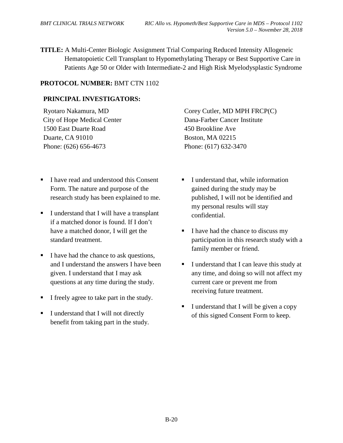**TITLE:** A Multi-Center Biologic Assignment Trial Comparing Reduced Intensity Allogeneic Hematopoietic Cell Transplant to Hypomethylating Therapy or Best Supportive Care in Patients Age 50 or Older with Intermediate-2 and High Risk Myelodysplastic Syndrome

#### **PROTOCOL NUMBER:** BMT CTN 1102

#### **PRINCIPAL INVESTIGATORS:**

Ryotaro Nakamura, MD City of Hope Medical Center 1500 East Duarte Road Duarte, CA 91010 Phone: (626) 656-4673

- I have read and understood this Consent Form. The nature and purpose of the research study has been explained to me.
- I understand that I will have a transplant if a matched donor is found. If I don't have a matched donor, I will get the standard treatment.
- I have had the chance to ask questions, and I understand the answers I have been given. I understand that I may ask questions at any time during the study.
- I freely agree to take part in the study.
- I understand that I will not directly benefit from taking part in the study.

Corey Cutler, MD MPH FRCP(C) Dana-Farber Cancer Institute 450 Brookline Ave Boston, MA 02215 Phone: (617) 632-3470

- I understand that, while information gained during the study may be published, I will not be identified and my personal results will stay confidential.
- I have had the chance to discuss my participation in this research study with a family member or friend.
- I understand that I can leave this study at any time, and doing so will not affect my current care or prevent me from receiving future treatment.
- I understand that I will be given a copy of this signed Consent Form to keep.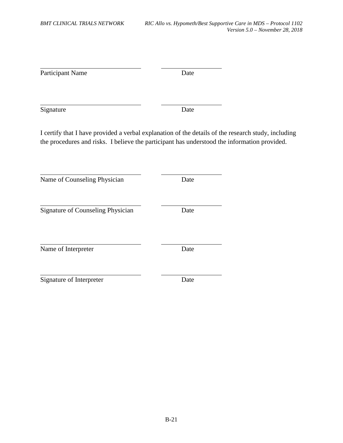| Participant Name                                                                                                                                                                                    | Date |  |
|-----------------------------------------------------------------------------------------------------------------------------------------------------------------------------------------------------|------|--|
| Signature                                                                                                                                                                                           | Date |  |
| I certify that I have provided a verbal explanation of the details of the research study, including<br>the procedures and risks. I believe the participant has understood the information provided. |      |  |
| Name of Counseling Physician                                                                                                                                                                        | Date |  |
| Signature of Counseling Physician                                                                                                                                                                   | Date |  |
| Name of Interpreter                                                                                                                                                                                 | Date |  |
| Signature of Interpreter                                                                                                                                                                            | Date |  |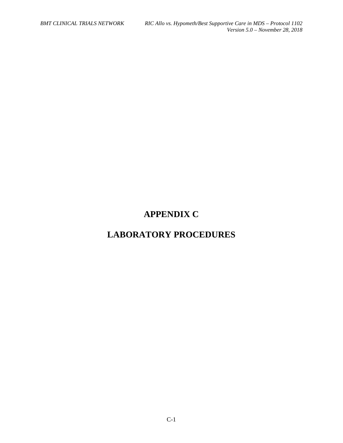# **APPENDIX C**

# **LABORATORY PROCEDURES**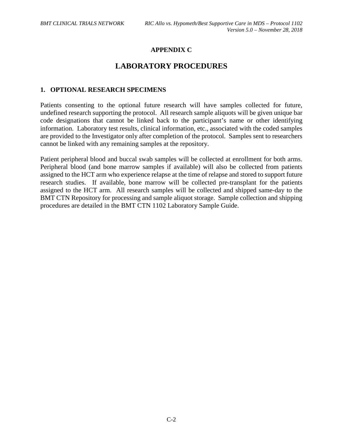### **APPENDIX C**

# **LABORATORY PROCEDURES**

#### **1. OPTIONAL RESEARCH SPECIMENS**

Patients consenting to the optional future research will have samples collected for future, undefined research supporting the protocol. All research sample aliquots will be given unique bar code designations that cannot be linked back to the participant's name or other identifying information. Laboratory test results, clinical information, etc., associated with the coded samples are provided to the Investigator only after completion of the protocol. Samples sent to researchers cannot be linked with any remaining samples at the repository.

Patient peripheral blood and buccal swab samples will be collected at enrollment for both arms. Peripheral blood (and bone marrow samples if available) will also be collected from patients assigned to the HCT arm who experience relapse at the time of relapse and stored to support future research studies. If available, bone marrow will be collected pre-transplant for the patients assigned to the HCT arm. All research samples will be collected and shipped same-day to the BMT CTN Repository for processing and sample aliquot storage. Sample collection and shipping procedures are detailed in the BMT CTN 1102 Laboratory Sample Guide.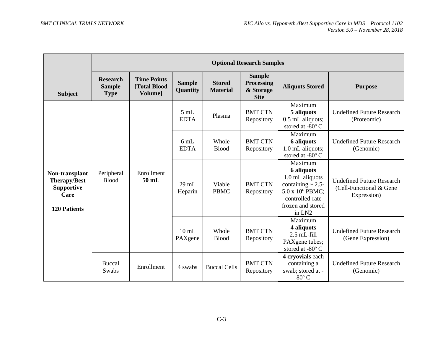|                                                                                           | <b>Optional Research Samples</b>                |                                                      |                            |                                  |                                                                |                                                                                                                                                              |                                                                            |
|-------------------------------------------------------------------------------------------|-------------------------------------------------|------------------------------------------------------|----------------------------|----------------------------------|----------------------------------------------------------------|--------------------------------------------------------------------------------------------------------------------------------------------------------------|----------------------------------------------------------------------------|
| <b>Subject</b>                                                                            | <b>Research</b><br><b>Sample</b><br><b>Type</b> | <b>Time Points</b><br>[Total Blood<br><b>Volumel</b> | <b>Sample</b><br>Quantity  | <b>Stored</b><br><b>Material</b> | <b>Sample</b><br><b>Processing</b><br>& Storage<br><b>Site</b> | <b>Aliquots Stored</b>                                                                                                                                       | <b>Purpose</b>                                                             |
|                                                                                           |                                                 |                                                      | 5mL<br><b>EDTA</b>         | Plasma                           | <b>BMT CTN</b><br>Repository                                   | Maximum<br>5 aliquots<br>0.5 mL aliquots;<br>stored at -80° C                                                                                                | <b>Undefined Future Research</b><br>(Proteomic)                            |
| Non-transplant<br><b>Therapy/Best</b><br><b>Supportive</b><br>Care<br><b>120 Patients</b> |                                                 | Enrollment<br>50 mL                                  | 6mL<br><b>EDTA</b>         | Whole<br><b>Blood</b>            | <b>BMT CTN</b><br>Repository                                   | Maximum<br><b>6</b> aliquots<br>1.0 mL aliquots;<br>stored at -80° C                                                                                         | <b>Undefined Future Research</b><br>(Genomic)                              |
|                                                                                           | Peripheral<br><b>Blood</b>                      |                                                      | $29 \text{ mL}$<br>Heparin | Viable<br><b>PBMC</b>            | <b>BMT CTN</b><br>Repository                                   | Maximum<br><b>6</b> aliquots<br>1.0 mL aliquots<br>containing $\sim$ 2.5-<br>5.0 x 10 <sup>6</sup> PBMC;<br>controlled-rate<br>frozen and stored<br>in $LN2$ | <b>Undefined Future Research</b><br>(Cell-Functional & Gene<br>Expression) |
|                                                                                           |                                                 |                                                      | $10 \text{ mL}$<br>PAXgene | Whole<br><b>Blood</b>            | <b>BMT CTN</b><br>Repository                                   | Maximum<br>4 aliquots<br>$2.5$ mL-fill<br>PAXgene tubes;<br>stored at -80° C                                                                                 | <b>Undefined Future Research</b><br>(Gene Expression)                      |
|                                                                                           | Buccal<br>Swabs                                 | Enrollment                                           | 4 swabs                    | <b>Buccal Cells</b>              | <b>BMT CTN</b><br>Repository                                   | 4 cryovials each<br>containing a<br>swab; stored at -<br>$80^{\circ}$ C                                                                                      | <b>Undefined Future Research</b><br>(Genomic)                              |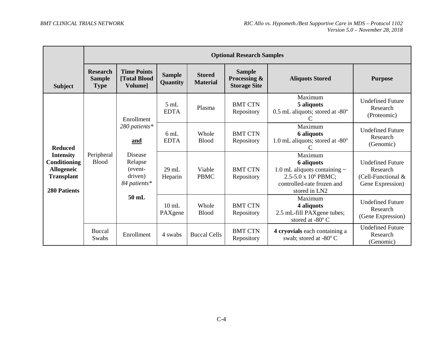|                                                                                                                                                   | <b>Optional Research Samples</b>                         |                                                      |                               |                                  |                                                                                                                                                     |                                                                               |                                                          |  |
|---------------------------------------------------------------------------------------------------------------------------------------------------|----------------------------------------------------------|------------------------------------------------------|-------------------------------|----------------------------------|-----------------------------------------------------------------------------------------------------------------------------------------------------|-------------------------------------------------------------------------------|----------------------------------------------------------|--|
| <b>Subject</b>                                                                                                                                    | <b>Research</b><br><b>Sample</b><br><b>Type</b>          | <b>Time Points</b><br>[Total Blood<br><b>Volumel</b> | <b>Sample</b><br>Quantity     | <b>Stored</b><br><b>Material</b> | <b>Sample</b><br>Processing &<br><b>Storage Site</b>                                                                                                | <b>Aliquots Stored</b>                                                        | <b>Purpose</b>                                           |  |
|                                                                                                                                                   |                                                          | Enrollment                                           | $5 \text{ mL}$<br><b>EDTA</b> | Plasma                           | <b>BMT CTN</b><br>Repository                                                                                                                        | Maximum<br>5 aliquots<br>$0.5$ mL aliquots; stored at -80 $^{\circ}$          | <b>Undefined Future</b><br>Research<br>(Proteomic)       |  |
| <b>Reduced</b><br>Peripheral<br><b>Intensity</b><br><b>Blood</b><br>Conditioning<br><b>Allogeneic</b><br><b>Transplant</b><br><b>280 Patients</b> |                                                          | 280 patients*<br>and                                 | 6 mL<br><b>EDTA</b>           | Whole<br><b>Blood</b>            | <b>BMT CTN</b><br>Repository                                                                                                                        | Maximum<br><b>6</b> aliquots<br>1.0 mL aliquots; stored at $-80^\circ$        | <b>Undefined Future</b><br>Research<br>(Genomic)         |  |
|                                                                                                                                                   | Disease<br>Relapse<br>(event-<br>driven)<br>84 patients* | $29 \text{ mL}$<br>Heparin                           | Viable<br><b>PBMC</b>         | <b>BMT CTN</b><br>Repository     | Maximum<br><b>6</b> aliquots<br>1.0 mL aliquots containing $\sim$<br>2.5-5.0 x 10 <sup>6</sup> PBMC;<br>controlled-rate frozen and<br>stored in LN2 | <b>Undefined Future</b><br>Research<br>(Cell-Functional &<br>Gene Expression) |                                                          |  |
|                                                                                                                                                   |                                                          | $50$ mL                                              | $10 \text{ mL}$<br>PAXgene    | Whole<br><b>Blood</b>            | <b>BMT CTN</b><br>Repository                                                                                                                        | Maximum<br>4 aliquots<br>2.5 mL-fill PAXgene tubes;<br>stored at -80° C       | <b>Undefined Future</b><br>Research<br>(Gene Expression) |  |
|                                                                                                                                                   | <b>Buccal</b><br>Swabs                                   | Enrollment                                           | 4 swabs                       | <b>Buccal Cells</b>              | <b>BMT CTN</b><br>Repository                                                                                                                        | 4 cryovials each containing a<br>swab; stored at -80° C                       | <b>Undefined Future</b><br>Research<br>(Genomic)         |  |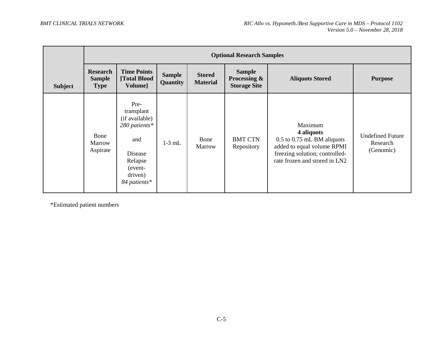|                |                                                 | <b>Optional Research Samples</b>                                                                                         |                           |                                  |                                                      |                                                                                                                                                          |                                                  |  |  |
|----------------|-------------------------------------------------|--------------------------------------------------------------------------------------------------------------------------|---------------------------|----------------------------------|------------------------------------------------------|----------------------------------------------------------------------------------------------------------------------------------------------------------|--------------------------------------------------|--|--|
| <b>Subject</b> | <b>Research</b><br><b>Sample</b><br><b>Type</b> | <b>Time Points</b><br>[Total Blood<br>Volume]                                                                            | <b>Sample</b><br>Quantity | <b>Stored</b><br><b>Material</b> | <b>Sample</b><br>Processing &<br><b>Storage Site</b> | <b>Aliquots Stored</b>                                                                                                                                   | <b>Purpose</b>                                   |  |  |
|                | Bone<br>Marrow<br>Aspirate                      | Pre-<br>transplant<br>(if available)<br>280 patients*<br>and<br>Disease<br>Relapse<br>(event-<br>driven)<br>84 patients* | $1-3$ mL                  | Bone<br>Marrow                   | <b>BMT CTN</b><br>Repository                         | Maximum<br>4 aliquots<br>$0.5$ to $0.75$ mL BM aliquots<br>added to equal volume RPMI<br>freezing solution; controlled-<br>rate frozen and stored in LN2 | <b>Undefined Future</b><br>Research<br>(Genomic) |  |  |

\*Estimated patient numbers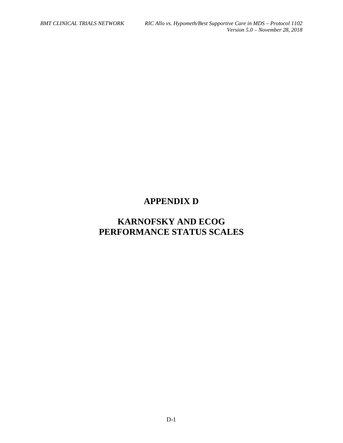# **APPENDIX D**

# **KARNOFSKY AND ECOG PERFORMANCE STATUS SCALES**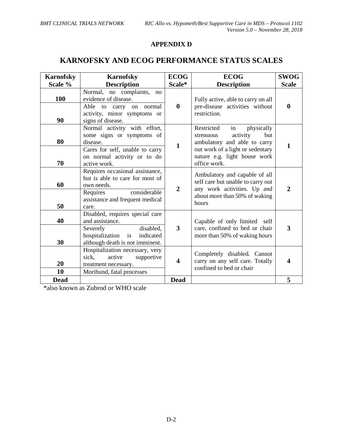# **APPENDIX D**

# **KARNOFSKY AND ECOG PERFORMANCE STATUS SCALES**

| <b>Karnofsky</b> | <b>Karnofsky</b>                                                                                                                                         | <b>ECOG</b>             | <b>ECOG</b>                                                                                                                                                                        | <b>SWOG</b>      |
|------------------|----------------------------------------------------------------------------------------------------------------------------------------------------------|-------------------------|------------------------------------------------------------------------------------------------------------------------------------------------------------------------------------|------------------|
| Scale %          | <b>Description</b>                                                                                                                                       | Scale*                  | <b>Description</b>                                                                                                                                                                 | <b>Scale</b>     |
| 100<br>90        | Normal, no complaints,<br>no<br>evidence of disease.<br>Able<br>carry on normal<br>to<br>activity, minor symptoms or<br>signs of disease.                | $\boldsymbol{0}$        | Fully active, able to carry on all<br>pre-disease activities without<br>restriction.                                                                                               | $\boldsymbol{0}$ |
| 80<br>70         | Normal activity with effort,<br>some signs or symptoms of<br>disease.<br>Cares for self, unable to carry<br>on normal activity or to do<br>active work.  | $\mathbf{1}$            | Restricted<br>physically<br>in<br>activity<br>but<br>strenuous<br>ambulatory and able to carry<br>out work of a light or sedentary<br>nature e.g. light house work<br>office work. | $\mathbf{1}$     |
| 60<br>50         | Requires occasional assistance,<br>but is able to care for most of<br>own needs.<br>considerable<br>Requires<br>assistance and frequent medical<br>care. | $\overline{2}$          | Ambulatory and capable of all<br>self care but unable to carry out<br>any work activities. Up and<br>about more than 50% of waking<br>hours                                        | $\mathbf{2}$     |
| 40<br>30         | Disabled, requires special care<br>and assistance.<br>disabled,<br>Severely<br>hospitalization is<br>indicated<br>although death is not imminent.        | $\overline{\mathbf{3}}$ | Capable of only limited self<br>care, confined to bed or chair<br>more than 50% of waking hours                                                                                    | 3                |
| 20<br>10         | Hospitalization necessary, very<br>sick,<br>active<br>supportive<br>treatment necessary.<br>Moribund, fatal processes                                    | 4                       | Completely disabled. Cannot<br>carry on any self care. Totally<br>confined to bed or chair                                                                                         | 4                |
| <b>Dead</b>      |                                                                                                                                                          | <b>Dead</b>             |                                                                                                                                                                                    | 5                |

\*also known as Zubrod or WHO scale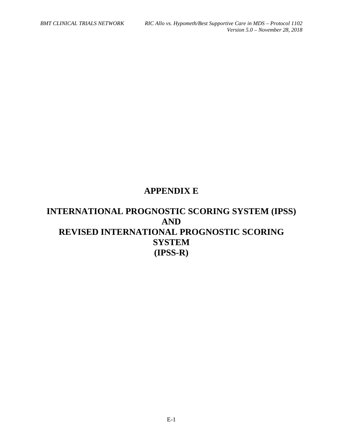# **APPENDIX E**

# **INTERNATIONAL PROGNOSTIC SCORING SYSTEM (IPSS) AND REVISED INTERNATIONAL PROGNOSTIC SCORING SYSTEM (IPSS-R)**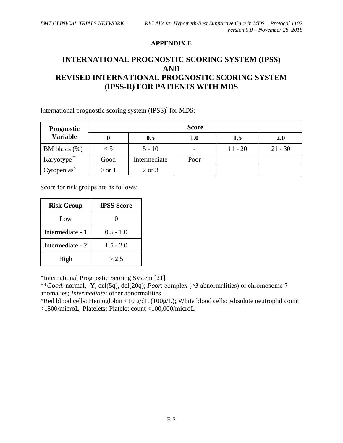#### **APPENDIX E**

# **INTERNATIONAL PROGNOSTIC SCORING SYSTEM (IPSS) AND REVISED INTERNATIONAL PROGNOSTIC SCORING SYSTEM (IPSS-R) FOR PATIENTS WITH MDS**

International prognostic scoring system (IPSS)\* for MDS:

| <b>Prognostic</b>       | <b>Score</b>      |              |      |           |            |  |  |  |  |
|-------------------------|-------------------|--------------|------|-----------|------------|--|--|--|--|
| <b>Variable</b>         |                   | 0.5          | 1.0  | 1.5       | <b>2.0</b> |  |  |  |  |
| BM blasts $(\%)$        | $\zeta$           | $5 - 10$     |      | $11 - 20$ | $21 - 30$  |  |  |  |  |
| Karyotype**             | Good              | Intermediate | Poor |           |            |  |  |  |  |
| Cytopenias <sup>^</sup> | $0 \text{ or } 1$ | 2 or 3       |      |           |            |  |  |  |  |

Score for risk groups are as follows:

| <b>Risk Group</b> | <b>IPSS Score</b> |
|-------------------|-------------------|
| Low               |                   |
| Intermediate - 1  | $0.5 - 1.0$       |
| Intermediate - 2  | $1.5 - 2.0$       |
| High              | > 2.5             |

\*International Prognostic Scoring System [21]

\*\**Good*: normal, -Y, del(5q), del(20q); *Poor*: complex (≥3 abnormalities) or chromosome 7 anomalies; *Intermediate*: other abnormalities

^Red blood cells: Hemoglobin <10 g/dL (100g/L); White blood cells: Absolute neutrophil count <1800/microL; Platelets: Platelet count <100,000/microL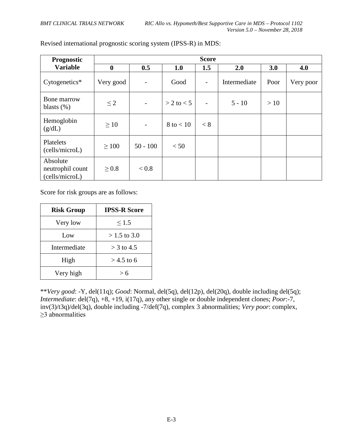| <b>Prognostic</b>                              |             |                          |                | <b>Score</b>             |              |      |           |
|------------------------------------------------|-------------|--------------------------|----------------|--------------------------|--------------|------|-----------|
| <b>Variable</b>                                | $\mathbf 0$ | 0.5                      | 1.0            | 1.5                      | 2.0          | 3.0  | 4.0       |
| Cytogenetics*                                  | Very good   | $\overline{\phantom{a}}$ | Good           | $\overline{\phantom{a}}$ | Intermediate | Poor | Very poor |
| Bone marrow<br>blasts $(\%)$                   | $\leq$ 2    | $\overline{\phantom{a}}$ | $> 2$ to $< 5$ | $\overline{\phantom{0}}$ | $5 - 10$     | >10  |           |
| Hemoglobin<br>(g/dL)                           | $\geq 10$   | $\overline{\phantom{a}}$ | $8$ to $< 10$  | < 8                      |              |      |           |
| Platelets<br>(cells/microL)                    | $\geq 100$  | $50 - 100$               | < 50           |                          |              |      |           |
| Absolute<br>neutrophil count<br>(cells/microL) | $\geq 0.8$  | < 0.8                    |                |                          |              |      |           |

Revised international prognostic scoring system (IPSS-R) in MDS:

Score for risk groups are as follows:

| <b>Risk Group</b> | <b>IPSS-R Score</b> |
|-------------------|---------------------|
| Very low          | $\leq 1.5$          |
| Low               | $>1.5$ to 3.0       |
| Intermediate      | $>$ 3 to 4.5        |
| High              | $>$ 4.5 to 6        |
| Very high         | > 6                 |

\*\**Very good*: -Y, del(11q); *Good*: Normal, del(5q), del(12p), del(20q), double including del(5q); *Intermediate*: del(7q), +8, +19, i(17q), any other single or double independent clones; *Poor*:-7, inv(3)/t3q)/del(3q), double including -7/def(7q), complex 3 abnormalities; *Very poor*: complex, ≥3 abnormalities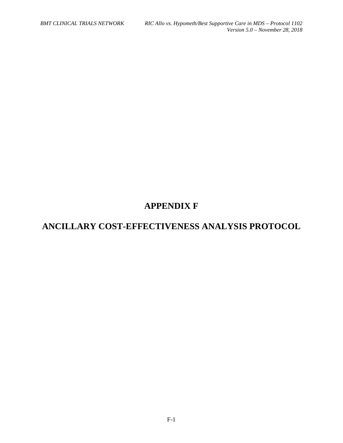# **APPENDIX F**

# **ANCILLARY COST-EFFECTIVENESS ANALYSIS PROTOCOL**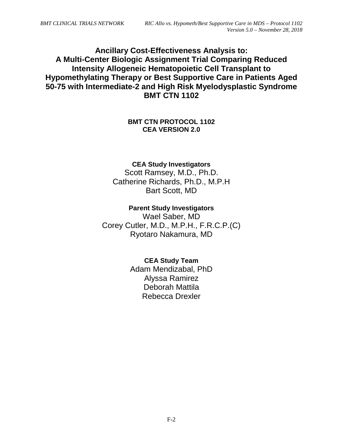# **Ancillary Cost-Effectiveness Analysis to: A Multi-Center Biologic Assignment Trial Comparing Reduced Intensity Allogeneic Hematopoietic Cell Transplant to Hypomethylating Therapy or Best Supportive Care in Patients Aged 50-75 with Intermediate-2 and High Risk Myelodysplastic Syndrome BMT CTN 1102**

## **BMT CTN PROTOCOL 1102 CEA VERSION 2.0**

## **CEA Study Investigators**

Scott Ramsey, M.D., Ph.D. Catherine Richards, Ph.D., M.P.H Bart Scott, MD

### **Parent Study Investigators**

Wael Saber, MD Corey Cutler, M.D., M.P.H., F.R.C.P.(C) Ryotaro Nakamura, MD

# **CEA Study Team**

Adam Mendizabal, PhD Alyssa Ramirez Deborah Mattila Rebecca Drexler

F-2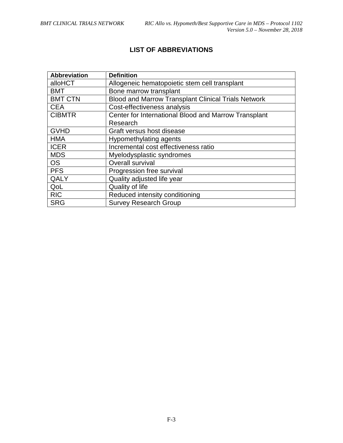# **LIST OF ABBREVIATIONS**

| <b>Abbreviation</b> | <b>Definition</b>                                          |
|---------------------|------------------------------------------------------------|
| alloHCT             | Allogeneic hematopoietic stem cell transplant              |
| <b>BMT</b>          | Bone marrow transplant                                     |
| <b>BMT CTN</b>      | <b>Blood and Marrow Transplant Clinical Trials Network</b> |
| <b>CEA</b>          | Cost-effectiveness analysis                                |
| <b>CIBMTR</b>       | Center for International Blood and Marrow Transplant       |
|                     | Research                                                   |
| <b>GVHD</b>         | Graft versus host disease                                  |
| <b>HMA</b>          | Hypomethylating agents                                     |
| <b>ICER</b>         | Incremental cost effectiveness ratio                       |
| <b>MDS</b>          | Myelodysplastic syndromes                                  |
| <b>OS</b>           | <b>Overall survival</b>                                    |
| <b>PFS</b>          | Progression free survival                                  |
| QALY                | Quality adjusted life year                                 |
| QoL                 | Quality of life                                            |
| <b>RIC</b>          | Reduced intensity conditioning                             |
| <b>SRG</b>          | <b>Survey Research Group</b>                               |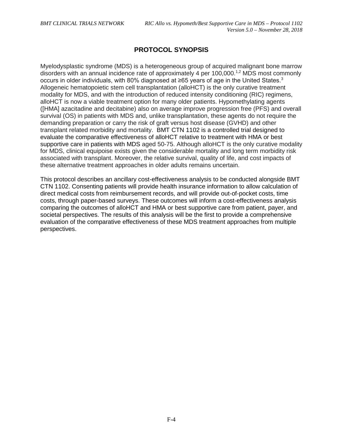# **PROTOCOL SYNOPSIS**

Myelodysplastic syndrome (MDS) is a heterogeneous group of acquired malignant bone marrow disorders with an annual incidence rate of approximately 4 per  $100,000$ .<sup>1,[2](#page-90-1)</sup> MDS most commonly occurs in older individuals, with 80% diagnosed at ≥65 years of age in the United States.[3](#page-90-2) Allogeneic hematopoietic stem cell transplantation (alloHCT) is the only curative treatment modality for MDS, and with the introduction of reduced intensity conditioning (RIC) regimens, alloHCT is now a viable treatment option for many older patients. Hypomethylating agents ([HMA] azacitadine and decitabine) also on average improve progression free (PFS) and overall survival (OS) in patients with MDS and, unlike transplantation, these agents do not require the demanding preparation or carry the risk of graft versus host disease (GVHD) and other transplant related morbidity and mortality. BMT CTN 1102 is a controlled trial designed to evaluate the comparative effectiveness of alloHCT relative to treatment with HMA or best supportive care in patients with MDS aged 50-75. Although alloHCT is the only curative modality for MDS, clinical equipoise exists given the considerable mortality and long term morbidity risk associated with transplant. Moreover, the relative survival, quality of life, and cost impacts of these alternative treatment approaches in older adults remains uncertain.

This protocol describes an ancillary cost-effectiveness analysis to be conducted alongside BMT CTN 1102. Consenting patients will provide health insurance information to allow calculation of direct medical costs from reimbursement records, and will provide out-of-pocket costs, time costs, through paper-based surveys. These outcomes will inform a cost-effectiveness analysis comparing the outcomes of alloHCT and HMA or best supportive care from patient, payer, and societal perspectives. The results of this analysis will be the first to provide a comprehensive evaluation of the comparative effectiveness of these MDS treatment approaches from multiple perspectives.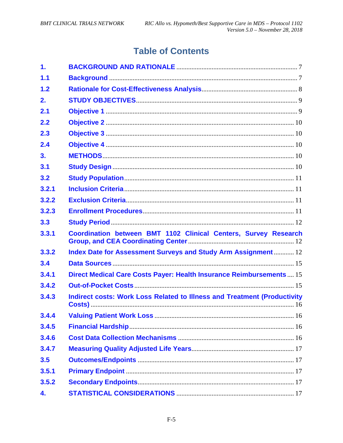# **Table of Contents**

| 1.    |                                                                                 |
|-------|---------------------------------------------------------------------------------|
| 1.1   |                                                                                 |
| 1.2   |                                                                                 |
| 2.    |                                                                                 |
| 2.1   |                                                                                 |
| 2.2   |                                                                                 |
| 2.3   |                                                                                 |
| 2.4   |                                                                                 |
| 3.    |                                                                                 |
| 3.1   |                                                                                 |
| 3.2   |                                                                                 |
| 3.2.1 |                                                                                 |
| 3.2.2 |                                                                                 |
| 3.2.3 |                                                                                 |
| 3.3   |                                                                                 |
| 3.3.1 | Coordination between BMT 1102 Clinical Centers, Survey Research                 |
| 3.3.2 | Index Date for Assessment Surveys and Study Arm Assignment  12                  |
| 3.4   |                                                                                 |
| 3.4.1 | Direct Medical Care Costs Payer: Health Insurance Reimbursements 15             |
| 3.4.2 |                                                                                 |
| 3.4.3 | <b>Indirect costs: Work Loss Related to Illness and Treatment (Productivity</b> |
| 3.4.4 |                                                                                 |
| 3.4.5 |                                                                                 |
| 3.4.6 |                                                                                 |
| 3.4.7 |                                                                                 |
| 3.5   |                                                                                 |
| 3.5.1 |                                                                                 |
|       |                                                                                 |
| 3.5.2 |                                                                                 |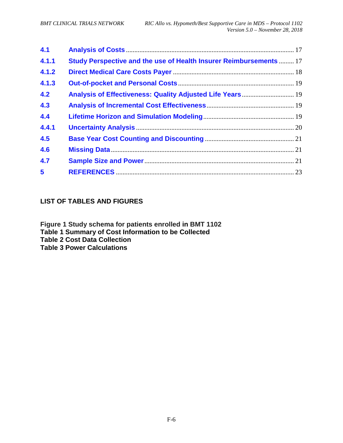| 4.1   |                                                                           |  |
|-------|---------------------------------------------------------------------------|--|
| 4.1.1 | <b>Study Perspective and the use of Health Insurer Reimbursements  17</b> |  |
| 4.1.2 |                                                                           |  |
| 4.1.3 |                                                                           |  |
| 4.2   | Analysis of Effectiveness: Quality Adjusted Life Years 19                 |  |
| 4.3   |                                                                           |  |
| 4.4   |                                                                           |  |
| 4.4.1 |                                                                           |  |
| 4.5   |                                                                           |  |
| 4.6   |                                                                           |  |
| 4.7   |                                                                           |  |
| 5     |                                                                           |  |

# **LIST OF TABLES AND FIGURES**

**Figure 1 Study schema for patients enrolled in BMT 1102 Table 1 Summary of Cost Information to be Collected Table 2 Cost Data Collection Table 3 Power Calculations**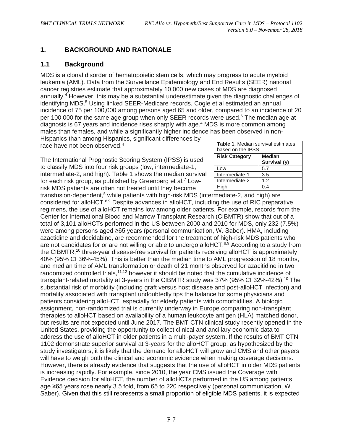# <span id="page-74-0"></span>**1. BACKGROUND AND RATIONALE**

#### <span id="page-74-1"></span>**1.1 Background**

MDS is a clonal disorder of hematopoietic stem cells, which may progress to acute myeloid leukemia (AML). Data from the Surveillance Epidemiology and End Results (SEER) national cancer registries estimate that approximately 10,000 new cases of MDS are diagnosed annually.<sup>4</sup> However, this may be a substantial underestimate given the diagnostic challenges of identifying MDS.<sup>5</sup> Using linked SEER-Medicare records, Cogle et al estimated an annual incidence of 75 per 100,000 among persons aged 65 and older, compared to an incidence of 20 per 100,000 for the same age group when only SEER records were used. $6$  The median age at diagnosis is 67 years and incidence rises sharply with age[.4](#page-90-1) MDS is more common among males than females, and while a significantly higher incidence has been observed in non-

Hispanics than among Hispanics, significant differences by race have not been observed.<sup>4</sup>

The International Prognostic Scoring System (IPSS) is used to classify MDS into four risk groups (low, intermediate-1, intermediate-2, and high). Table 1 shows the median survival for each risk group, as published by Greenberg et al.<sup>7</sup> Lowrisk MDS patients are often not treated until they become

| Table 1. Median survival estimates<br>based on the IPSS |                               |  |
|---------------------------------------------------------|-------------------------------|--|
| <b>Risk Category</b>                                    | <b>Median</b><br>Survival (y) |  |
| Low                                                     | 5.7                           |  |
| Intermediate-1                                          | 3.5                           |  |
| Intermediate-2                                          | 1.2                           |  |
| High                                                    |                               |  |

transfusion-dependent,<sup>5</sup> while patients with high-risk MDS (intermediate-2, and high) are considered for alloHCT[.8,](#page-90-5)[9](#page-90-6) Despite advances in alloHCT, including the use of RIC preparative regimens, the use of alloHCT remains low among older patients. For example, records from the Center for International Blood and Marrow Transplant Research (CIBMTR) show that out of a total of 3,101 alloHCTs performed in the US between 2000 and 2010 for MDS, only 232 (7.5%) were among persons aged ≥65 years (personal communication, W. Saber). HMA, including azactidine and decidabine, are recommended for the treatment of high-risk MDS patients who are not candidates for or are not willing or able to undergo alloHCT.<sup>8,[9](#page-90-6)</sup> According to a study from the CIBMTR,<sup>10</sup> three-year disease-free survival for patients receiving alloHCT is approximately 40% (95% CI 36%-45%). This is better than the median time to AML progression of 18 months, and median time of AML transformation or death of 21 months observed for azacitidine in two randomized controlled trials,<sup>11,[12](#page-90-9)</sup> however it should be noted that the cumulative incidence of transplant-related mortality at 3-years in the CIBMTR study was 37% (95% CI 32%-42%).<sup>10</sup> The substantial risk of morbidity (including graft versus host disease and post-alloHCT infection) and mortality associated with transplant undoubtedly tips the balance for some physicians and patients considering alloHCT, especially for elderly patients with comorbidities. A biologic assignment, non-randomized trial is currently underway in Europe comparing non-transplant therapies to alloHCT based on availability of a human leukocyte antigen (HLA) matched donor, but results are not expected until June 2017. The BMT CTN clinical study recently opened in the United States, providing the opportunity to collect clinical and ancillary economic data to address the use of alloHCT in older patients in a multi-payer system. If the results of BMT CTN 1102 demonstrate superior survival at 3-years for the alloHCT group, as hypothesized by the study investigators, it is likely that the demand for alloHCT will grow and CMS and other payers will have to weigh both the clinical and economic evidence when making coverage decisions. However, there is already evidence that suggests that the use of alloHCT in older MDS patients is increasing rapidly. For example, since 2010, the year CMS issued the Coverage with Evidence decision for alloHCT, the number of alloHCTs performed in the US among patients age ≥65 years rose nearly 3.5 fold, from 65 to 220 respectively (personal communication, W. Saber). Given that this still represents a small proportion of eligible MDS patients, it is expected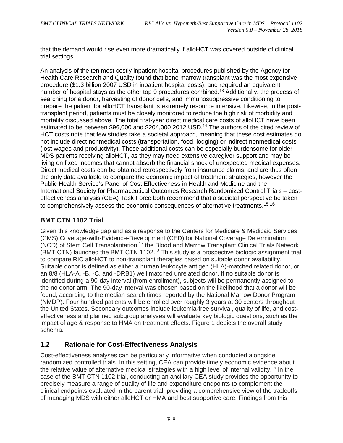that the demand would rise even more dramatically if alloHCT was covered outside of clinical trial settings.

An analysis of the ten most costly inpatient hospital procedures published by the Agency for Health Care Research and Quality found that bone marrow transplant was the most expensive procedure (\$1.3 billion 2007 USD in inpatient hospital costs), and required an equivalent number of hospital stays as the other top 9 procedures combined[.13](#page-90-10) Additionally, the process of searching for a donor, harvesting of donor cells, and immunosuppressive conditioning to prepare the patient for alloHCT transplant is extremely resource intensive. Likewise, in the posttransplant period, patients must be closely monitored to reduce the high risk of morbidity and mortality discussed above. The total first-year direct medical care costs of alloHCT have been estimated to be between \$96,000 and \$204,000 2012 USD.<sup>14</sup> The authors of the cited review of HCT costs note that few studies take a societal approach, meaning that these cost estimates do not include direct nonmedical costs (transportation, food, lodging) or indirect nonmedical costs (lost wages and productivity). These additional costs can be especially burdensome for older MDS patients receiving alloHCT, as they may need extensive caregiver support and may be living on fixed incomes that cannot absorb the financial shock of unexpected medical expenses. Direct medical costs can be obtained retrospectively from insurance claims, and are thus often the only data available to compare the economic impact of treatment strategies, however the Public Health Service's Panel of Cost Effectiveness in Health and Medicine and the International Society for Pharmaceutical Outcomes Research Randomized Control Trials – costeffectiveness analysis (CEA) Task Force both recommend that a societal perspective be taken to comprehensively assess the economic consequences of alternative treatments.<sup>[15,](#page-90-12)[16](#page-90-13)</sup>

# **BMT CTN 1102 Trial**

Given this knowledge gap and as a response to the Centers for Medicare & Medicaid Services (CMS) Coverage-with-Evidence-Development (CED) for National Coverage Determination (NCD) of Stem Cell Transplantation,<sup>17</sup> the Blood and Marrow Transplant Clinical Trials Network (BMT CTN) launched the BMT CTN 1102.<sup>18</sup> This study is a prospective biologic assignment trial to compare RIC alloHCT to non-transplant therapies based on suitable donor availability. Suitable donor is defined as either a human leukocyte antigen (HLA)-matched related donor, or an 8/8 (HLA-A, -B, -C, and -DRB1) well matched unrelated donor. If no suitable donor is identified during a 90-day interval (from enrollment), subjects will be permanently assigned to the no donor arm. The 90-day interval was chosen based on the likelihood that a donor will be found, according to the median search times reported by the National Marrow Donor Program (NMDP). Four hundred patients will be enrolled over roughly 3 years at 30 centers throughout the United States. Secondary outcomes include leukemia-free survival, quality of life, and costeffectiveness and planned subgroup analyses will evaluate key biologic questions, such as the impact of age & response to HMA on treatment effects. Figure 1 depicts the overall study schema.

# <span id="page-75-0"></span>**1.2 Rationale for Cost-Effectiveness Analysis**

Cost-effectiveness analyses can be particularly informative when conducted alongside randomized controlled trials. In this setting, CEA can provide timely economic evidence about the relative value of alternative medical strategies with a high level of internal validity.<sup>19</sup> In the case of the BMT CTN 1102 trial, conducting an ancillary CEA study provides the opportunity to precisely measure a range of quality of life and expenditure endpoints to complement the clinical endpoints evaluated in the parent trial, providing a comprehensive view of the tradeoffs of managing MDS with either alloHCT or HMA and best supportive care. Findings from this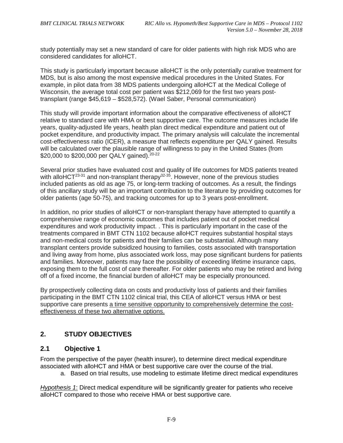study potentially may set a new standard of care for older patients with high risk MDS who are considered candidates for alloHCT.

This study is particularly important because alloHCT is the only potentially curative treatment for MDS, but is also among the most expensive medical procedures in the United States. For example, in pilot data from 38 MDS patients undergoing alloHCT at the Medical College of Wisconsin, the average total cost per patient was \$212,069 for the first two years posttransplant (range \$45,619 – \$528,572). (Wael Saber, Personal communication)

This study will provide important information about the comparative effectiveness of alloHCT relative to standard care with HMA or best supportive care. The outcome measures include life years, quality-adjusted life years, health plan direct medical expenditure and patient out of pocket expenditure, and productivity impact. The primary analysis will calculate the incremental cost-effectiveness ratio (ICER), a measure that reflects expenditure per QALY gained. Results will be calculated over the plausible range of willingness to pay in the United States (from \$20,000 to \$200,000 per QALY gained).  $20-22$ 

Several prior studies have evaluated cost and quality of life outcomes for MDS patients treated with alloHCT<sup>23-31</sup> and non-transplant therapy<sup>32-35</sup>. However, none of the previous studies included patients as old as age 75, or long-term tracking of outcomes. As a result, the findings of this ancillary study will be an important contribution to the literature by providing outcomes for older patients (age 50-75), and tracking outcomes for up to 3 years post-enrollment.

In addition, no prior studies of alloHCT or non-transplant therapy have attempted to quantify a comprehensive range of economic outcomes that includes patient out of pocket medical expenditures and work productivity impact. . This is particularly important in the case of the treatments compared in BMT CTN 1102 because alloHCT requires substantial hospital stays and non-medical costs for patients and their families can be substantial. Although many transplant centers provide subsidized housing to families, costs associated with transportation and living away from home, plus associated work loss, may pose significant burdens for patients and families. Moreover, patients may face the possibility of exceeding lifetime insurance caps, exposing them to the full cost of care thereafter. For older patients who may be retired and living off of a fixed income, the financial burden of alloHCT may be especially pronounced.

By prospectively collecting data on costs and productivity loss of patients and their families participating in the BMT CTN 1102 clinical trial, this CEA of alloHCT versus HMA or best supportive care presents a time sensitive opportunity to comprehensively determine the costeffectiveness of these two alternative options.

# <span id="page-76-0"></span>**2. STUDY OBJECTIVES**

# <span id="page-76-1"></span>**2.1 Objective 1**

From the perspective of the payer (health insurer), to determine direct medical expenditure associated with alloHCT and HMA or best supportive care over the course of the trial.

a. Based on trial results, use modeling to estimate lifetime direct medical expenditures

*Hypothesis 1*: Direct medical expenditure will be significantly greater for patients who receive alloHCT compared to those who receive HMA or best supportive care.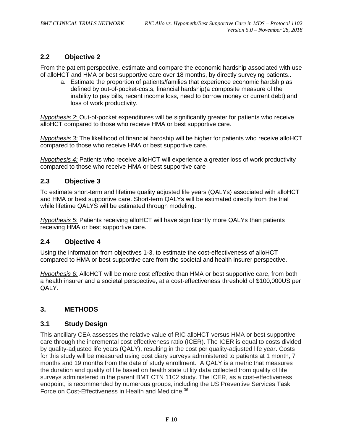# <span id="page-77-0"></span>**2.2 Objective 2**

From the patient perspective, estimate and compare the economic hardship associated with use of alloHCT and HMA or best supportive care over 18 months, by directly surveying patients..

a. Estimate the proportion of patients/families that experience economic hardship as defined by out-of-pocket-costs, financial hardship(a composite measure of the inability to pay bills, recent income loss, need to borrow money or current debt) and loss of work productivity.

*Hypothesis 2*: Out-of-pocket expenditures will be significantly greater for patients who receive alloHCT compared to those who receive HMA or best supportive care.

*Hypothesis 3:* The likelihood of financial hardship will be higher for patients who receive alloHCT compared to those who receive HMA or best supportive care.

*Hypothesis 4:* Patients who receive alloHCT will experience a greater loss of work productivity compared to those who receive HMA or best supportive care

#### <span id="page-77-1"></span>**2.3 Objective 3**

To estimate short-term and lifetime quality adjusted life years (QALYs) associated with alloHCT and HMA or best supportive care. Short-term QALYs will be estimated directly from the trial while lifetime QALYS will be estimated through modeling.

*Hypothesis 5*: Patients receiving alloHCT will have significantly more QALYs than patients receiving HMA or best supportive care.

#### <span id="page-77-2"></span>**2.4 Objective 4**

Using the information from objectives 1-3, to estimate the cost-effectiveness of alloHCT compared to HMA or best supportive care from the societal and health insurer perspective.

*Hypothesis* 6: AlloHCT will be more cost effective than HMA or best supportive care, from both a health insurer and a societal perspective, at a cost-effectiveness threshold of \$100,000US per QALY.

# <span id="page-77-3"></span>**3. METHODS**

#### <span id="page-77-4"></span>**3.1 Study Design**

This ancillary CEA assesses the relative value of RIC alloHCT versus HMA or best supportive care through the incremental cost effectiveness ratio (ICER). The ICER is equal to costs divided by quality-adjusted life years (QALY), resulting in the cost per quality-adjusted life year. Costs for this study will be measured using cost diary surveys administered to patients at 1 month, 7 months and 19 months from the date of study enrollment. A QALY is a metric that measures the duration and quality of life based on health state utility data collected from quality of life surveys administered in the parent BMT CTN 1102 study. The ICER, as a cost-effectiveness endpoint, is recommended by numerous groups, including the US Preventive Services Task Force on Cost-Effectiveness in Health and Medicine.<sup>36</sup>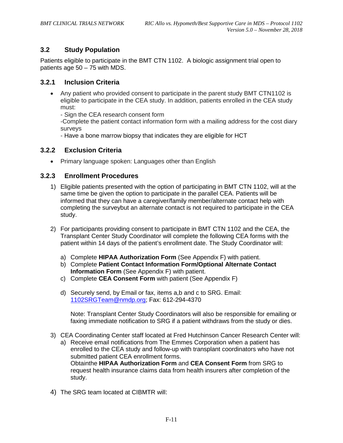# <span id="page-78-0"></span>**3.2 Study Population**

Patients eligible to participate in the BMT CTN 1102. A biologic assignment trial open to patients age 50 – 75 with MDS.

#### <span id="page-78-1"></span>**3.2.1 Inclusion Criteria**

• Any patient who provided consent to participate in the parent study BMT CTN1102 is eligible to participate in the CEA study. In addition, patients enrolled in the CEA study must:

- Sign the CEA research consent form

-Complete the patient contact information form with a mailing address for the cost diary surveys

- Have a bone marrow biopsy that indicates they are eligible for HCT

#### <span id="page-78-2"></span>**3.2.2 Exclusion Criteria**

• Primary language spoken: Languages other than English

#### <span id="page-78-3"></span>**3.2.3 Enrollment Procedures**

- 1) Eligible patients presented with the option of participating in BMT CTN 1102, will at the same time be given the option to participate in the parallel CEA. Patients will be informed that they can have a caregiver/family member/alternate contact help with completing the surveybut an alternate contact is not required to participate in the CEA study.
- 2) For participants providing consent to participate in BMT CTN 1102 and the CEA, the Transplant Center Study Coordinator will complete the following CEA forms with the patient within 14 days of the patient's enrollment date. The Study Coordinator will:
	- a) Complete **HIPAA Authorization Form** (See Appendix F) with patient.
	- b) Complete **Patient Contact Information Form/Optional Alternate Contact Information Form** (See Appendix F) with patient.
	- c) Complete **CEA Consent Form** with patient (See Appendix F)
	- d) Securely send, by Email or fax, items a,b and c to SRG. Email: [1102SRGTeam@nmdp.org;](mailto:1102SRGTeam@nmdp.org) Fax: 612-294-4370

Note: Transplant Center Study Coordinators will also be responsible for emailing or faxing immediate notification to SRG if a patient withdraws from the study or dies.

3) CEA Coordinating Center staff located at Fred Hutchinson Cancer Research Center will:

a) Receive email notifications from The Emmes Corporation when a patient has enrolled to the CEA study and follow-up with transplant coordinators who have not submitted patient CEA enrollment forms. Obtainthe **HIPAA Authorization Form** and **CEA Consent Form** from SRG to request health insurance claims data from health insurers after completion of the study.

4) The SRG team located at CIBMTR will: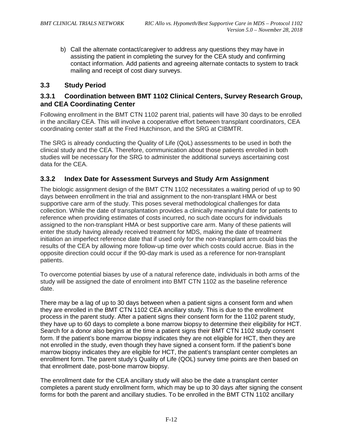b) Call the alternate contact/caregiver to address any questions they may have in assisting the patient in completing the survey for the CEA study and confirming contact information. Add patients and agreeing alternate contacts to system to track mailing and receipt of cost diary surveys.

#### <span id="page-79-0"></span>**3.3 Study Period**

#### <span id="page-79-1"></span>**3.3.1 Coordination between BMT 1102 Clinical Centers, Survey Research Group, and CEA Coordinating Center**

Following enrollment in the BMT CTN 1102 parent trial, patients will have 30 days to be enrolled in the ancillary CEA. This will involve a cooperative effort between transplant coordinators, CEA coordinating center staff at the Fred Hutchinson, and the SRG at CIBMTR.

The SRG is already conducting the Quality of Life (QoL) assessments to be used in both the clinical study and the CEA. Therefore, communication about those patients enrolled in both studies will be necessary for the SRG to administer the additional surveys ascertaining cost data for the CEA.

#### <span id="page-79-2"></span>**3.3.2 Index Date for Assessment Surveys and Study Arm Assignment**

The biologic assignment design of the BMT CTN 1102 necessitates a waiting period of up to 90 days between enrollment in the trial and assignment to the non-transplant HMA or best supportive care arm of the study. This poses several methodological challenges for data collection. While the date of transplantation provides a clinically meaningful date for patients to reference when providing estimates of costs incurred, no such date occurs for individuals assigned to the non-transplant HMA or best supportive care arm. Many of these patients will enter the study having already received treatment for MDS, making the date of treatment initiation an imperfect reference date that if used only for the non-transplant arm could bias the results of the CEA by allowing more follow-up time over which costs could accrue. Bias in the opposite direction could occur if the 90-day mark is used as a reference for non-transplant patients.

To overcome potential biases by use of a natural reference date, individuals in both arms of the study will be assigned the date of enrolment into BMT CTN 1102 as the baseline reference date.

There may be a lag of up to 30 days between when a patient signs a consent form and when they are enrolled in the BMT CTN 1102 CEA ancillary study. This is due to the enrollment process in the parent study. After a patient signs their consent form for the 1102 parent study, they have up to 60 days to complete a bone marrow biopsy to determine their eligibility for HCT. Search for a donor also begins at the time a patient signs their BMT CTN 1102 study consent form. If the patient's bone marrow biopsy indicates they are not eligible for HCT, then they are not enrolled in the study, even though they have signed a consent form. If the patient's bone marrow biopsy indicates they are eligible for HCT, the patient's transplant center completes an enrollment form. The parent study's Quality of Life (QOL) survey time points are then based on that enrollment date, post-bone marrow biopsy.

The enrollment date for the CEA ancillary study will also be the date a transplant center completes a parent study enrollment form, which may be up to 30 days after signing the consent forms for both the parent and ancillary studies. To be enrolled in the BMT CTN 1102 ancillary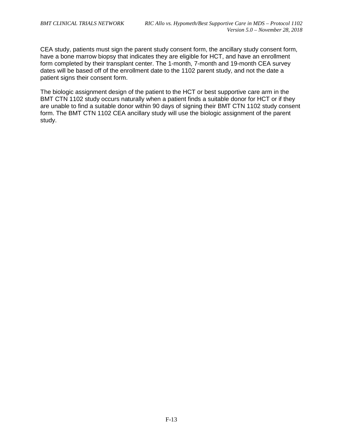CEA study, patients must sign the parent study consent form, the ancillary study consent form, have a bone marrow biopsy that indicates they are eligible for HCT, and have an enrollment form completed by their transplant center. The 1-month, 7-month and 19-month CEA survey dates will be based off of the enrollment date to the 1102 parent study, and not the date a patient signs their consent form.

The biologic assignment design of the patient to the HCT or best supportive care arm in the BMT CTN 1102 study occurs naturally when a patient finds a suitable donor for HCT or if they are unable to find a suitable donor within 90 days of signing their BMT CTN 1102 study consent form. The BMT CTN 1102 CEA ancillary study will use the biologic assignment of the parent study.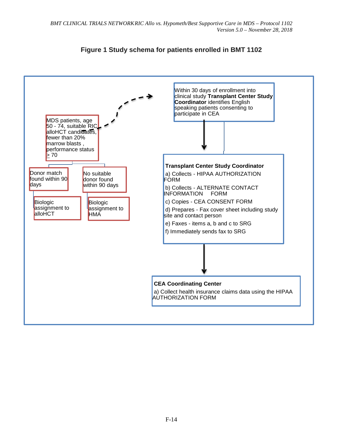

# **Figure 1 Study schema for patients enrolled in BMT 1102**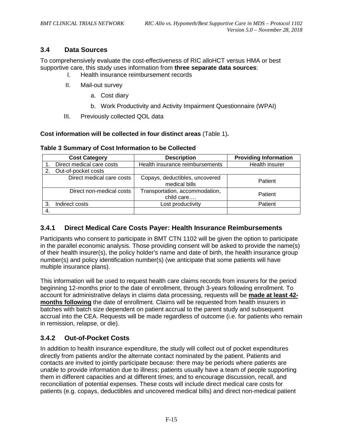# <span id="page-82-0"></span>**3.4 Data Sources**

To comprehensively evaluate the cost-effectiveness of RIC alloHCT versus HMA or best supportive care, this study uses information from **three separate data sources**:

- Health insurance reimbursement records
- II. Mail-out survey
	- a. Cost diary
	- b. Work Productivity and Activity Impairment Questionnaire (WPAI)
- III. Previously collected QOL data

#### **Cost information will be collected in four distinct areas** (Table 1)**.**

|    | <b>Cost Category</b>      | <b>Description</b>                              | <b>Providing Information</b> |
|----|---------------------------|-------------------------------------------------|------------------------------|
|    | Direct medical care costs | Health insurance reimbursements                 | Health insurer               |
|    | Out-of-pocket costs       |                                                 |                              |
|    | Direct medical care costs | Copays, deductibles, uncovered<br>medical bills | Patient                      |
|    | Direct non-medical costs  | Transportation, accommodation,<br>child care    | Patient                      |
| З. | Indirect costs            | Lost productivity                               | Patient                      |
|    |                           |                                                 |                              |

#### **Table 3 Summary of Cost Information to be Collected**

# <span id="page-82-1"></span>**3.4.1 Direct Medical Care Costs Payer: Health Insurance Reimbursements**

Participants who consent to participate in BMT CTN 1102 will be given the option to participate in the parallel economic analysis. Those providing consent will be asked to provide the name(s) of their health insurer(s), the policy holder's name and date of birth, the health insurance group number(s) and policy identification number(s) (we anticipate that some patients will have multiple insurance plans).

This information will be used to request health care claims records from insurers for the period beginning 12-months prior to the date of enrollment, through 3-years following enrollment. To account for administrative delays in claims data processing, requests will be **made at least 42 months following** the date of enrollment. Claims will be requested from health insurers in batches with batch size dependent on patient accrual to the parent study and subsequent accrual into the CEA. Requests will be made regardless of outcome (i.e. for patients who remain in remission, relapse, or die).

# <span id="page-82-2"></span>**3.4.2 Out-of-Pocket Costs**

In addition to health insurance expenditure, the study will collect out of pocket expenditures directly from patients and/or the alternate contact nominated by the patient. Patients and contacts are invited to jointly participate because: there may be periods where patients are unable to provide information due to illness; patients usually have a team of people supporting them in different capacities and at different times; and to encourage discussion, recall, and reconciliation of potential expenses. These costs will include direct medical care costs for patients (e.g. copays, deductibles and uncovered medical bills) and direct non-medical patient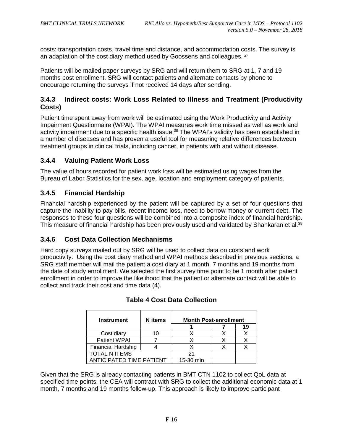costs: transportation costs, travel time and distance, and accommodation costs. The survey is an adaptation of the cost diary method used by Goossens and colleagues. [37](#page-92-1)

Patients will be mailed paper surveys by SRG and will return them to SRG at 1, 7 and 19 months post enrollment. SRG will contact patients and alternate contacts by phone to encourage returning the surveys if not received 14 days after sending.

# <span id="page-83-0"></span>**3.4.3 Indirect costs: Work Loss Related to Illness and Treatment (Productivity Costs)**

Patient time spent away from work will be estimated using the Work Productivity and Activity Impairment Questionnaire (WPAI). The WPAI measures work time missed as well as work and activity impairment due to a specific health issue.<sup>38</sup> The WPAI's validity has been established in a number of diseases and has proven a useful tool for measuring relative differences between treatment groups in clinical trials, including cancer, in patients with and without disease.

# <span id="page-83-1"></span>**3.4.4 Valuing Patient Work Loss**

The value of hours recorded for patient work loss will be estimated using wages from the Bureau of Labor Statistics for the sex, age, location and employment category of patients.

# <span id="page-83-2"></span>**3.4.5 Financial Hardship**

Financial hardship experienced by the patient will be captured by a set of four questions that capture the inability to pay bills, recent income loss, need to borrow money or current debt. The responses to these four questions will be combined into a composite index of financial hardship. This measure of financial hardship has been previously used and validated by Shankaran et al.<sup>39</sup>

# <span id="page-83-3"></span>**3.4.6 Cost Data Collection Mechanisms**

Hard copy surveys mailed out by SRG will be used to collect data on costs and work productivity. Using the cost diary method and WPAI methods described in previous sections, a SRG staff member will mail the patient a cost diary at 1 month, 7 months and 19 months from the date of study enrollment. We selected the first survey time point to be 1 month after patient enrollment in order to improve the likelihood that the patient or alternate contact will be able to collect and track their cost and time data (4).

| <b>Instrument</b>         | <b>N</b> items | <b>Month Post-enrollment</b> |  |    |  |
|---------------------------|----------------|------------------------------|--|----|--|
|                           |                |                              |  | 19 |  |
| Cost diary                |                |                              |  |    |  |
| <b>Patient WPAI</b>       |                |                              |  |    |  |
| <b>Financial Hardship</b> |                |                              |  |    |  |
| <b>TOTAL N ITEMS</b>      | 21             |                              |  |    |  |
| ANTICIPATED TIME PATIENT  | 15-30 min      |                              |  |    |  |

# **Table 4 Cost Data Collection**

Given that the SRG is already contacting patients in BMT CTN 1102 to collect QoL data at specified time points, the CEA will contract with SRG to collect the additional economic data at 1 month, 7 months and 19 months follow-up. This approach is likely to improve participant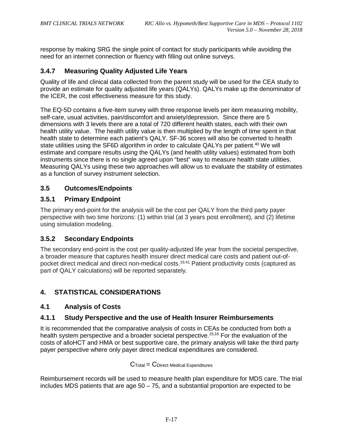response by making SRG the single point of contact for study participants while avoiding the need for an internet connection or fluency with filling out online surveys.

# <span id="page-84-0"></span>**3.4.7 Measuring Quality Adjusted Life Years**

Quality of life and clinical data collected from the parent study will be used for the CEA study to provide an estimate for quality adjusted life years (QALYs). QALYs make up the denominator of the ICER, the cost effectiveness measure for this study.

The EQ-5D contains a five-item survey with three response levels per item measuring mobility, self-care, usual activities, pain/discomfort and anxiety/depression. Since there are 5 dimensions with 3 levels there are a total of 720 different health states, each with their own health utility value. The health utility value is then multiplied by the length of time spent in that health state to determine each patient's QALY. SF-36 scores will also be converted to health state utilities using the SF6D algorithm in order to calculate QALYs per patient.<sup>40</sup> We will estimate and compare results using the QALYs (and health utility values) estimated from both instruments since there is no single agreed upon "best" way to measure health state utilities. Measuring QALYs using these two approaches will allow us to evaluate the stability of estimates as a function of survey instrument selection.

# <span id="page-84-1"></span>**3.5 Outcomes/Endpoints**

# <span id="page-84-2"></span>**3.5.1 Primary Endpoint**

The primary end-point for the analysis will be the cost per QALY from the third party payer perspective with two time horizons: (1) within trial (at 3 years post enrollment), and (2) lifetime using simulation modeling.

# <span id="page-84-3"></span>**3.5.2 Secondary Endpoints**

The secondary end-point is the cost per quality-adjusted life year from the societal perspective, a broader measure that captures health insurer direct medical care costs and patient out-ofpocket direct medical and direct non-medical costs[.19](#page-91-2)[,41](#page-92-5) Patient productivity costs (captured as part of QALY calculations) will be reported separately.

# <span id="page-84-4"></span>**4. STATISTICAL CONSIDERATIONS**

# <span id="page-84-5"></span>**4.1 Analysis of Costs**

# <span id="page-84-6"></span>**4.1.1 Study Perspective and the use of Health Insurer Reimbursements**

It is recommended that the comparative analysis of costs in CEAs be conducted from both a health system perspective and a broader societal perspective.<sup>15[,16](#page-90-13)</sup> For the evaluation of the costs of alloHCT and HMA or best supportive care, the primary analysis will take the third party payer perspective where only payer direct medical expenditures are considered.

#### $C$ Total =  $C$ Direct Medical Expenditures

Reimbursement records will be used to measure health plan expenditure for MDS care. The trial includes MDS patients that are age  $50 - 75$ , and a substantial proportion are expected to be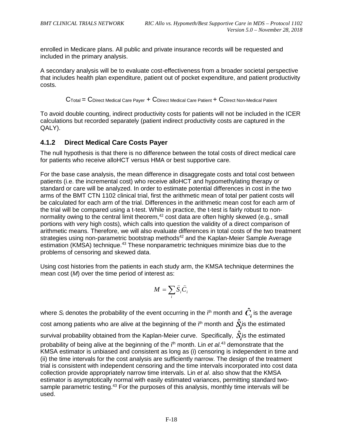enrolled in Medicare plans. All public and private insurance records will be requested and included in the primary analysis.

A secondary analysis will be to evaluate cost-effectiveness from a broader societal perspective that includes health plan expenditure, patient out of pocket expenditure, and patient productivity costs.

CTotal = CDirect Medical Care Payer + CDirect Medical Care Patient + CDirect Non-Medical Patient

To avoid double counting, indirect productivity costs for patients will not be included in the ICER calculations but recorded separately (patient indirect productivity costs are captured in the QALY).

#### <span id="page-85-0"></span>**4.1.2 Direct Medical Care Costs Payer**

The null hypothesis is that there is no difference between the total costs of direct medical care for patients who receive alloHCT versus HMA or best supportive care.

For the base case analysis, the mean difference in disaggregate costs and total cost between patients (i.e. the incremental cost) who receive alloHCT and hypomethylating therapy or standard or care will be analyzed. In order to estimate potential differences in cost in the two arms of the BMT CTN 1102 clinical trial, first the arithmetic mean of total per patient costs will be calculated for each arm of the trial. Differences in the arithmetic mean cost for each arm of the trial will be compared using a t-test. While in practice, the t-test is fairly robust to non-normality owing to the central limit theorem,<sup>[42](#page-92-6)</sup> cost data are often highly skewed (e.g., small portions with very high costs), which calls into question the validity of a direct comparison of arithmetic means. Therefore, we will also evaluate differences in total costs of the two treatment strategies using non-parametric bootstrap methods<sup>42</sup> and the Kaplan-Meier Sample Average estimation (KMSA) technique.<sup>43</sup> These nonparametric techniques minimize bias due to the problems of censoring and skewed data.

Using cost histories from the patients in each study arm, the KMSA technique determines the mean cost (*M*) over the time period of interest as:

$$
M = \sum_{i} \widehat{S}_{i} \widehat{C}_{i}
$$

where  $S_i$  denotes the probability of the event occurring in the i<sup>th</sup> month and  $\hat{C}_i$  is the average cost among patients who are alive at the beginning of the i<sup>th</sup> month and  $\hat{S}$  is the estimated survival probability obtained from the Kaplan-Meier curve. Specifically,  $\hat{S}$  is the estimated probability of being alive at the beginning of the i<sup>th</sup> month. Lin *et al*.<sup>[43](#page-92-7)</sup> demonstrate that the KMSA estimator is unbiased and consistent as long as (i) censoring is independent in time and (ii) the time intervals for the cost analysis are sufficiently narrow. The design of the treatment trial is consistent with independent censoring and the time intervals incorporated into cost data collection provide appropriately narrow time intervals. Lin *et al*. also show that the KMSA estimator is asymptotically normal with easily estimated variances, permitting standard twosample parametric testing.<sup>43</sup> For the purposes of this analysis, monthly time intervals will be used.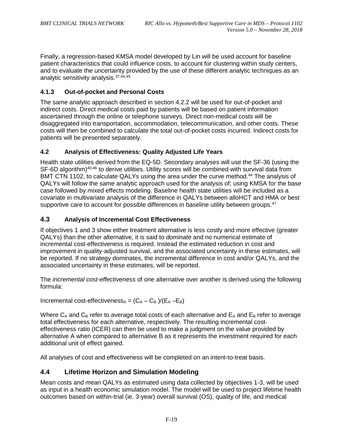Finally, a regression-based KMSA model developed by Lin will be used account for baseline patient characteristics that could influence costs, to account for clustering within study centers, and to evaluate the uncertainty provided by the use of these different analytic techniques as an analytic sensitivity analysis.<sup>37,[44,](#page-92-8)[45](#page-92-9)</sup>

#### <span id="page-86-0"></span>**4.1.3 Out-of-pocket and Personal Costs**

The same analytic approach described in section 4.2.2 will be used for out-of-pocket and indirect costs. Direct medical costs paid by patients will be based on patient information ascertained through the online or telephone surveys. Direct non-medical costs will be disaggregated into transportation, accommodation, telecommunication, and other costs. These costs will then be combined to calculate the total out-of-pocket costs incurred. Indirect costs for patients will be presented separately.

#### <span id="page-86-1"></span>**4.2 Analysis of Effectiveness: Quality Adjusted Life Years**

Health state utilities derived from the EQ-5D. Secondary analyses will use the SF-36 (using the SF-6D algorithm)<sup>40,[46](#page-92-10)</sup> to derive utilities. Utility scores will be combined with survival data from BMT CTN 1102, to calculate QALYs using the area under the curve method.<sup>44</sup> The analysis of QALYs will follow the same analytic approach used for the analysis of; using KMSA for the base case followed by mixed effects modeling. Baseline health state utilities will be included as a covariate in multivariate analysis of the difference in QALYs between alloHCT and HMA or best supportive care to account for possible differences in baseline utility between groups.<sup>47</sup>

#### <span id="page-86-2"></span>**4.3 Analysis of Incremental Cost Effectiveness**

If objectives 1 and 3 show either treatment alternative is less costly and more effective (greater QALYs) than the other alternative, it is said to *dominate* and no numerical estimate of incremental cost-effectiveness is required. Instead the estimated reduction in cost and improvement in quality-adjusted survival, and the associated uncertainty in these estimates, will be reported. If no strategy dominates, the incremental difference in cost and/or QALYs, and the associated uncertainty in these estimates, will be reported.

The *incremental cost-effectiveness* of one alternative over another is derived using the following formula:

Incremental cost-effectiveness<sub>A</sub> =  $(C_A - C_B)/(E_A - E_B)$ 

Where  $C_A$  and  $C_B$  refer to average total costs of each alternative and  $E_A$  and  $E_B$  refer to average total effectiveness for each alternative, respectively. The resulting incremental costeffectiveness ratio (ICER) can then be used to make a judgment on the value provided by alternative A when compared to alternative B as it represents the investment required for each additional unit of effect gained.

All analyses of cost and effectiveness will be completed on an intent-to-treat basis.

# <span id="page-86-3"></span>**4.4 Lifetime Horizon and Simulation Modeling**

Mean costs and mean QALYs as estimated using data collected by objectives 1-3, will be used as input in a health economic simulation model. The model will be used to project lifetime health outcomes based on within-trial (ie. 3-year) overall survival (OS), quality of life, and medical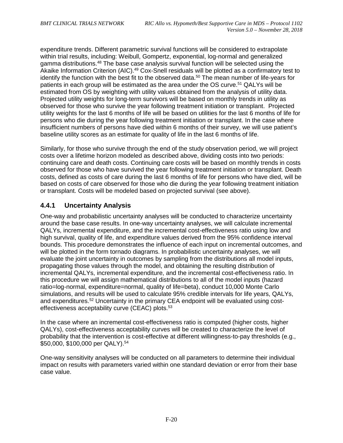expenditure trends. Different parametric survival functions will be considered to extrapolate within trial results, including: Weibull, Gompertz, exponential, log-normal and generalized gamma distributions[.48](#page-92-12) The base case analysis survival function will be selected using the Akaike Information Criterion (AIC).<sup>49</sup> Cox-Snell residuals will be plotted as a confirmatory test to identify the function with the best fit to the observed data.<sup>50</sup> The mean number of life-years for patients in each group will be estimated as the area under the OS curve.<sup>51</sup> QALYs will be estimated from OS by weighting with utility values obtained from the analysis of utility data. Projected utility weights for long-term survivors will be based on monthly trends in utility as observed for those who survive the year following treatment initiation or transplant. Projected utility weights for the last 6 months of life will be based on utilities for the last 6 months of life for persons who die during the year following treatment initiation or transplant. In the case where insufficient numbers of persons have died within 6 months of their survey, we will use patient's baseline utility scores as an estimate for quality of life in the last 6 months of life.

Similarly, for those who survive through the end of the study observation period, we will project costs over a lifetime horizon modeled as described above, dividing costs into two periods: continuing care and death costs. Continuing care costs will be based on monthly trends in costs observed for those who have survived the year following treatment initiation or transplant. Death costs, defined as costs of care during the last 6 months of life for persons who have died, will be based on costs of care observed for those who die during the year following treatment initiation or transplant. Costs will be modeled based on projected survival (see above).

# <span id="page-87-0"></span>**4.4.1 Uncertainty Analysis**

One-way and probabilistic uncertainty analyses will be conducted to characterize uncertainty around the base case results. In one-way uncertainty analyses, we will calculate incremental QALYs, incremental expenditure, and the incremental cost-effectiveness ratio using low and high survival, quality of life, and expenditure values derived from the 95% confidence interval bounds. This procedure demonstrates the influence of each input on incremental outcomes, and will be plotted in the form tornado diagrams. In probabilistic uncertainty analyses, we will evaluate the joint uncertainty in outcomes by sampling from the distributions all model inputs, propagating those values through the model, and obtaining the resulting distribution of incremental QALYs, incremental expenditure, and the incremental cost-effectiveness ratio. In this procedure we will assign mathematical distributions to all of the model inputs (hazard ratio=log-normal, expenditure=normal, quality of life=beta), conduct 10,000 Monte Carlo simulations, and results will be used to calculate 95% credible intervals for life years, QALYs, and expenditures[.52](#page-93-0) Uncertainty in the primary CEA endpoint will be evaluated using costeffectiveness acceptability curve (CEAC) plots.<sup>53</sup>

In the case where an incremental cost-effectiveness ratio is computed (higher costs, higher QALYs), cost-effectiveness acceptability curves will be created to characterize the level of probability that the intervention is cost-effective at different willingness-to-pay thresholds (e.g., \$50,000, \$100,000 per QALY)[.54](#page-93-2)

One-way sensitivity analyses will be conducted on all parameters to determine their individual impact on results with parameters varied within one standard deviation or error from their base case value.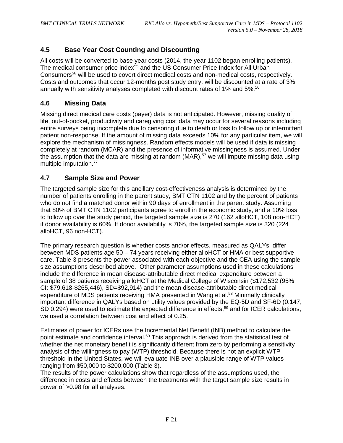# <span id="page-88-0"></span>**4.5 Base Year Cost Counting and Discounting**

All costs will be converted to base year costs (2014, the year 1102 began enrolling patients). The medical consumer price index<sup>55</sup> and the US Consumer Price Index for All Urban Consumer[s56](#page-93-4) will be used to covert direct medical costs and non-medical costs, respectively. Costs and outcomes that occur 12-months post study entry, will be discounted at a rate of 3% annually with sensitivity analyses completed with discount rates of 1% and 5%[.16](#page-90-13)

#### <span id="page-88-1"></span>**4.6 Missing Data**

Missing direct medical care costs (payer) data is not anticipated. However, missing quality of life, out-of-pocket, productivity and caregiving cost data may occur for several reasons including entire surveys being incomplete due to censoring due to death or loss to follow up or intermittent patient non-response. If the amount of missing data exceeds 10% for any particular item, we will explore the mechanism of missingness. Random effects models will be used if data is missing completely at random (MCAR) and the presence of informative missingness is assumed. Under the assumption that the data are missing at random (MAR), $57$  we will impute missing data using multiple imputation.77

#### <span id="page-88-2"></span>**4.7 Sample Size and Power**

The targeted sample size for this ancillary cost-effectiveness analysis is determined by the number of patients enrolling in the parent study, BMT CTN 1102 and by the percent of patients who do not find a matched donor within 90 days of enrollment in the parent study. Assuming that 80% of BMT CTN 1102 participants agree to enroll in the economic study, and a 10% loss to follow up over the study period, the targeted sample size is 270 (162 alloHCT, 108 non-HCT) if donor availability is 60%. If donor availability is 70%, the targeted sample size is 320 (224 alloHCT, 96 non-HCT).

The primary research question is whether costs and/or effects, measured as QALYs, differ between MDS patients age 50 – 74 years receiving either alloHCT or HMA or best supportive care. Table 3 presents the power associated with each objective and the CEA using the sample size assumptions described above. Other parameter assumptions used in these calculations include the difference in mean disease-attributable direct medical expenditure between a sample of 38 patients receiving alloHCT at the Medical College of Wisconsin (\$172,532 (95% CI: \$79,618-\$265,446), SD=\$92,914) and the mean disease-attributable direct medical expenditure of MDS patients receiving HMA presented in Wang et al.<sup>58</sup> Minimally clinically important difference in QALYs based on utility values provided by the EQ-5D and SF-6D (0.147, SD 0.294) were used to estimate the expected difference in effects,<sup>59</sup> and for ICER calculations, we used a correlation between cost and effect of 0.25.

Estimates of power for ICERs use the Incremental Net Benefit (INB) method to calculate the point estimate and confidence interval.<sup>60</sup> This approach is derived from the statistical test of whether the net monetary benefit is significantly different from zero by performing a sensitivity analysis of the willingness to pay (WTP) threshold. Because there is not an explicit WTP threshold in the United States, we will evaluate INB over a plausible range of WTP values ranging from \$50,000 to \$200,000 (Table 3).

The results of the power calculations show that regardless of the assumptions used, the difference in costs and effects between the treatments with the target sample size results in power of >0.98 for all analyses.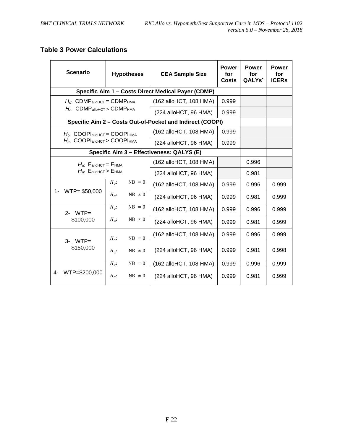# **Table 3 Power Calculations**

| <b>Scenario</b>                                                                                                             | <b>Hypotheses</b>                                     |             | <b>CEA Sample Size</b>                                    | <b>Power</b><br>for<br><b>Costs</b> | <b>Power</b><br>for<br>QALYs <sup>*</sup> | <b>Power</b><br>for<br><b>ICERs</b> |
|-----------------------------------------------------------------------------------------------------------------------------|-------------------------------------------------------|-------------|-----------------------------------------------------------|-------------------------------------|-------------------------------------------|-------------------------------------|
|                                                                                                                             |                                                       |             | Specific Aim 1 - Costs Direct Medical Payer (CDMP)        |                                     |                                           |                                     |
| $Ho$ . CDMP <sub>alloHCT</sub> = CDMP <sub>HMA</sub>                                                                        |                                                       |             | (162 alloHCT, 108 HMA)                                    | 0.999                               |                                           |                                     |
|                                                                                                                             | $H_a$ : CDMP <sub>alloHCT</sub> > CDMP <sub>HMA</sub> |             |                                                           | 0.999                               |                                           |                                     |
|                                                                                                                             |                                                       |             | Specific Aim 2 - Costs Out-of-Pocket and Indirect (COOPI) |                                     |                                           |                                     |
| $H_{\alpha}$ : COOPI <sub>alloHCT</sub> = COOPI <sub>HMA</sub><br>$H_{\rm a}$ : COOPI $_{\rm alloHCT}$ > COOPI $_{\rm HMA}$ |                                                       |             | (162 alloHCT, 108 HMA)                                    | 0.999                               |                                           |                                     |
|                                                                                                                             |                                                       |             | (224 alloHCT, 96 HMA)                                     | 0.999                               |                                           |                                     |
| Specific Aim 3 - Effectiveness: QALYS (E)                                                                                   |                                                       |             |                                                           |                                     |                                           |                                     |
|                                                                                                                             | $H_0$ : $E_{\text{alloHCT}} = E_{\text{HMA}}$         |             |                                                           |                                     | 0.996                                     |                                     |
| $H_{a}$ : $E_{\text{allohCT}}$ > $E_{\text{HMA}}$                                                                           |                                                       |             | (224 alloHCT, 96 HMA)                                     |                                     | 0.981                                     |                                     |
|                                                                                                                             | $H_o$ :                                               | $NB = 0$    | (162 alloHCT, 108 HMA)                                    | 0.999                               | 0.996                                     | 0.999                               |
| WTP= \$50,000<br>1-                                                                                                         | $H_a$ :                                               | $NB \neq 0$ | (224 alloHCT, 96 HMA)                                     | 0.999                               | 0.981                                     | 0.999                               |
| $2 - WTP =$                                                                                                                 | $H_0$ :                                               | $NB = 0$    | (162 alloHCT, 108 HMA)                                    | 0.999                               | 0.996                                     | 0.999                               |
| \$100,000                                                                                                                   | $H_a$ :                                               | $NB \neq 0$ | (224 alloHCT, 96 HMA)                                     | 0.999                               | 0.981                                     | 0.999                               |
|                                                                                                                             | $H_0$ :                                               | $NB = 0$    | (162 alloHCT, 108 HMA)                                    | 0.999                               | 0.996                                     | 0.999                               |
| $3$ - WTP $=$<br>\$150,000                                                                                                  | $H_a$ :                                               | $NB \neq 0$ | (224 alloHCT, 96 HMA)                                     | 0.999                               | 0.981                                     | 0.998                               |
|                                                                                                                             | $H_o$ :                                               | $NB = 0$    | (162 alloHCT, 108 HMA)                                    | 0.999                               | 0.996                                     | 0.999                               |
| WTP=\$200,000<br>4-                                                                                                         | $H_a$ :                                               | $NB \neq 0$ | $(224$ alloHCT, 96 HMA)                                   | 0.999                               | 0.981                                     | 0.999                               |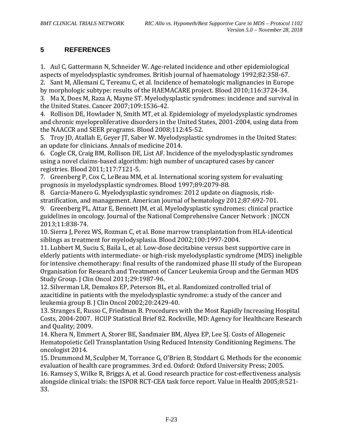# <span id="page-90-0"></span>**5 REFERENCES**

1. Aul C, Gattermann N, Schneider W. Age-related incidence and other epidemiological aspects of myelodysplastic syndromes. British journal of haematology 1992;82:358-67.

2. Sant M, Allemani C, Tereanu C, et al. Incidence of hematologic malignancies in Europe by morphologic subtype: results of the HAEMACARE project. Blood 2010;116:3724-34.

3. Ma X, Does M, Raza A, Mayne ST. Myelodysplastic syndromes: incidence and survival in the United States. Cancer 2007;109:1536-42.

<span id="page-90-1"></span>4. Rollison DE, Howlader N, Smith MT, et al. Epidemiology of myelodysplastic syndromes and chronic myeloproliferative disorders in the United States, 2001-2004, using data from the NAACCR and SEER programs. Blood 2008;112:45-52.

<span id="page-90-2"></span>5. Troy JD, Atallah E, Geyer JT, Saber W. Myelodysplastic syndromes in the United States: an update for clinicians. Annals of medicine 2014.

<span id="page-90-3"></span>6. Cogle CR, Craig BM, Rollison DE, List AF. Incidence of the myelodysplastic syndromes using a novel claims-based algorithm: high number of uncaptured cases by cancer registries. Blood 2011;117:7121-5.

<span id="page-90-4"></span>7. Greenberg P, Cox C, LeBeau MM, et al. International scoring system for evaluating prognosis in myelodysplastic syndromes. Blood 1997;89:2079-88.

<span id="page-90-5"></span>8. Garcia-Manero G. Myelodysplastic syndromes: 2012 update on diagnosis, riskstratification, and management. American journal of hematology 2012;87:692-701.

<span id="page-90-6"></span>9. Greenberg PL, Attar E, Bennett JM, et al. Myelodysplastic syndromes: clinical practice guidelines in oncology. Journal of the National Comprehensive Cancer Network : JNCCN 2013;11:838-74.

<span id="page-90-7"></span>10. Sierra J, Perez WS, Rozman C, et al. Bone marrow transplantation from HLA-identical siblings as treatment for myelodysplasia. Blood 2002;100:1997-2004.

<span id="page-90-8"></span>11. Lubbert M, Suciu S, Baila L, et al. Low-dose decitabine versus best supportive care in elderly patients with intermediate- or high-risk myelodysplastic syndrome (MDS) ineligible for intensive chemotherapy: final results of the randomized phase III study of the European Organisation for Research and Treatment of Cancer Leukemia Group and the German MDS Study Group. J Clin Oncol 2011;29:1987-96.

<span id="page-90-9"></span>12. Silverman LR, Demakos EP, Peterson BL, et al. Randomized controlled trial of azacitidine in patients with the myelodysplastic syndrome: a study of the cancer and leukemia group B. J Clin Oncol 2002;20:2429-40.

<span id="page-90-10"></span>13. Stranges E, Russo C, Friedman B. Procedures with the Most Rapidly Increasing Hospital Costs, 2004-2007. HCUP Statistical Brief 82. Rockville, MD: Agency for Healthcare Research and Quality; 2009.

<span id="page-90-11"></span>14. Khera N, Emmert A, Storer BE, Sandmaier BM, Alyea EP, Lee SJ. Costs of Allogeneic Hematopoietic Cell Transplantation Using Reduced Intensity Conditioning Regimens. The oncologist 2014.

<span id="page-90-12"></span>15. Drummond M, Sculpher M, Torrance G, O'Brien B, Stoddart G. Methods for the economic evaluation of health care programmes. 3rd ed. Oxford: Oxford University Press; 2005.

<span id="page-90-13"></span>16. Ramsey S, Wilke R, Briggs A, et al. Good research practice for cost-effectiveness analysis alongside clinical trials: the ISPOR RCT-CEA task force report. Value in Health 2005;8:521- 33.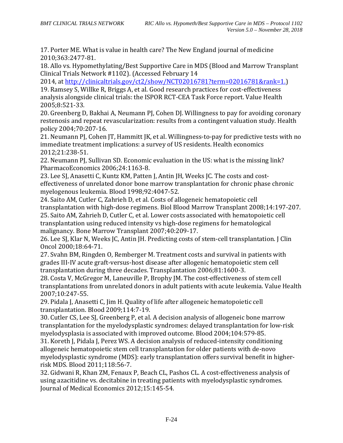<span id="page-91-0"></span>17. Porter ME. What is value in health care? The New England journal of medicine 2010;363:2477-81.

<span id="page-91-1"></span>18. Allo vs. Hypomethylating/Best Supportive Care in MDS (Blood and Marrow Transplant Clinical Trials Network #1102). (Accessed February 14

2014, at [http://clinicaltrials.gov/ct2/show/NCT02016781?term=02016781&rank=1.\)](http://clinicaltrials.gov/ct2/show/NCT02016781?term=02016781&rank=1.)

<span id="page-91-2"></span>19. Ramsey S, Willke R, Briggs A, et al. Good research practices for cost-effectiveness analysis alongside clinical trials: the ISPOR RCT-CEA Task Force report. Value Health 2005;8:521-33.

<span id="page-91-3"></span>20. Greenberg D, Bakhai A, Neumann PJ, Cohen DJ. Willingness to pay for avoiding coronary restenosis and repeat revascularization: results from a contingent valuation study. Health policy 2004;70:207-16.

21. Neumann PJ, Cohen JT, Hammitt JK, et al. Willingness-to-pay for predictive tests with no immediate treatment implications: a survey of US residents. Health economics 2012;21:238-51.

22. Neumann PJ, Sullivan SD. Economic evaluation in the US: what is the missing link? PharmacoEconomics 2006;24:1163-8.

<span id="page-91-4"></span>23. Lee SJ, Anasetti C, Kuntz KM, Patten J, Antin JH, Weeks JC. The costs and costeffectiveness of unrelated donor bone marrow transplantation for chronic phase chronic myelogenous leukemia. Blood 1998;92:4047-52.

24. Saito AM, Cutler C, Zahrieh D, et al. Costs of allogeneic hematopoietic cell transplantation with high-dose regimens. Biol Blood Marrow Transplant 2008;14:197-207. 25. Saito AM, Zahrieh D, Cutler C, et al. Lower costs associated with hematopoietic cell transplantation using reduced intensity vs high-dose regimens for hematological malignancy. Bone Marrow Transplant 2007;40:209-17.

26. Lee SJ, Klar N, Weeks JC, Antin JH. Predicting costs of stem-cell transplantation. J Clin Oncol 2000;18:64-71.

27. Svahn BM, Ringden O, Remberger M. Treatment costs and survival in patients with grades III-IV acute graft-versus-host disease after allogenic hematopoietic stem cell transplantation during three decades. Transplantation 2006;81:1600-3.

28. Costa V, McGregor M, Laneuville P, Brophy JM. The cost-effectiveness of stem cell transplantations from unrelated donors in adult patients with acute leukemia. Value Health 2007;10:247-55.

29. Pidala J, Anasetti C, Jim H. Quality of life after allogeneic hematopoietic cell transplantation. Blood 2009;114:7-19.

30. Cutler CS, Lee SJ, Greenberg P, et al. A decision analysis of allogeneic bone marrow transplantation for the myelodysplastic syndromes: delayed transplantation for low-risk myelodysplasia is associated with improved outcome. Blood 2004;104:579-85.

31. Koreth J, Pidala J, Perez WS. A decision analysis of reduced-intensity conditioning allogeneic hematopoietic stem cell transplantation for older patients with de-novo myelodysplastic syndrome (MDS): early transplantation offers survival benefit in higherrisk MDS. Blood 2011;118:56-7.

<span id="page-91-5"></span>32. Gidwani R, Khan ZM, Fenaux P, Beach CL, Pashos CL. A cost-effectiveness analysis of using azacitidine vs. decitabine in treating patients with myelodysplastic syndromes. Journal of Medical Economics 2012;15:145-54.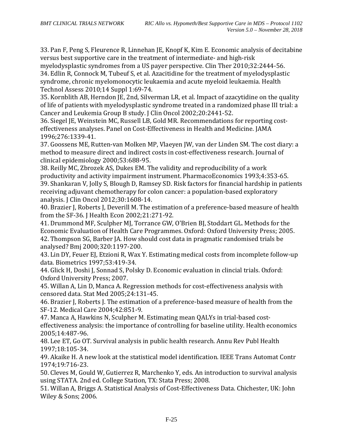33. Pan F, Peng S, Fleurence R, Linnehan JE, Knopf K, Kim E. Economic analysis of decitabine versus best supportive care in the treatment of intermediate- and high-risk myelodysplastic syndromes from a US payer perspective. Clin Ther 2010;32:2444-56. 34. Edlin R, Connock M, Tubeuf S, et al. Azacitidine for the treatment of myelodysplastic syndrome, chronic myelomonocytic leukaemia and acute myeloid leukaemia. Health Technol Assess 2010;14 Suppl 1:69-74.

35. Kornblith AB, Herndon JE, 2nd, Silverman LR, et al. Impact of azacytidine on the quality of life of patients with myelodysplastic syndrome treated in a randomized phase III trial: a Cancer and Leukemia Group B study. J Clin Oncol 2002;20:2441-52.

<span id="page-92-0"></span>36. Siegel JE, Weinstein MC, Russell LB, Gold MR. Recommendations for reporting costeffectiveness analyses. Panel on Cost-Effectiveness in Health and Medicine. JAMA 1996;276:1339-41.

<span id="page-92-1"></span>37. Goossens ME, Rutten-van Molken MP, Vlaeyen JW, van der Linden SM. The cost diary: a method to measure direct and indirect costs in cost-effectiveness research. Journal of clinical epidemiology 2000;53:688-95.

<span id="page-92-3"></span><span id="page-92-2"></span>38. Reilly MC, Zbrozek AS, Dukes EM. The validity and reproducibility of a work productivity and activity impairment instrument. PharmacoEconomics 1993;4:353-65. 39. Shankaran V, Jolly S, Blough D, Ramsey SD. Risk factors for financial hardship in patients receiving adjuvant chemotherapy for colon cancer: a population-based exploratory analysis. J Clin Oncol 2012;30:1608-14.

<span id="page-92-4"></span>40. Brazier J, Roberts J, Deverill M. The estimation of a preference-based measure of health from the SF-36. J Health Econ 2002;21:271-92.

<span id="page-92-6"></span><span id="page-92-5"></span>41. Drummond MF, Sculpher MJ, Torrance GW, O'Brien BJ, Stoddart GL. Methods for the Economic Evaluation of Health Care Programmes. Oxford: Oxford University Press; 2005. 42. Thompson SG, Barber JA. How should cost data in pragmatic randomised trials be analysed? Bmj 2000;320:1197-200.

<span id="page-92-7"></span>43. Lin DY, Feuer EJ, Etzioni R, Wax Y. Estimating medical costs from incomplete follow-up data. Biometrics 1997;53:419-34.

<span id="page-92-8"></span>44. Glick H, Doshi J, Sonnad S, Polsky D. Economic evaluation in clincial trials. Oxford: Oxford University Press; 2007.

<span id="page-92-9"></span>45. Willan A, Lin D, Manca A. Regression methods for cost-effectiveness analysis with censored data. Stat Med 2005;24:131-45.

<span id="page-92-10"></span>46. Brazier J, Roberts J. The estimation of a preference-based measure of health from the SF-12. Medical Care 2004;42:851-9.

<span id="page-92-11"></span>47. Manca A, Hawkins N, Sculpher M. Estimating mean QALYs in trial-based costeffectiveness analysis: the importance of controlling for baseline utility. Health economics 2005;14:487-96.

<span id="page-92-12"></span>48. Lee ET, Go OT. Survival analysis in public health research. Annu Rev Publ Health 1997;18:105-34.

<span id="page-92-13"></span>49. Akaike H. A new look at the statistical model identification. IEEE Trans Automat Contr 1974;19:716-23.

<span id="page-92-14"></span>50. Cleves M, Gould W, Gutierrez R, Marchenko Y, eds. An introduction to survival analysis using STATA. 2nd ed. College Station, TX: Stata Press; 2008.

<span id="page-92-15"></span>51. Willan A, Briggs A. Statistical Analysis of Cost-Effectiveness Data. Chichester, UK: John Wiley & Sons; 2006.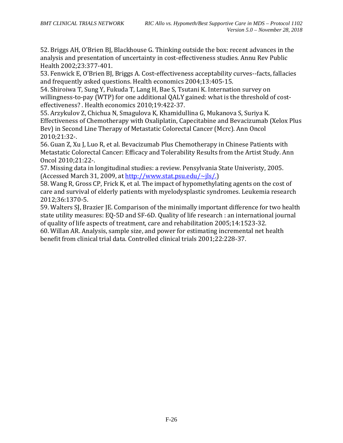<span id="page-93-0"></span>52. Briggs AH, O'Brien BJ, Blackhouse G. Thinking outside the box: recent advances in the analysis and presentation of uncertainty in cost-effectiveness studies. Annu Rev Public Health 2002;23:377-401.

<span id="page-93-1"></span>53. Fenwick E, O'Brien BJ, Briggs A. Cost-effectiveness acceptability curves--facts, fallacies and frequently asked questions. Health economics 2004;13:405-15.

<span id="page-93-2"></span>54. Shiroiwa T, Sung Y, Fukuda T, Lang H, Bae S, Tsutani K. Internation survey on willingness-to-pay (WTP) for one additional QALY gained: what is the threshold of costeffectiveness? . Health economics 2010;19:422-37.

<span id="page-93-3"></span>55. Arzykulov Z, Chichua N, Smagulova K, Khamidullina G, Mukanova S, Suriya K. Effectiveness of Chemotherapy with Oxaliplatin, Capecitabine and Bevacizumab (Xelox Plus Bev) in Second Line Therapy of Metastatic Colorectal Cancer (Mcrc). Ann Oncol 2010;21:32-.

<span id="page-93-4"></span>56. Guan Z, Xu J, Luo R, et al. Bevacizumab Plus Chemotherapy in Chinese Patients with Metastatic Colorectal Cancer: Efficacy and Tolerability Results from the Artist Study. Ann Oncol 2010;21:22-.

<span id="page-93-5"></span>57. Missing data in longitudinal studies: a review. Pensylvania State Univeristy, 2005. (Accessed March 31, 2009, at  $\frac{http://www.stat.psu.edu/~ils/.)}{http://www.stat.psu.edu/~ils/.)}$ 

<span id="page-93-6"></span>58. Wang R, Gross CP, Frick K, et al. The impact of hypomethylating agents on the cost of care and survival of elderly patients with myelodysplastic syndromes. Leukemia research 2012;36:1370-5.

<span id="page-93-7"></span>59. Walters SJ, Brazier JE. Comparison of the minimally important difference for two health state utility measures: EQ-5D and SF-6D. Quality of life research : an international journal of quality of life aspects of treatment, care and rehabilitation 2005;14:1523-32.

<span id="page-93-8"></span>60. Willan AR. Analysis, sample size, and power for estimating incremental net health benefit from clinical trial data. Controlled clinical trials 2001;22:228-37.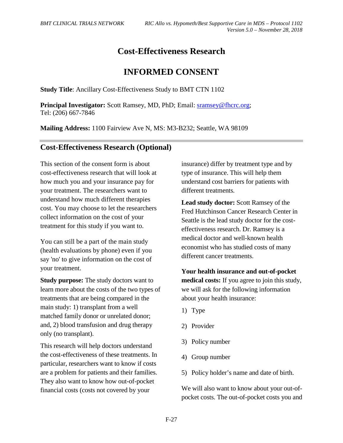# **Cost-Effectiveness Research**

# **INFORMED CONSENT**

**Study Title**: Ancillary Cost-Effectiveness Study to BMT CTN 1102

**Principal Investigator:** Scott Ramsey, MD, PhD; Email: [sramsey@fhcrc.org;](mailto:sramsey@fhcrc.org) Tel: (206) 667-7846

**Mailing Address:** 1100 Fairview Ave N, MS: M3-B232; Seattle, WA 98109

# **Cost-Effectiveness Research (Optional)**

This section of the consent form is about cost-effectiveness research that will look at how much you and your insurance pay for your treatment. The researchers want to understand how much different therapies cost. You may choose to let the researchers collect information on the cost of your treatment for this study if you want to.

You can still be a part of the main study (health evaluations by phone) even if you say 'no' to give information on the cost of your treatment.

**Study purpose:** The study doctors want to learn more about the costs of the two types of treatments that are being compared in the main study: 1) transplant from a well matched family donor or unrelated donor; and, 2) blood transfusion and drug therapy only (no transplant).

This research will help doctors understand the cost-effectiveness of these treatments. In particular, researchers want to know if costs are a problem for patients and their families. They also want to know how out-of-pocket financial costs (costs not covered by your

insurance) differ by treatment type and by type of insurance. This will help them understand cost barriers for patients with different treatments.

**Lead study doctor:** Scott Ramsey of the Fred Hutchinson Cancer Research Center in Seattle is the lead study doctor for the costeffectiveness research. Dr. Ramsey is a medical doctor and well-known health economist who has studied costs of many different cancer treatments.

**Your health insurance and out-of-pocket medical costs:** If you agree to join this study, we will ask for the following information about your health insurance:

- 1) Type
- 2) Provider
- 3) Policy number
- 4) Group number
- 5) Policy holder's name and date of birth.

We will also want to know about your out-ofpocket costs. The out-of-pocket costs you and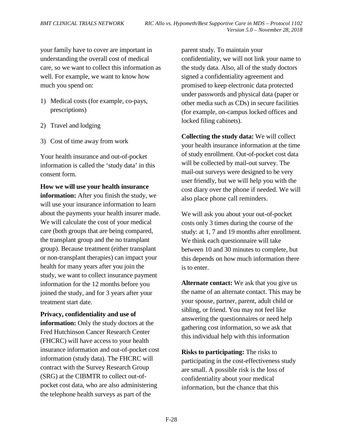your family have to cover are important in understanding the overall cost of medical care, so we want to collect this information as well. For example, we want to know how much you spend on:

- 1) Medical costs (for example, co-pays, prescriptions)
- 2) Travel and lodging
- 3) Cost of time away from work

Your health insurance and out-of-pocket information is called the 'study data' in this consent form.

**How we will use your health insurance information:** After you finish the study, we will use your insurance information to learn about the payments your health insurer made. We will calculate the cost of your medical care (both groups that are being compared, the transplant group and the no transplant group). Because treatment (either transplant or non-transplant therapies) can impact your health for many years after you join the study, we want to collect insurance payment information for the 12 months before you joined the study, and for 3 years after your treatment start date.

**Privacy, confidentiality and use of information:** Only the study doctors at the Fred Hutchinson Cancer Research Center (FHCRC) will have access to your health insurance information and out-of-pocket cost information (study data). The FHCRC will contract with the Survey Research Group (SRG) at the CIBMTR to collect out-ofpocket cost data, who are also administering the telephone health surveys as part of the

parent study. To maintain your confidentiality, we will not link your name to the study data. Also, all of the study doctors signed a confidentiality agreement and promised to keep electronic data protected under passwords and physical data (paper or other media such as CDs) in secure facilities (for example, on-campus locked offices and locked filing cabinets).

**Collecting the study data:** We will collect your health insurance information at the time of study enrollment. Out-of-pocket cost data will be collected by mail-out survey. The mail-out surveys were designed to be very user friendly, but we will help you with the cost diary over the phone if needed. We will also place phone call reminders.

We will ask you about your out-of-pocket costs only 3 times during the course of the study: at 1, 7 and 19 months after enrollment. We think each questionnaire will take between 10 and 30 minutes to complete, but this depends on how much information there is to enter.

**Alternate contact:** We ask that you give us the name of an alternate contact. This may be your spouse, partner, parent, adult child or sibling, or friend. You may not feel like answering the questionnaires or need help gathering cost information, so we ask that this individual help with this information

**Risks to participating:** The risks to participating in the cost-effectiveness study are small. A possible risk is the loss of confidentiality about your medical information, but the chance that this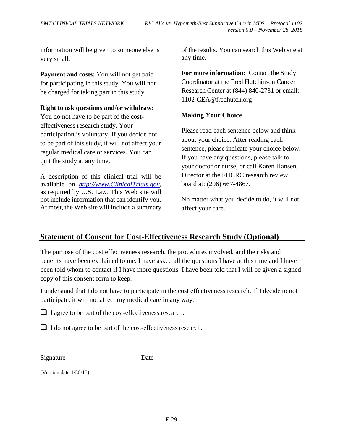information will be given to someone else is very small.

**Payment and costs:** You will not get paid for participating in this study. You will not be charged for taking part in this study.

#### **Right to ask questions and/or withdraw:**

You do not have to be part of the costeffectiveness research study. Your participation is voluntary. If you decide not to be part of this study, it will not affect your regular medical care or services. You can quit the study at any time.

A description of this clinical trial will be available on *[http://www.ClinicalTrials.gov](http://www.clinicaltrials.gov/)*, as required by U.S. Law. This Web site will not include information that can identify you. At most, the Web site will include a summary of the results. You can search this Web site at any time.

**For more information:** Contact the Study Coordinator at the Fred Hutchinson Cancer Research Center at (844) 840-2731 or email: 1102-CEA@fredhutch.org

#### **Making Your Choice**

Please read each sentence below and think about your choice. After reading each sentence, please indicate your choice below. If you have any questions, please talk to your doctor or nurse, or call Karen Hansen, Director at the FHCRC research review board at: (206) 667-4867.

No matter what you decide to do, it will not affect your care.

# **Statement of Consent for Cost-Effectiveness Research Study (Optional)**

The purpose of the cost effectiveness research, the procedures involved, and the risks and benefits have been explained to me. I have asked all the questions I have at this time and I have been told whom to contact if I have more questions. I have been told that I will be given a signed copy of this consent form to keep.

I understand that I do not have to participate in the cost effectiveness research. If I decide to not participate, it will not affect my medical care in any way.

 $\Box$  I agree to be part of the cost-effectiveness research.

 $\Box$  I do not agree to be part of the cost-effectiveness research.

Signature Date

(Version date 1/30/15)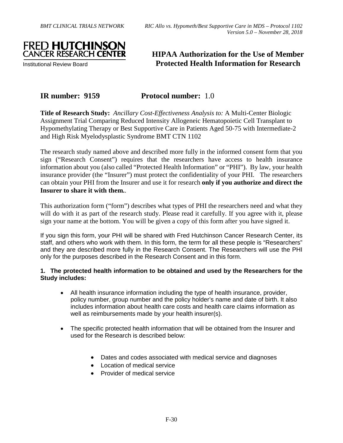

Institutional Review Board

# **HIPAA Authorization for the Use of Member Protected Health Information for Research**

# **IR number: 9159 Protocol number:** 1.0

**Title of Research Study:** *Ancillary Cost-Effectiveness Analysis to:* A Multi-Center Biologic Assignment Trial Comparing Reduced Intensity Allogeneic Hematopoietic Cell Transplant to Hypomethylating Therapy or Best Supportive Care in Patients Aged 50-75 with Intermediate-2 and High Risk Myelodysplastic Syndrome BMT CTN 1102

The research study named above and described more fully in the informed consent form that you sign ("Research Consent") requires that the researchers have access to health insurance information about you (also called "Protected Health Information" or "PHI"). By law, your health insurance provider (the "Insurer") must protect the confidentiality of your PHI. The researchers can obtain your PHI from the Insurer and use it for research **only if you authorize and direct the Insurer to share it with them.**.

This authorization form ("form") describes what types of PHI the researchers need and what they will do with it as part of the research study. Please read it carefully. If you agree with it, please sign your name at the bottom. You will be given a copy of this form after you have signed it.

If you sign this form, your PHI will be shared with Fred Hutchinson Cancer Research Center, its staff, and others who work with them. In this form, the term for all these people is "Researchers" and they are described more fully in the Research Consent. The Researchers will use the PHI only for the purposes described in the Research Consent and in this form.

#### **1. The protected health information to be obtained and used by the Researchers for the Study includes:**

- All health insurance information including the type of health insurance, provider, policy number, group number and the policy holder's name and date of birth. It also includes information about health care costs and health care claims information as well as reimbursements made by your health insurer(s).
- The specific protected health information that will be obtained from the Insurer and used for the Research is described below:
	- Dates and codes associated with medical service and diagnoses
	- Location of medical service
	- Provider of medical service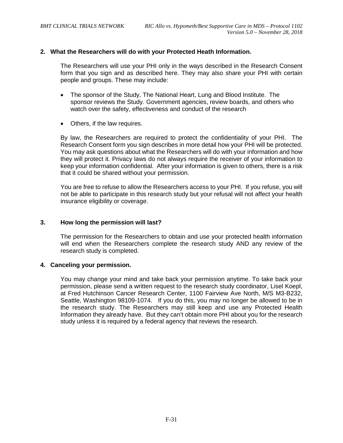#### **2. What the Researchers will do with your Protected Heath Information.**

The Researchers will use your PHI only in the ways described in the Research Consent form that you sign and as described here. They may also share your PHI with certain people and groups. These may include:

- The sponsor of the Study, The National Heart, Lung and Blood Institute. The sponsor reviews the Study. Government agencies, review boards, and others who watch over the safety, effectiveness and conduct of the research
- Others, if the law requires.

By law, the Researchers are required to protect the confidentiality of your PHI. The Research Consent form you sign describes in more detail how your PHI will be protected. You may ask questions about what the Researchers will do with your information and how they will protect it. Privacy laws do not always require the receiver of your information to keep your information confidential. After your information is given to others, there is a risk that it could be shared without your permission.

You are free to refuse to allow the Researchers access to your PHI. If you refuse, you will not be able to participate in this research study but your refusal will not affect your health insurance eligibility or coverage.

#### **3. How long the permission will last?**

The permission for the Researchers to obtain and use your protected health information will end when the Researchers complete the research study AND any review of the research study is completed.

#### **4. Canceling your permission.**

You may change your mind and take back your permission anytime. To take back your permission, please send a written request to the research study coordinator, Lisel Koepl, at Fred Hutchinson Cancer Research Center, 1100 Fairview Ave North, M/S M3-B232, Seattle, Washington 98109-1074. If you do this, you may no longer be allowed to be in the research study. The Researchers may still keep and use any Protected Health Information they already have. But they can't obtain more PHI about you for the research study unless it is required by a federal agency that reviews the research.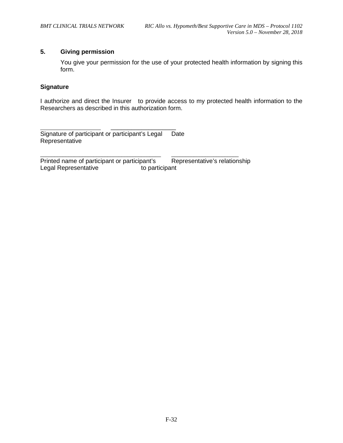#### **5. Giving permission**

You give your permission for the use of your protected health information by signing this form.

#### **Signature**

I authorize and direct the Insurer to provide access to my protected health information to the Researchers as described in this authorization form.

\_\_\_\_\_\_\_\_\_\_\_\_\_\_\_\_\_\_\_ Signature of participant or participant's Legal Date Representative

Printed name of participant or participant's  $\hskip1cm$  Representative's relationship Legal Representative to participant

 $\overline{\phantom{a}}$  , and the contribution of the contribution of the contribution of the contribution of the contribution of the contribution of the contribution of the contribution of the contribution of the contribution of the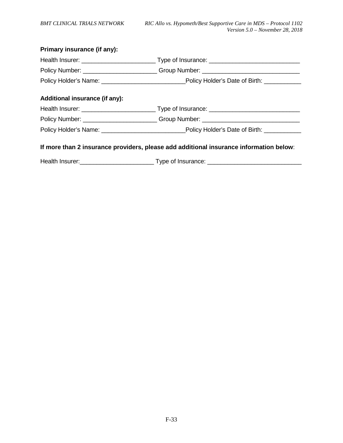| Primary insurance (if any):                                                            |                                                                                                     |  |  |  |
|----------------------------------------------------------------------------------------|-----------------------------------------------------------------------------------------------------|--|--|--|
|                                                                                        |                                                                                                     |  |  |  |
|                                                                                        | Policy Number: ___________________________Group Number: ________________________                    |  |  |  |
|                                                                                        | Policy Holder's Name: ___________________________________Policy Holder's Date of Birth: ___________ |  |  |  |
| Additional insurance (if any):                                                         |                                                                                                     |  |  |  |
|                                                                                        |                                                                                                     |  |  |  |
|                                                                                        | Policy Number: ___________________________Group Number: ________________________                    |  |  |  |
|                                                                                        |                                                                                                     |  |  |  |
| If more than 2 insurance providers, please add additional insurance information below: |                                                                                                     |  |  |  |
|                                                                                        |                                                                                                     |  |  |  |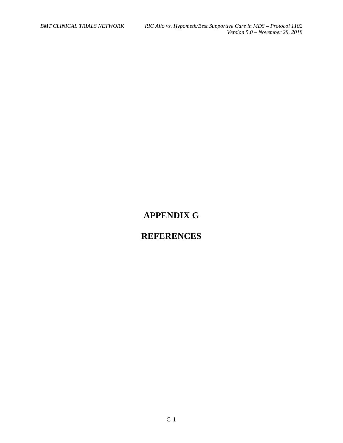# **APPENDIX G**

# **REFERENCES**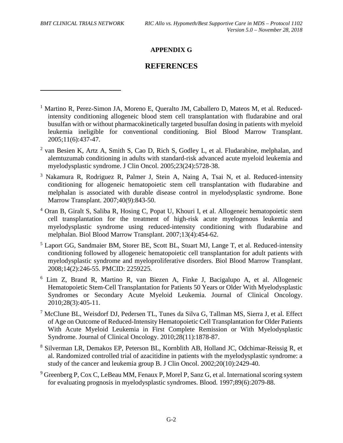$\overline{a}$ 

# **APPENDIX G**

# **REFERENCES**

- <sup>1</sup> Martino R, Perez-Simon JA, Moreno E, Queralto JM, Caballero D, Mateos M, et al. Reducedintensity conditioning allogeneic blood stem cell transplantation with fludarabine and oral busulfan with or without pharmacokinetically targeted busulfan dosing in patients with myeloid leukemia ineligible for conventional conditioning. Biol Blood Marrow Transplant. 2005;11(6):437-47.
- <sup>2</sup> van Besien K, Artz A, Smith S, Cao D, Rich S, Godley L, et al. Fludarabine, melphalan, and alemtuzumab conditioning in adults with standard-risk advanced acute myeloid leukemia and myelodysplastic syndrome. J Clin Oncol. 2005;23(24):5728-38.
- <sup>3</sup> Nakamura R, Rodriguez R, Palmer J, Stein A, Naing A, Tsai N, et al. Reduced-intensity conditioning for allogeneic hematopoietic stem cell transplantation with fludarabine and melphalan is associated with durable disease control in myelodysplastic syndrome. Bone Marrow Transplant. 2007;40(9):843-50.
- <sup>4</sup> Oran B, Giralt S, Saliba R, Hosing C, Popat U, Khouri I, et al. Allogeneic hematopoietic stem cell transplantation for the treatment of high-risk acute myelogenous leukemia and myelodysplastic syndrome using reduced-intensity conditioning with fludarabine and melphalan. Biol Blood Marrow Transplant. 2007;13(4):454-62.
- <sup>5</sup> Laport GG, Sandmaier BM, Storer BE, Scott BL, Stuart MJ, Lange T, et al. Reduced-intensity conditioning followed by allogeneic hematopoietic cell transplantation for adult patients with myelodysplastic syndrome and myeloproliferative disorders. Biol Blood Marrow Transplant. 2008;14(2):246-55. PMCID: 2259225.
- <sup>6</sup> Lim Z, Brand R, Martino R, van Biezen A, Finke J, Bacigalupo A, et al. Allogeneic Hematopoietic Stem-Cell Transplantation for Patients 50 Years or Older With Myelodysplastic Syndromes or Secondary Acute Myeloid Leukemia. Journal of Clinical Oncology. 2010;28(3):405-11.
- <sup>7</sup> McClune BL, Weisdorf DJ, Pedersen TL, Tunes da Silva G, Tallman MS, Sierra J, et al. Effect of Age on Outcome of Reduced-Intensity Hematopoietic Cell Transplantation for Older Patients With Acute Myeloid Leukemia in First Complete Remission or With Myelodysplastic Syndrome. Journal of Clinical Oncology. 2010;28(11):1878-87.
- <sup>8</sup> Silverman LR, Demakos EP, Peterson BL, Kornblith AB, Holland JC, Odchimar-Reissig R, et al. Randomized controlled trial of azacitidine in patients with the myelodysplastic syndrome: a study of the cancer and leukemia group B. J Clin Oncol. 2002;20(10):2429-40.
- $9$  Greenberg P, Cox C, LeBeau MM, Fenaux P, Morel P, Sanz G, et al. International scoring system for evaluating prognosis in myelodysplastic syndromes. Blood. 1997;89(6):2079-88.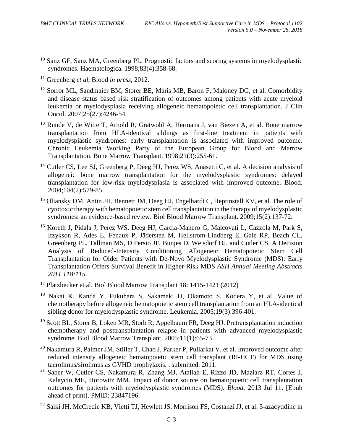- <sup>10</sup> Sanz GF, Sanz MA, Greenberg PL. Prognostic factors and scoring systems in myelodysplastic syndromes. Haematologica. 1998;83(4):358-68.
- <sup>11</sup> Greenberg *et al*, Blood *in press*, 2012.
- <sup>12</sup> Sorror ML, Sandmaier BM, Storer BE, Maris MB, Baron F, Maloney DG, et al. Comorbidity and disease status based risk stratification of outcomes among patients with acute myeloid leukemia or myelodysplasia receiving allogeneic hematopoietic cell transplantation. J Clin Oncol. 2007;25(27):4246-54.
- <sup>13</sup> Runde V, de Witte T, Arnold R, Gratwohl A, Hermans J, van Biezen A, et al. Bone marrow transplantation from HLA-identical siblings as first-line treatment in patients with myelodysplastic syndromes: early transplantation is associated with improved outcome. Chronic Leukemia Working Party of the European Group for Blood and Marrow Transplantation. Bone Marrow Transplant. 1998;21(3):255-61.
- <sup>14</sup> Cutler CS, Lee SJ, Greenberg P, Deeg HJ, Perez WS, Anasetti C, et al. A decision analysis of allogeneic bone marrow transplantation for the myelodysplastic syndromes: delayed transplantation for low-risk myelodysplasia is associated with improved outcome. Blood. 2004;104(2):579-85.
- <sup>15</sup> Oliansky DM, Antin JH, Bennett JM, Deeg HJ, Engelhardt C, Heptinstall KV, et al. The role of cytotoxic therapy with hematopoietic stem cell transplantation in the therapy of myelodysplastic syndromes: an evidence-based review. Biol Blood Marrow Transplant. 2009;15(2):137-72.
- <sup>16</sup> Koreth J, Pidala J, Perez WS, Deeg HJ, Garcia-Manero G, Malcovati L, Cazzola M, Park S, Itzykson R, Ades L, Fenaux P, Jädersten M, Hellstrom-Lindberg E, Gale RP, Beach CL, Greenberg PL, Tallman MS, DiPersio JF, Bunjes D, Weisdorf DJ, and Cutler CS. A Decision Analysis of Reduced-Intensity Conditioning Allogeneic Hematopoietic Stem Cell Transplantation for Older Patients with De-Novo Myelodysplastic Syndrome (MDS): Early Transplantation Offers Survival Benefit in Higher-Risk MDS *ASH Annual Meeting Abstracts 2011 118:115.*
- <sup>17</sup> Platzbecker et al. Biol Blood Marrow Transplant 18: 1415-1421 (2012)
- <sup>18</sup> Nakai K, Kanda Y, Fukuhara S, Sakamaki H, Okamoto S, Kodera Y, et al. Value of chemotherapy before allogeneic hematopoietic stem cell transplantation from an HLA-identical sibling donor for myelodysplastic syndrome. Leukemia. 2005;19(3):396-401.
- <sup>19</sup> Scott BL, Storer B, Loken MR, Storb R, Appelbaum FR, Deeg HJ. Pretransplantation induction chemotherapy and posttransplantation relapse in patients with advanced myelodysplastic syndrome. Biol Blood Marrow Transplant. 2005;11(1):65-73.
- <sup>20</sup> Nakamura R, Palmer JM, Stiller T, Chao J, Parker P, Pullarkat V, et al. Improved outcome after reduced intensity allogeneic hematopoietic stem cell transplant (RI-HCT) for MDS using tacrolimus/sirolimus as GVHD prophylaxis. . submitted. 2011.
- <sup>21</sup> Saber W, Cutler CS, Nakamura R, Zhang MJ, Atallah E, Rizzo JD, Maziarz RT, Cortes J, Kalaycio ME, Horowitz MM. Impact of donor source on hematopoietic cell transplantation outcomes for patients with myelodysplastic syndromes (MDS). *Blood*. 2013 Jul 11. [Epub ahead of print]. PMID: 23847196.
- <sup>22</sup> Saiki JH, McCredie KB, Vietti TJ, Hewlett JS, Morrison FS, Costanzi JJ, et al. 5-azacytidine in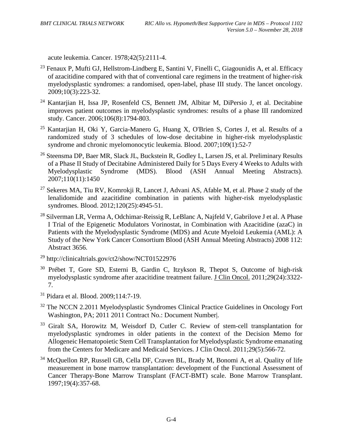acute leukemia. Cancer. 1978;42(5):2111-4.

- $^{23}$  Fenaux P, Mufti GJ, Hellstrom-Lindberg E, Santini V, Finelli C, Giagounidis A, et al. Efficacy of azacitidine compared with that of conventional care regimens in the treatment of higher-risk myelodysplastic syndromes: a randomised, open-label, phase III study. The lancet oncology. 2009;10(3):223-32.
- <sup>24</sup> Kantarjian H, Issa JP, Rosenfeld CS, Bennett JM, Albitar M, DiPersio J, et al. Decitabine improves patient outcomes in myelodysplastic syndromes: results of a phase III randomized study. Cancer. 2006;106(8):1794-803.
- <sup>25</sup> Kantarjian H, Oki Y, Garcia-Manero G, Huang X, O'Brien S, Cortes J, et al. Results of a randomized study of 3 schedules of low-dose decitabine in higher-risk myelodysplastic syndrome and chronic myelomonocytic leukemia. Blood. 2007;109(1):52-7
- <sup>26</sup> Steensma DP, Baer MR, Slack JL, Buckstein R, Godley L, Larsen JS, et al. Preliminary Results of a Phase II Study of Decitabine Administered Daily for 5 Days Every 4 Weeks to Adults with<br>Myelodysplastic Syndrome (MDS). Blood (ASH Annual Meeting Abstracts). Myelodysplastic Syndrome (MDS). Blood (ASH Annual Meeting Abstracts). 2007;110(11):1450
- <sup>27</sup> [Sekeres MA,](http://www.ncbi.nlm.nih.gov/pubmed?term=Sekeres%20MA%5BAuthor%5D&cauthor=true&cauthor_uid=22915641) [Tiu RV,](http://www.ncbi.nlm.nih.gov/pubmed?term=Tiu%20RV%5BAuthor%5D&cauthor=true&cauthor_uid=22915641) [Komrokji R,](http://www.ncbi.nlm.nih.gov/pubmed?term=Komrokji%20R%5BAuthor%5D&cauthor=true&cauthor_uid=22915641) [Lancet J,](http://www.ncbi.nlm.nih.gov/pubmed?term=Lancet%20J%5BAuthor%5D&cauthor=true&cauthor_uid=22915641) [Advani AS,](http://www.ncbi.nlm.nih.gov/pubmed?term=Advani%20AS%5BAuthor%5D&cauthor=true&cauthor_uid=22915641) [Afable M,](http://www.ncbi.nlm.nih.gov/pubmed?term=Afable%20M%5BAuthor%5D&cauthor=true&cauthor_uid=22915641) et al. Phase 2 study of the lenalidomide and azacitidine combination in patients with higher-risk myelodysplastic syndromes. [Blood.](http://www.ncbi.nlm.nih.gov/pubmed/22915641) 2012;120(25):4945-51.
- <sup>28</sup> Silverman LR, Verma A, Odchimar-Reissig R, LeBlanc A, Najfeld V, Gabrilove J et al. A Phase I Trial of the Epigenetic Modulators Vorinostat, in Combination with Azacitidine (azaC) in Patients with the Myelodysplastic Syndrome (MDS) and Acute Myeloid Leukemia (AML): A Study of the New York Cancer Consortium Blood (ASH Annual Meeting Abstracts) 2008 112: Abstract 3656.
- $^{29}$  http://clinicaltrials.gov/ct2/show/NCT01522976
- <sup>30</sup> Prébet T, Gore SD, Esterni B, Gardin C, Itzykson R, Thepot S, Outcome of high-risk myelodysplastic syndrome after azacitidine treatment failure. [J Clin Oncol.](http://www.ncbi.nlm.nih.gov/pubmed/21788559) 2011;29(24):3322- 7.
- <sup>31</sup> Pidara et al. Blood. 2009;114:7-19.
- <sup>32</sup> The NCCN 2.2011 Myelodysplastic Syndromes Clinical Practice Guidelines in Oncology Fort Washington, PA; 2011 2011 Contract No.: Document Number|.
- <sup>33</sup> Giralt SA, Horowitz M, Weisdorf D, Cutler C. Review of stem-cell transplantation for myelodysplastic syndromes in older patients in the context of the Decision Memo for Allogeneic Hematopoietic Stem Cell Transplantation for Myelodysplastic Syndrome emanating from the Centers for Medicare and Medicaid Services. J Clin Oncol. 2011;29(5):566-72.
- <sup>34</sup> McQuellon RP, Russell GB, Cella DF, Craven BL, Brady M, Bonomi A, et al. Quality of life measurement in bone marrow transplantation: development of the Functional Assessment of Cancer Therapy-Bone Marrow Transplant (FACT-BMT) scale. Bone Marrow Transplant. 1997;19(4):357-68.